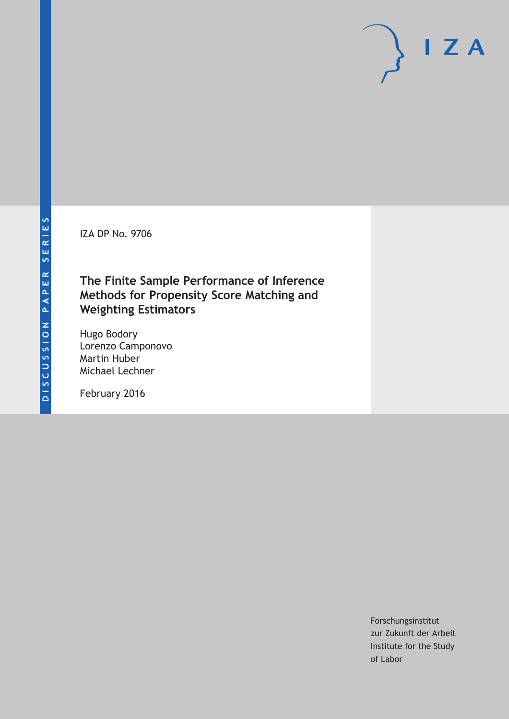IZA DP No. 9706

# **The Finite Sample Performance of Inference Methods for Propensity Score Matching and Weighting Estimators**

Hugo Bodory Lorenzo Camponovo Martin Huber Michael Lechner

February 2016

Forschungsinstitut zur Zukunft der Arbeit Institute for the Study of Labor

 $I Z A$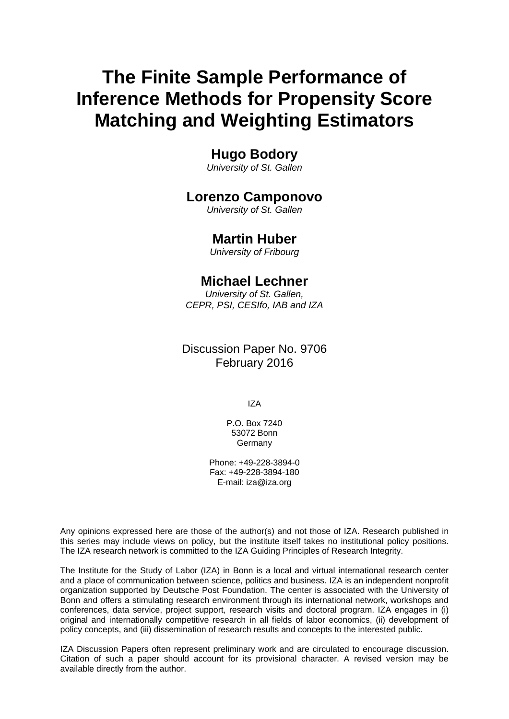# **The Finite Sample Performance of Inference Methods for Propensity Score Matching and Weighting Estimators**

# **Hugo Bodory**

*University of St. Gallen* 

### **Lorenzo Camponovo**

*University of St. Gallen* 

### **Martin Huber**

*University of Fribourg*

# **Michael Lechner**

*University of St. Gallen, CEPR, PSI, CESIfo, IAB and IZA*

# Discussion Paper No. 9706 February 2016

IZA

P.O. Box 7240 53072 Bonn Germany

Phone: +49-228-3894-0 Fax: +49-228-3894-180 E-mail: iza@iza.org

Any opinions expressed here are those of the author(s) and not those of IZA. Research published in this series may include views on policy, but the institute itself takes no institutional policy positions. The IZA research network is committed to the IZA Guiding Principles of Research Integrity.

The Institute for the Study of Labor (IZA) in Bonn is a local and virtual international research center and a place of communication between science, politics and business. IZA is an independent nonprofit organization supported by Deutsche Post Foundation. The center is associated with the University of Bonn and offers a stimulating research environment through its international network, workshops and conferences, data service, project support, research visits and doctoral program. IZA engages in (i) original and internationally competitive research in all fields of labor economics, (ii) development of policy concepts, and (iii) dissemination of research results and concepts to the interested public.

IZA Discussion Papers often represent preliminary work and are circulated to encourage discussion. Citation of such a paper should account for its provisional character. A revised version may be available directly from the author.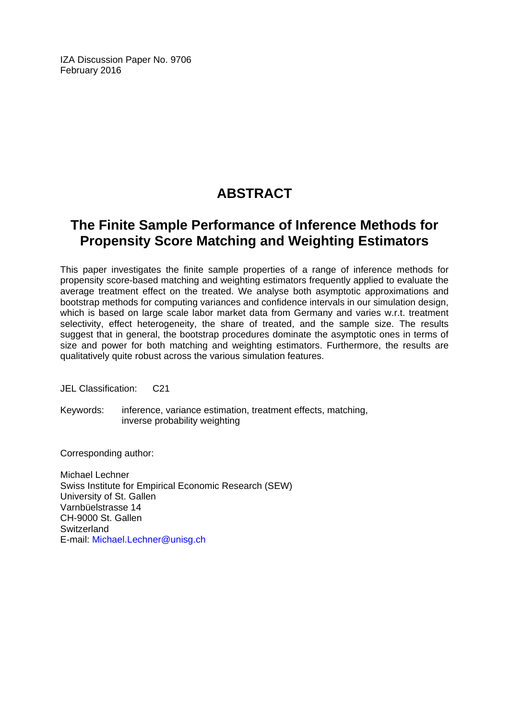IZA Discussion Paper No. 9706 February 2016

# **ABSTRACT**

# **The Finite Sample Performance of Inference Methods for Propensity Score Matching and Weighting Estimators**

This paper investigates the finite sample properties of a range of inference methods for propensity score-based matching and weighting estimators frequently applied to evaluate the average treatment effect on the treated. We analyse both asymptotic approximations and bootstrap methods for computing variances and confidence intervals in our simulation design, which is based on large scale labor market data from Germany and varies w.r.t. treatment selectivity, effect heterogeneity, the share of treated, and the sample size. The results suggest that in general, the bootstrap procedures dominate the asymptotic ones in terms of size and power for both matching and weighting estimators. Furthermore, the results are qualitatively quite robust across the various simulation features.

JEL Classification: C21

Keywords: inference, variance estimation, treatment effects, matching, inverse probability weighting

Corresponding author:

Michael Lechner Swiss Institute for Empirical Economic Research (SEW) University of St. Gallen Varnbüelstrasse 14 CH-9000 St. Gallen **Switzerland** E-mail: Michael.Lechner@unisg.ch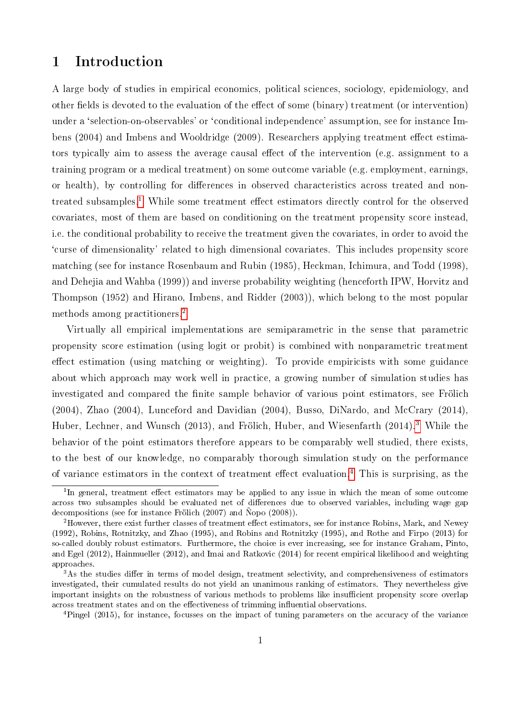# 1 Introduction

A large body of studies in empirical economics, political sciences, sociology, epidemiology, and other fields is devoted to the evaluation of the effect of some (binary) treatment (or intervention) under a `selection-on-observables' or `conditional independence' assumption, see for instance Imbens (2004) and Imbens and Wooldridge (2009). Researchers applying treatment effect estimators typically aim to assess the average causal effect of the intervention (e.g. assignment to a training program or a medical treatment) on some outcome variable (e.g. employment, earnings, or health), by controlling for differences in observed characteristics across treated and non-treated subsamples.<sup>[1](#page--1-0)</sup> While some treatment effect estimators directly control for the observed covariates, most of them are based on conditioning on the treatment propensity score instead, i.e. the conditional probability to receive the treatment given the covariates, in order to avoid the `curse of dimensionality' related to high dimensional covariates. This includes propensity score matching (see for instance Rosenbaum and Rubin (1985), Heckman, Ichimura, and Todd (1998), and Dehejia and Wahba (1999)) and inverse probability weighting (henceforth IPW, Horvitz and Thompson (1952) and Hirano, Imbens, and Ridder (2003)), which belong to the most popular methods among practitioners.[2](#page--1-0)

Virtually all empirical implementations are semiparametric in the sense that parametric propensity score estimation (using logit or probit) is combined with nonparametric treatment effect estimation (using matching or weighting). To provide empiricists with some guidance about which approach may work well in practice, a growing number of simulation studies has investigated and compared the finite sample behavior of various point estimators, see Frölich (2004), Zhao (2004), Lunceford and Davidian (2004), Busso, DiNardo, and McCrary (2014), Huber, Lechner, and Wunsch (201[3](#page--1-0)), and Frölich, Huber, and Wiesenfarth (2014).<sup>3</sup> While the behavior of the point estimators therefore appears to be comparably well studied, there exists, to the best of our knowledge, no comparably thorough simulation study on the performance of variance estimators in the context of treatment effect evaluation.<sup>[4](#page--1-0)</sup> This is surprising, as the

<sup>4</sup>Pingel (2015), for instance, focusses on the impact of tuning parameters on the accuracy of the variance

<sup>&</sup>lt;sup>1</sup>In general, treatment effect estimators may be applied to any issue in which the mean of some outcome across two subsamples should be evaluated net of differences due to observed variables, including wage gap decompositions (see for instance Frölich (2007) and Ñopo (2008)).

<sup>&</sup>lt;sup>2</sup>However, there exist further classes of treatment effect estimators, see for instance Robins, Mark, and Newey (1992), Robins, Rotnitzky, and Zhao (1995), and Robins and Rotnitzky (1995), and Rothe and Firpo (2013) for so-called doubly robust estimators. Furthermore, the choice is ever increasing, see for instance Graham, Pinto, and Egel (2012), Hainmueller (2012), and Imai and Ratkovic (2014) for recent empirical likelihood and weighting approaches.

 $3$ As the studies differ in terms of model design, treatment selectivity, and comprehensiveness of estimators investigated, their cumulated results do not yield an unanimous ranking of estimators. They nevertheless give important insights on the robustness of various methods to problems like insufficient propensity score overlap across treatment states and on the effectiveness of trimming influential observations.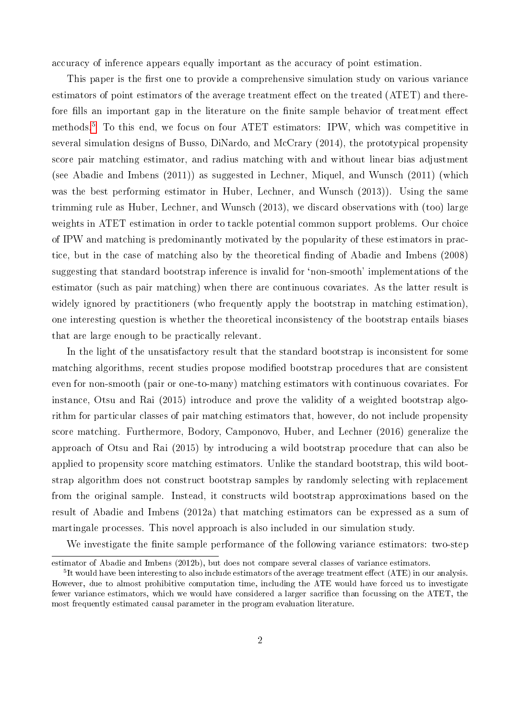accuracy of inference appears equally important as the accuracy of point estimation.

This paper is the first one to provide a comprehensive simulation study on various variance estimators of point estimators of the average treatment effect on the treated (ATET) and therefore fills an important gap in the literature on the finite sample behavior of treatment effect methods.[5](#page--1-0) To this end, we focus on four ATET estimators: IPW, which was competitive in several simulation designs of Busso, DiNardo, and McCrary (2014), the prototypical propensity score pair matching estimator, and radius matching with and without linear bias adjustment (see Abadie and Imbens (2011)) as suggested in Lechner, Miquel, and Wunsch (2011) (which was the best performing estimator in Huber, Lechner, and Wunsch (2013)). Using the same trimming rule as Huber, Lechner, and Wunsch (2013), we discard observations with (too) large weights in ATET estimation in order to tackle potential common support problems. Our choice of IPW and matching is predominantly motivated by the popularity of these estimators in practice, but in the case of matching also by the theoretical finding of Abadie and Imbens (2008) suggesting that standard bootstrap inference is invalid for `non-smooth' implementations of the estimator (such as pair matching) when there are continuous covariates. As the latter result is widely ignored by practitioners (who frequently apply the bootstrap in matching estimation), one interesting question is whether the theoretical inconsistency of the bootstrap entails biases that are large enough to be practically relevant.

In the light of the unsatisfactory result that the standard bootstrap is inconsistent for some matching algorithms, recent studies propose modified bootstrap procedures that are consistent even for non-smooth (pair or one-to-many) matching estimators with continuous covariates. For instance, Otsu and Rai (2015) introduce and prove the validity of a weighted bootstrap algorithm for particular classes of pair matching estimators that, however, do not include propensity score matching. Furthermore, Bodory, Camponovo, Huber, and Lechner (2016) generalize the approach of Otsu and Rai (2015) by introducing a wild bootstrap procedure that can also be applied to propensity score matching estimators. Unlike the standard bootstrap, this wild bootstrap algorithm does not construct bootstrap samples by randomly selecting with replacement from the original sample. Instead, it constructs wild bootstrap approximations based on the result of Abadie and Imbens (2012a) that matching estimators can be expressed as a sum of martingale processes. This novel approach is also included in our simulation study.

We investigate the finite sample performance of the following variance estimators: two-step

estimator of Abadie and Imbens (2012b), but does not compare several classes of variance estimators.

 $5$ It would have been interesting to also include estimators of the average treatment effect (ATE) in our analysis. However, due to almost prohibitive computation time, including the ATE would have forced us to investigate fewer variance estimators, which we would have considered a larger sacrifice than focussing on the ATET, the most frequently estimated causal parameter in the program evaluation literature.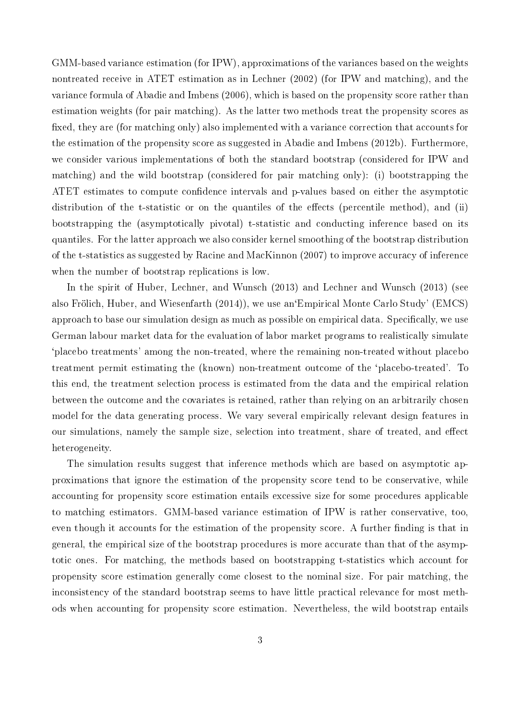GMM-based variance estimation (for IPW), approximations of the variances based on the weights nontreated receive in ATET estimation as in Lechner (2002) (for IPW and matching), and the variance formula of Abadie and Imbens (2006), which is based on the propensity score rather than estimation weights (for pair matching). As the latter two methods treat the propensity scores as fixed, they are (for matching only) also implemented with a variance correction that accounts for the estimation of the propensity score as suggested in Abadie and Imbens (2012b). Furthermore, we consider various implementations of both the standard bootstrap (considered for IPW and matching) and the wild bootstrap (considered for pair matching only): (i) bootstrapping the ATET estimates to compute confidence intervals and p-values based on either the asymptotic distribution of the t-statistic or on the quantiles of the effects (percentile method), and (ii) bootstrapping the (asymptotically pivotal) t-statistic and conducting inference based on its quantiles. For the latter approach we also consider kernel smoothing of the bootstrap distribution of the t-statistics as suggested by Racine and MacKinnon (2007) to improve accuracy of inference when the number of bootstrap replications is low.

In the spirit of Huber, Lechner, and Wunsch (2013) and Lechner and Wunsch (2013) (see also Frölich, Huber, and Wiesenfarth (2014)), we use an`Empirical Monte Carlo Study' (EMCS) approach to base our simulation design as much as possible on empirical data. Specifically, we use German labour market data for the evaluation of labor market programs to realistically simulate `placebo treatments' among the non-treated, where the remaining non-treated without placebo treatment permit estimating the (known) non-treatment outcome of the `placebo-treated'. To this end, the treatment selection process is estimated from the data and the empirical relation between the outcome and the covariates is retained, rather than relying on an arbitrarily chosen model for the data generating process. We vary several empirically relevant design features in our simulations, namely the sample size, selection into treatment, share of treated, and effect heterogeneity.

The simulation results suggest that inference methods which are based on asymptotic approximations that ignore the estimation of the propensity score tend to be conservative, while accounting for propensity score estimation entails excessive size for some procedures applicable to matching estimators. GMM-based variance estimation of IPW is rather conservative, too, even though it accounts for the estimation of the propensity score. A further finding is that in general, the empirical size of the bootstrap procedures is more accurate than that of the asymptotic ones. For matching, the methods based on bootstrapping t-statistics which account for propensity score estimation generally come closest to the nominal size. For pair matching, the inconsistency of the standard bootstrap seems to have little practical relevance for most methods when accounting for propensity score estimation. Nevertheless, the wild bootstrap entails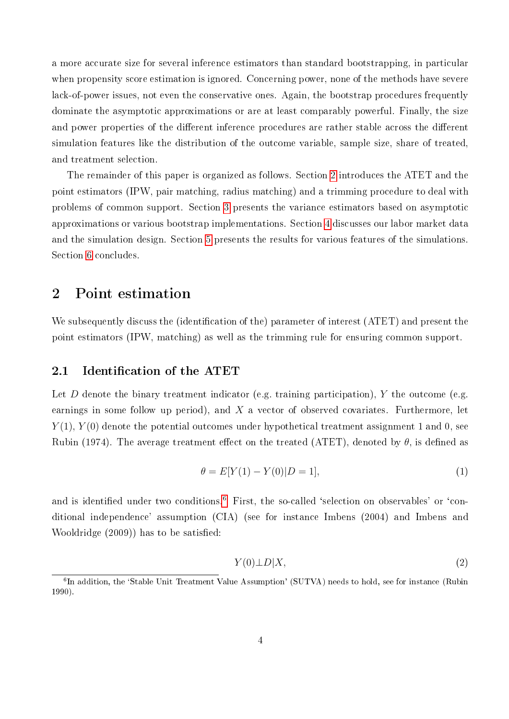a more accurate size for several inference estimators than standard bootstrapping, in particular when propensity score estimation is ignored. Concerning power, none of the methods have severe lack-of-power issues, not even the conservative ones. Again, the bootstrap procedures frequently dominate the asymptotic approximations or are at least comparably powerful. Finally, the size and power properties of the different inference procedures are rather stable across the different simulation features like the distribution of the outcome variable, sample size, share of treated, and treatment selection.

The remainder of this paper is organized as follows. Section [2](#page-6-0) introduces the ATET and the point estimators (IPW, pair matching, radius matching) and a trimming procedure to deal with problems of common support. Section [3](#page-10-0) presents the variance estimators based on asymptotic approximations or various bootstrap implementations. Section [4](#page-21-0) discusses our labor market data and the simulation design. Section [5](#page-28-0) presents the results for various features of the simulations. Section [6](#page-32-0) concludes.

### <span id="page-6-0"></span>2 Point estimation

We subsequently discuss the (identification of the) parameter of interest (ATET) and present the point estimators (IPW, matching) as well as the trimming rule for ensuring common support.

#### 2.1 Identification of the ATET

Let D denote the binary treatment indicator (e.g. training participation), Y the outcome (e.g. earnings in some follow up period), and  $X$  a vector of observed covariates. Furthermore, let  $Y(1)$ ,  $Y(0)$  denote the potential outcomes under hypothetical treatment assignment 1 and 0, see Rubin (1974). The average treatment effect on the treated (ATET), denoted by  $\theta$ , is defined as

$$
\theta = E[Y(1) - Y(0)|D = 1],\tag{1}
$$

and is identified under two conditions.<sup>[6](#page--1-0)</sup> First, the so-called 'selection on observables' or 'conditional independence' assumption (CIA) (see for instance Imbens (2004) and Imbens and Wooldridge (2009)) has to be satisfied:

<span id="page-6-1"></span>
$$
Y(0)\bot D|X,\t\t(2)
$$

<sup>&</sup>lt;sup>6</sup>In addition, the 'Stable Unit Treatment Value Assumption' (SUTVA) needs to hold, see for instance (Rubin 1990).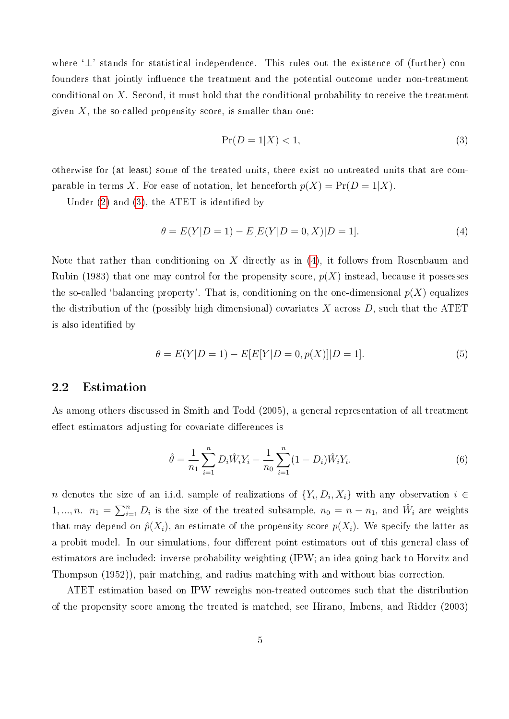where '⊥' stands for statistical independence. This rules out the existence of (further) confounders that jointly influence the treatment and the potential outcome under non-treatment conditional on X. Second, it must hold that the conditional probability to receive the treatment given  $X$ , the so-called propensity score, is smaller than one:

<span id="page-7-0"></span>
$$
\Pr(D=1|X) < 1,\tag{3}
$$

otherwise for (at least) some of the treated units, there exist no untreated units that are comparable in terms X. For ease of notation, let henceforth  $p(X) = Pr(D = 1|X)$ .

Under  $(2)$  and  $(3)$ , the ATET is identified by

<span id="page-7-1"></span>
$$
\theta = E(Y|D=1) - E[E(Y|D=0, X)|D=1].
$$
\n(4)

Note that rather than conditioning on X directly as in  $(4)$ , it follows from Rosenbaum and Rubin (1983) that one may control for the propensity score,  $p(X)$  instead, because it possesses the so-called 'balancing property'. That is, conditioning on the one-dimensional  $p(X)$  equalizes the distribution of the (possibly high dimensional) covariates  $X$  across  $D$ , such that the ATET is also identified by

$$
\theta = E(Y|D = 1) - E[E[Y|D = 0, p(X)]|D = 1].
$$
\n(5)

#### 2.2 Estimation

As among others discussed in Smith and Todd (2005), a general representation of all treatment effect estimators adjusting for covariate differences is

<span id="page-7-2"></span>
$$
\hat{\theta} = \frac{1}{n_1} \sum_{i=1}^{n} D_i \hat{W}_i Y_i - \frac{1}{n_0} \sum_{i=1}^{n} (1 - D_i) \hat{W}_i Y_i.
$$
\n(6)

n denotes the size of an i.i.d. sample of realizations of  $\{Y_i, D_i, X_i\}$  with any observation  $i \in$ 1, ..., n.  $n_1 = \sum_{i=1}^n D_i$  is the size of the treated subsample,  $n_0 = n - n_1$ , and  $\hat{W}_i$  are weights that may depend on  $\hat{p}(X_i)$ , an estimate of the propensity score  $p(X_i)$ . We specify the latter as a probit model. In our simulations, four different point estimators out of this general class of estimators are included: inverse probability weighting (IPW; an idea going back to Horvitz and Thompson (1952)), pair matching, and radius matching with and without bias correction.

ATET estimation based on IPW reweighs non-treated outcomes such that the distribution of the propensity score among the treated is matched, see Hirano, Imbens, and Ridder (2003)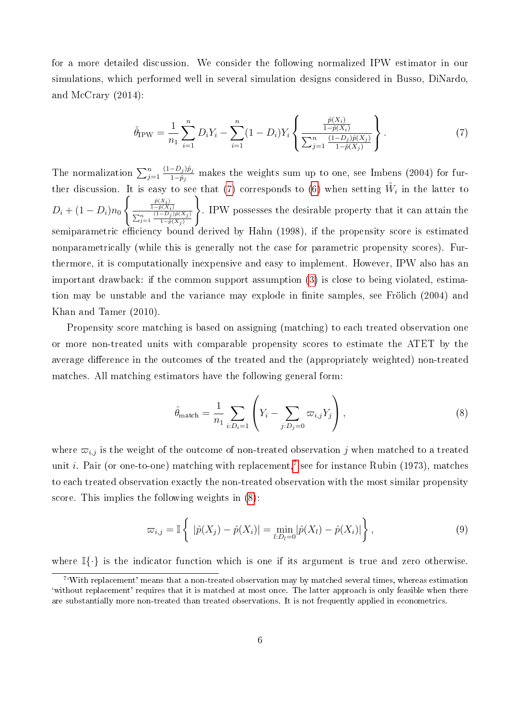for a more detailed discussion. We consider the following normalized IPW estimator in our simulations, which performed well in several simulation designs considered in Busso, DiNardo, and McCrary (2014):

<span id="page-8-0"></span>
$$
\hat{\theta}_{IPW} = \frac{1}{n_1} \sum_{i=1}^{n} D_i Y_i - \sum_{i=1}^{n} (1 - D_i) Y_i \left\{ \frac{\frac{\hat{p}(X_i)}{1 - \hat{p}(X_i)}}{\sum_{j=1}^{n} \frac{(1 - D_j)\hat{p}(X_j)}{1 - \hat{p}(X_j)}} \right\}.
$$
\n(7)

The normalization  $\sum_{j=1}^n$  $(1-D_j)\hat{p}_j$  $\frac{-D_j/p_j}{1-\hat{p}_j}$  makes the weights sum up to one, see Imbens (2004) for fur-ther discussion. It is easy to see that [\(7\)](#page-8-0) corresponds to [\(6\)](#page-7-2) when setting  $\hat{W}_i$  in the latter to  $D_i + (1 - D_i)n_0$  $\int \frac{\hat{p}(X_i)}{1-\hat{p}(X_i)}$  $\sum_{j=1}^n \frac{(1-D_j)\hat{p}(X_j)}{1-\hat{p}(X_j)}$  $1-p(X_j)$  $\lambda$ . IPW possesses the desirable property that it can attain the semiparametric efficiency bound derived by Hahn (1998), if the propensity score is estimated nonparametrically (while this is generally not the case for parametric propensity scores). Furthermore, it is computationally inexpensive and easy to implement. However, IPW also has an important drawback: if the common support assumption [\(3\)](#page-7-0) is close to being violated, estimation may be unstable and the variance may explode in finite samples, see Frölich (2004) and Khan and Tamer (2010).

Propensity score matching is based on assigning (matching) to each treated observation one or more non-treated units with comparable propensity scores to estimate the ATET by the average difference in the outcomes of the treated and the (appropriately weighted) non-treated matches. All matching estimators have the following general form:

<span id="page-8-1"></span>
$$
\hat{\theta}_{\text{match}} = \frac{1}{n_1} \sum_{i:D_i=1} \left( Y_i - \sum_{j:D_j=0} \varpi_{i,j} Y_j \right),\tag{8}
$$

where  $\varpi_{i,j}$  is the weight of the outcome of non-treated observation j when matched to a treated unit *i*. Pair (or one-to-one) matching with replacement,<sup>[7](#page--1-0)</sup> see for instance Rubin (1973), matches to each treated observation exactly the non-treated observation with the most similar propensity score. This implies the following weights in [\(8\)](#page-8-1):

<span id="page-8-2"></span>
$$
\varpi_{i,j} = \mathbb{I}\left\{ |\hat{p}(X_j) - \hat{p}(X_i)| = \min_{l:D_l=0} |\hat{p}(X_l) - \hat{p}(X_i)| \right\},\tag{9}
$$

where  $\mathbb{I}\{\cdot\}$  is the indicator function which is one if its argument is true and zero otherwise.

<sup>&</sup>lt;sup>7</sup>'With replacement' means that a non-treated observation may by matched several times, whereas estimation `without replacement' requires that it is matched at most once. The latter approach is only feasible when there are substantially more non-treated than treated observations. It is not frequently applied in econometrics.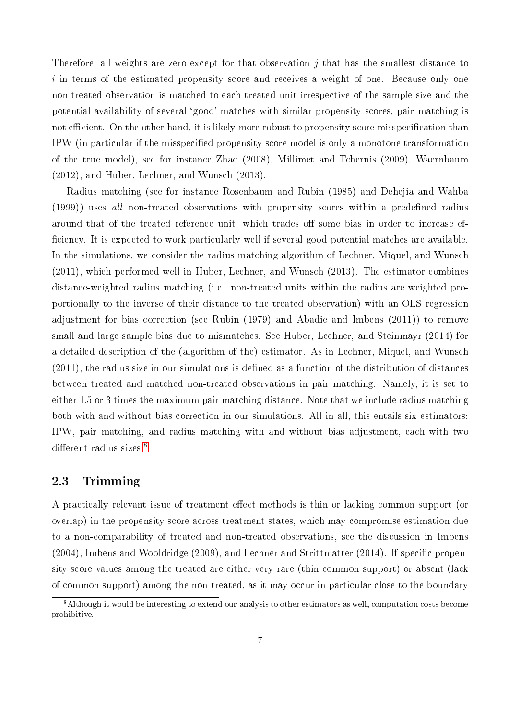Therefore, all weights are zero except for that observation  $j$  that has the smallest distance to  $i$  in terms of the estimated propensity score and receives a weight of one. Because only one non-treated observation is matched to each treated unit irrespective of the sample size and the potential availability of several `good' matches with similar propensity scores, pair matching is not efficient. On the other hand, it is likely more robust to propensity score misspecification than IPW (in particular if the misspecified propensity score model is only a monotone transformation of the true model), see for instance Zhao (2008), Millimet and Tchernis (2009), Waernbaum (2012), and Huber, Lechner, and Wunsch (2013).

Radius matching (see for instance Rosenbaum and Rubin (1985) and Dehejia and Wahba (1999)) uses all non-treated observations with propensity scores within a predefined radius around that of the treated reference unit, which trades off some bias in order to increase efficiency. It is expected to work particularly well if several good potential matches are available. In the simulations, we consider the radius matching algorithm of Lechner, Miquel, and Wunsch (2011), which performed well in Huber, Lechner, and Wunsch (2013). The estimator combines distance-weighted radius matching (i.e. non-treated units within the radius are weighted proportionally to the inverse of their distance to the treated observation) with an OLS regression adjustment for bias correction (see Rubin (1979) and Abadie and Imbens (2011)) to remove small and large sample bias due to mismatches. See Huber, Lechner, and Steinmayr (2014) for a detailed description of the (algorithm of the) estimator. As in Lechner, Miquel, and Wunsch  $(2011)$ , the radius size in our simulations is defined as a function of the distribution of distances between treated and matched non-treated observations in pair matching. Namely, it is set to either 1.5 or 3 times the maximum pair matching distance. Note that we include radius matching both with and without bias correction in our simulations. All in all, this entails six estimators: IPW, pair matching, and radius matching with and without bias adjustment, each with two different radius sizes.<sup>[8](#page--1-0)</sup>

#### <span id="page-9-0"></span>2.3 Trimming

A practically relevant issue of treatment effect methods is thin or lacking common support (or overlap) in the propensity score across treatment states, which may compromise estimation due to a non-comparability of treated and non-treated observations, see the discussion in Imbens  $(2004)$ , Imbens and Wooldridge  $(2009)$ , and Lechner and Strittmatter  $(2014)$ . If specific propensity score values among the treated are either very rare (thin common support) or absent (lack of common support) among the non-treated, as it may occur in particular close to the boundary

<sup>8</sup>Although it would be interesting to extend our analysis to other estimators as well, computation costs become prohibitive.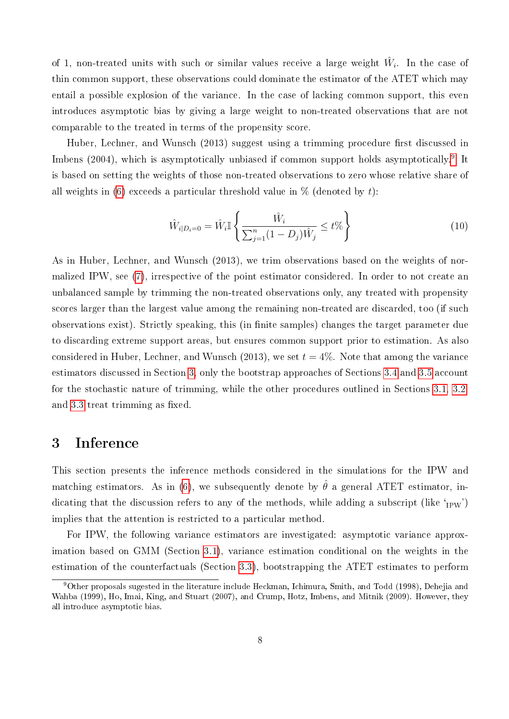of 1, non-treated units with such or similar values receive a large weight  $\hat{W}_i$ . In the case of thin common support, these observations could dominate the estimator of the ATET which may entail a possible explosion of the variance. In the case of lacking common support, this even introduces asymptotic bias by giving a large weight to non-treated observations that are not comparable to the treated in terms of the propensity score.

Huber, Lechner, and Wunsch (2013) suggest using a trimming procedure first discussed in Imbens (2004), which is asymptotically unbiased if common support holds asymptotically.<sup>[9](#page--1-0)</sup> It is based on setting the weights of those non-treated observations to zero whose relative share of all weights in [\(6\)](#page-7-2) exceeds a particular threshold value in  $\%$  (denoted by t):

$$
\hat{W}_{i|D_i=0} = \hat{W}_i \mathbb{I} \left\{ \frac{\hat{W}_i}{\sum_{j=1}^n (1 - D_j) \hat{W}_j} \le t\% \right\}
$$
\n(10)

As in Huber, Lechner, and Wunsch (2013), we trim observations based on the weights of normalized IPW, see [\(7\)](#page-8-0), irrespective of the point estimator considered. In order to not create an unbalanced sample by trimming the non-treated observations only, any treated with propensity scores larger than the largest value among the remaining non-treated are discarded, too (if such observations exist). Strictly speaking, this (in finite samples) changes the target parameter due to discarding extreme support areas, but ensures common support prior to estimation. As also considered in Huber, Lechner, and Wunsch (2013), we set  $t = 4\%$ . Note that among the variance estimators discussed in Section [3,](#page-10-0) only the bootstrap approaches of Sections [3.4](#page-18-0) and [3.5](#page-20-0) account for the stochastic nature of trimming, while the other procedures outlined in Sections [3.1,](#page-11-0) [3.2,](#page-13-0) and [3.3](#page-15-0) treat trimming as fixed.

### <span id="page-10-0"></span>3 Inference

This section presents the inference methods considered in the simulations for the IPW and matching estimators. As in [\(6\)](#page-7-2), we subsequently denote by  $\hat{\theta}$  a general ATET estimator, indicating that the discussion refers to any of the methods, while adding a subscript (like  $_{\text{IPW}}'$ ) implies that the attention is restricted to a particular method.

For IPW, the following variance estimators are investigated: asymptotic variance approximation based on GMM (Section [3.1\)](#page-11-0), variance estimation conditional on the weights in the estimation of the counterfactuals (Section [3.3\)](#page-15-0), bootstrapping the ATET estimates to perform

<sup>9</sup>Other proposals sugested in the literature include Heckman, Ichimura, Smith, and Todd (1998), Dehejia and Wahba (1999), Ho, Imai, King, and Stuart (2007), and Crump, Hotz, Imbens, and Mitnik (2009). However, they all introduce asymptotic bias.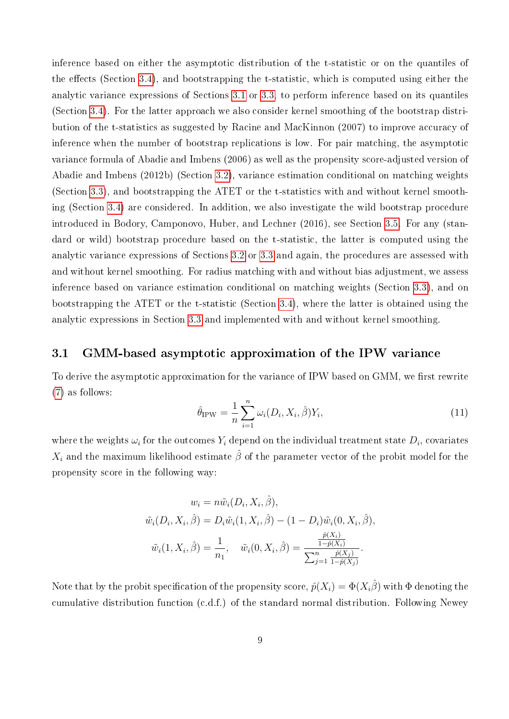inference based on either the asymptotic distribution of the t-statistic or on the quantiles of the effects (Section [3.4\)](#page-18-0), and bootstrapping the t-statistic, which is computed using either the analytic variance expressions of Sections [3.1](#page-11-0) or [3.3,](#page-15-0) to perform inference based on its quantiles (Section [3.4\)](#page-18-0). For the latter approach we also consider kernel smoothing of the bootstrap distribution of the t-statistics as suggested by Racine and MacKinnon (2007) to improve accuracy of inference when the number of bootstrap replications is low. For pair matching, the asymptotic variance formula of Abadie and Imbens (2006) as well as the propensity score-adjusted version of Abadie and Imbens (2012b) (Section [3.2\)](#page-13-0), variance estimation conditional on matching weights (Section [3.3\)](#page-15-0), and bootstrapping the ATET or the t-statistics with and without kernel smoothing (Section [3.4\)](#page-18-0) are considered. In addition, we also investigate the wild bootstrap procedure introduced in Bodory, Camponovo, Huber, and Lechner (2016), see Section [3.5.](#page-20-0) For any (standard or wild) bootstrap procedure based on the t-statistic, the latter is computed using the analytic variance expressions of Sections [3.2](#page-13-0) or [3.3](#page-15-0) and again, the procedures are assessed with and without kernel smoothing. For radius matching with and without bias adjustment, we assess inference based on variance estimation conditional on matching weights (Section [3.3\)](#page-15-0), and on bootstrapping the ATET or the t-statistic (Section [3.4\)](#page-18-0), where the latter is obtained using the analytic expressions in Section [3.3](#page-15-0) and implemented with and without kernel smoothing.

#### <span id="page-11-0"></span>3.1 GMM-based asymptotic approximation of the IPW variance

To derive the asymptotic approximation for the variance of IPW based on GMM, we first rewrite [\(7\)](#page-8-0) as follows:

<span id="page-11-1"></span>
$$
\hat{\theta}_{IPW} = \frac{1}{n} \sum_{i=1}^{n} \omega_i(D_i, X_i, \hat{\beta}) Y_i,
$$
\n(11)

where the weights  $\omega_i$  for the outcomes  $Y_i$  depend on the individual treatment state  $D_i$ , covariates  $X_i$  and the maximum likelihood estimate  $\hat{\beta}$  of the parameter vector of the probit model for the propensity score in the following way:

$$
w_i = n\tilde{w}_i(D_i, X_i, \hat{\beta}),
$$
  

$$
\tilde{w}_i(D_i, X_i, \hat{\beta}) = D_i \tilde{w}_i(1, X_i, \hat{\beta}) - (1 - D_i)\tilde{w}_i(0, X_i, \hat{\beta}),
$$
  

$$
\tilde{w}_i(1, X_i, \hat{\beta}) = \frac{1}{n_1}, \quad \tilde{w}_i(0, X_i, \hat{\beta}) = \frac{\frac{\hat{p}(X_i)}{1 - \hat{p}(X_i)}}{\sum_{j=1}^n \frac{\hat{p}(X_j)}{1 - \hat{p}(X_j)}}.
$$

Note that by the probit specification of the propensity score,  $\hat{p}(X_i) = \Phi(X_i\hat{\beta})$  with  $\Phi$  denoting the cumulative distribution function (c.d.f.) of the standard normal distribution. Following Newey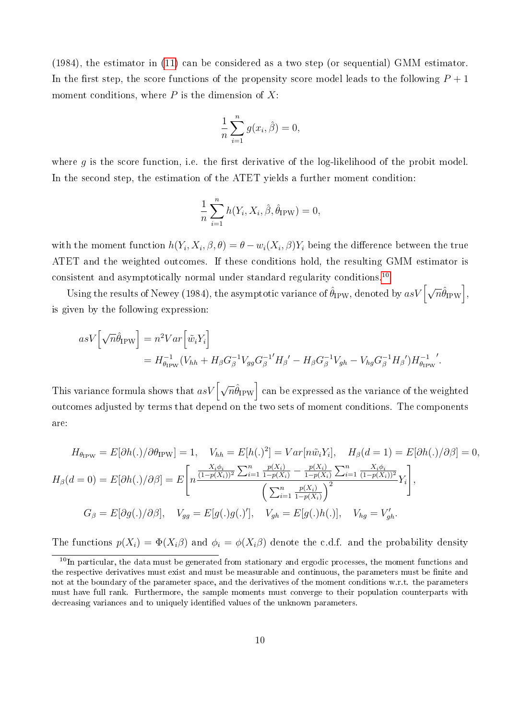(1984), the estimator in [\(11\)](#page-11-1) can be considered as a two step (or sequential) GMM estimator. In the first step, the score functions of the propensity score model leads to the following  $P + 1$ moment conditions, where  $P$  is the dimension of  $X$ :

$$
\frac{1}{n} \sum_{i=1}^{n} g(x_i, \hat{\beta}) = 0,
$$

where g is the score function, i.e. the first derivative of the log-likelihood of the probit model. In the second step, the estimation of the ATET yields a further moment condition:

$$
\frac{1}{n}\sum_{i=1}^{n} h(Y_i, X_i, \hat{\beta}, \hat{\theta}_{IPW}) = 0,
$$

with the moment function  $h(Y_i, X_i, \beta, \theta) = \theta - w_i(X_i, \beta)Y_i$  being the difference between the true ATET and the weighted outcomes. If these conditions hold, the resulting GMM estimator is consistent and asymptotically normal under standard regularity conditions.[10](#page--1-0)

Using the results of Newey (1984), the asymptotic variance of  $\hat{\theta}_{\rm IPW}$ , denoted by  $asV\left[\sqrt{n}\hat{\theta}_{\rm IPW}\right]$ , is given by the following expression:

$$
asV\left[\sqrt{n}\hat{\theta}_{IPW}\right] = n^2 Var\left[\tilde{w}_i Y_i\right]
$$
  
=  $H_{\theta_{IPW}}^{-1} (V_{hh} + H_{\beta} G_{\beta}^{-1} V_{gg} G_{\beta}^{-1'} H_{\beta'}' - H_{\beta} G_{\beta}^{-1} V_{gh} - V_{hg} G_{\beta}^{-1} H_{\beta'}') H_{\theta_{IPW}}^{-1}.$ 

This variance formula shows that  $asV\big[\sqrt{n}\hat{\theta}_{\mathrm{IPW}}\big]$  can be expressed as the variance of the weighted outcomes adjusted by terms that depend on the two sets of moment conditions. The components are:

$$
H_{\theta_{IPW}} = E[\partial h(.)/\partial \theta_{IPW}] = 1, \quad V_{hh} = E[h(.)^2] = Var[n\tilde{w}_i Y_i], \quad H_{\beta}(d=1) = E[\partial h(.)/\partial \beta] = 0,
$$
  
\n
$$
H_{\beta}(d=0) = E[\partial h(.)/\partial \beta] = E\left[n\frac{\frac{X_i \phi_i}{(1-p(X_i))^2} \sum_{i=1}^n \frac{p(X_i)}{1-p(X_i)} - \frac{p(X_i)}{1-p(X_i)} \sum_{i=1}^n \frac{X_i \phi_i}{(1-p(X_i))^2}}{\left(\sum_{i=1}^n \frac{p(X_i)}{1-p(X_i)}\right)^2} Y_i\right],
$$
  
\n
$$
G_{\beta} = E[\partial g(.)/\partial \beta], \quad V_{gg} = E[g(.)g(.)'], \quad V_{gh} = E[g(.)h(.)], \quad V_{hg} = V'_{gh}.
$$

The functions  $p(X_i) = \Phi(X_i \beta)$  and  $\phi_i = \phi(X_i \beta)$  denote the c.d.f. and the probability density

 $10$ In particular, the data must be generated from stationary and ergodic processes, the moment functions and the respective derivatives must exist and must be measurable and continuous, the parameters must be finite and not at the boundary of the parameter space, and the derivatives of the moment conditions w.r.t. the parameters must have full rank. Furthermore, the sample moments must converge to their population counterparts with decreasing variances and to uniquely identified values of the unknown parameters.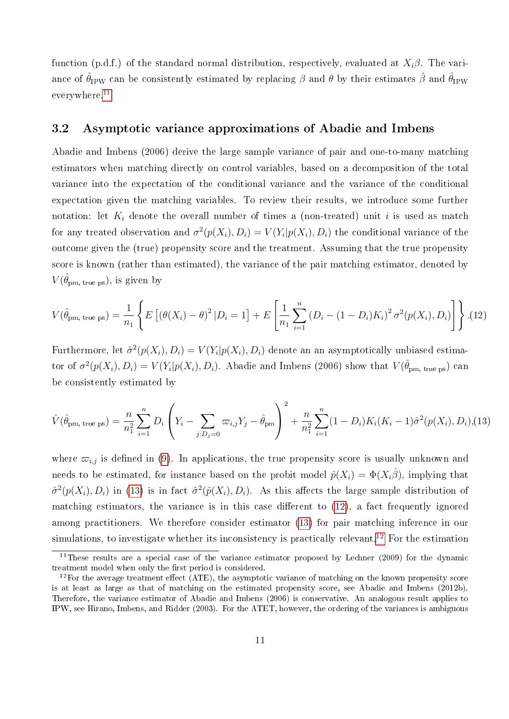function (p.d.f.) of the standard normal distribution, respectively, evaluated at  $X_i\beta$ . The variance of  $\hat{\theta}_{IPW}$  can be consistently estimated by replacing  $\beta$  and  $\theta$  by their estimates  $\hat{\beta}$  and  $\hat{\theta}_{IPW}$ everywhere.[11](#page--1-0)

#### <span id="page-13-0"></span>3.2 Asymptotic variance approximations of Abadie and Imbens

Abadie and Imbens (2006) derive the large sample variance of pair and one-to-many matching estimators when matching directly on control variables, based on a decomposition of the total variance into the expectation of the conditional variance and the variance of the conditional expectation given the matching variables. To review their results, we introduce some further notation: let  $K_i$  denote the overall number of times a (non-treated) unit i is used as match for any treated observation and  $\sigma^2(p(X_i), D_i) = V(Y_i|p(X_i), D_i)$  the conditional variance of the outcome given the (true) propensity score and the treatment. Assuming that the true propensity score is known (rather than estimated), the variance of the pair matching estimator, denoted by  $V(\hat{\theta}_{\mathrm{pm, \, true \, ps}})$ , is given by

<span id="page-13-2"></span>
$$
V(\hat{\theta}_{\text{pm, true ps}}) = \frac{1}{n_1} \left\{ E\left[ (\theta(X_i) - \theta)^2 | D_i = 1 \right] + E\left[ \frac{1}{n_1} \sum_{i=1}^n (D_i - (1 - D_i) K_i)^2 \sigma^2(p(X_i), D_i) \right] \right\}.
$$
 (12)

Furthermore, let  $\hat{\sigma}^2(p(X_i), D_i) = V(Y_i | p(X_i), D_i)$  denote an an asymptotically unbiased estimator of  $\sigma^2(p(X_i), D_i) = V(Y_i | p(X_i), D_i)$ . Abadie and Imbens (2006) show that  $V(\hat{\theta}_{pm, true ps})$  can be consistently estimated by

<span id="page-13-1"></span>
$$
\hat{V}(\hat{\theta}_{\text{pm, true ps}}) = \frac{n}{n_1^2} \sum_{i=1}^n D_i \left( Y_i - \sum_{j: D_j = 0} \varpi_{i,j} Y_j - \hat{\theta}_{\text{pm}} \right)^2 + \frac{n}{n_1^2} \sum_{i=1}^n (1 - D_i) K_i (K_i - 1) \hat{\sigma}^2(p(X_i), D_i), (13)
$$

where  $\varpi_{i,j}$  is defined in [\(9\)](#page-8-2). In applications, the true propensity score is usually unknown and needs to be estimated, for instance based on the probit model  $\hat{p}(X_i) = \Phi(X_i\hat{\beta})$ , implying that  $\hat{\sigma}^2(p(X_i), D_i)$  in [\(13\)](#page-13-1) is in fact  $\hat{\sigma}^2(p(X_i), D_i)$ . As this affects the large sample distribution of matching estimators, the variance is in this case different to  $(12)$ , a fact frequently ignored among practitioners. We therefore consider estimator [\(13\)](#page-13-1) for pair matching inference in our simulations, to investigate whether its inconsistency is practically relevant.<sup>[12](#page--1-0)</sup> For the estimation

 $11$ These results are a special case of the variance estimator proposed by Lechner (2009) for the dynamic treatment model when only the first period is considered.

 $12$ For the average treatment effect (ATE), the asymptotic variance of matching on the known propensity score is at least as large as that of matching on the estimated propensity score, see Abadie and Imbens (2012b). Therefore, the variance estimator of Abadie and Imbens (2006) is conservative. An analogous result applies to IPW, see Hirano, Imbens, and Ridder (2003). For the ATET, however, the ordering of the variances is ambiguous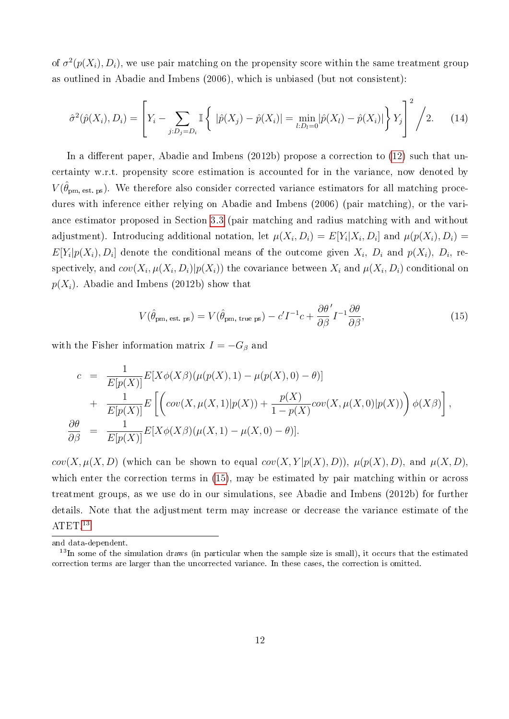of  $\sigma^2(p(X_i), D_i)$ , we use pair matching on the propensity score within the same treatment group as outlined in Abadie and Imbens (2006), which is unbiased (but not consistent):

<span id="page-14-1"></span>
$$
\hat{\sigma}^2(\hat{p}(X_i), D_i) = \left[ Y_i - \sum_{j:D_j = D_i} \mathbb{I} \left\{ |\hat{p}(X_j) - \hat{p}(X_i)| = \min_{l:D_l = 0} |\hat{p}(X_l) - \hat{p}(X_i)| \right\} Y_j \right]^2 / 2. \tag{14}
$$

In a different paper, Abadie and Imbens  $(2012b)$  propose a correction to  $(12)$  such that uncertainty w.r.t. propensity score estimation is accounted for in the variance, now denoted by  $V(\hat{\theta}_{\mathrm{pm, est. ps}})$ . We therefore also consider corrected variance estimators for all matching procedures with inference either relying on Abadie and Imbens (2006) (pair matching), or the variance estimator proposed in Section [3.3](#page-15-0) (pair matching and radius matching with and without adjustment). Introducing additional notation, let  $\mu(X_i, D_i) = E[Y_i | X_i, D_i]$  and  $\mu(p(X_i), D_i) =$  $E[Y_i|p(X_i), D_i]$  denote the conditional means of the outcome given  $X_i$ ,  $D_i$  and  $p(X_i)$ ,  $D_i$ , respectively, and  $cov(X_i, \mu(X_i, D_i) | p(X_i))$  the covariance between  $X_i$  and  $\mu(X_i, D_i)$  conditional on  $p(X_i)$ . Abadie and Imbens (2012b) show that

<span id="page-14-0"></span>
$$
V(\hat{\theta}_{\text{pm, est. ps}}) = V(\hat{\theta}_{\text{pm, true ps}}) - c'I^{-1}c + \frac{\partial \theta'}{\partial \beta}I^{-1}\frac{\partial \theta}{\partial \beta},
$$
\n(15)

with the Fisher information matrix  $I = -G_\beta$  and

$$
c = \frac{1}{E[p(X)]} E[X\phi(X\beta)(\mu(p(X),1) - \mu(p(X),0) - \theta)]
$$
  
+ 
$$
\frac{1}{E[p(X)]} E\left[\left(cov(X,\mu(X,1)|p(X)) + \frac{p(X)}{1 - p(X)}cov(X,\mu(X,0)|p(X))\right)\phi(X\beta)\right],
$$
  

$$
\frac{\partial \theta}{\partial \beta} = \frac{1}{E[p(X)]} E[X\phi(X\beta)(\mu(X,1) - \mu(X,0) - \theta)].
$$

 $cov(X, \mu(X, D))$  (which can be shown to equal  $cov(X, Y | p(X), D)$ ),  $\mu(p(X), D)$ , and  $\mu(X, D)$ , which enter the correction terms in [\(15\)](#page-14-0), may be estimated by pair matching within or across treatment groups, as we use do in our simulations, see Abadie and Imbens (2012b) for further details. Note that the adjustment term may increase or decrease the variance estimate of the ATET.<sup>[13](#page--1-0)</sup>

and data-dependent.

<sup>&</sup>lt;sup>13</sup>In some of the simulation draws (in particular when the sample size is small), it occurs that the estimated correction terms are larger than the uncorrected variance. In these cases, the correction is omitted.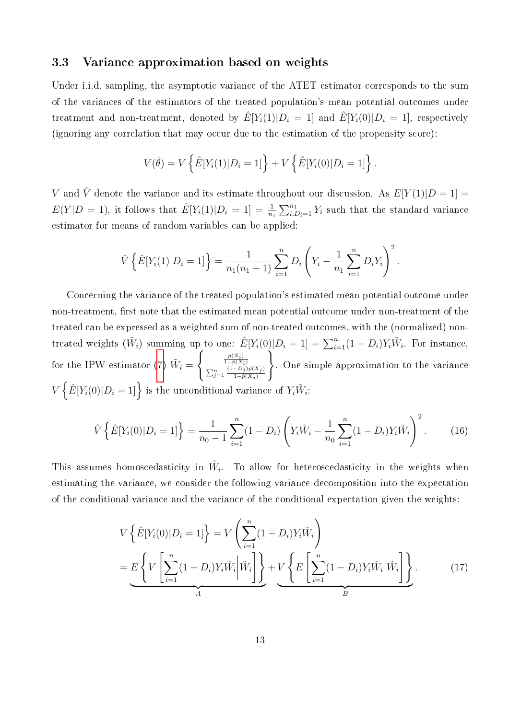#### <span id="page-15-0"></span>3.3 Variance approximation based on weights

Under i.i.d. sampling, the asymptotic variance of the ATET estimator corresponds to the sum of the variances of the estimators of the treated population's mean potential outcomes under treatment and non-treatment, denoted by  $\hat{E}[Y_i(1)|D_i = 1]$  and  $\hat{E}[Y_i(0)|D_i = 1]$ , respectively (ignoring any correlation that may occur due to the estimation of the propensity score):

$$
V(\hat{\theta}) = V\left\{\hat{E}[Y_i(1)|D_i = 1]\right\} + V\left\{\hat{E}[Y_i(0)|D_i = 1]\right\}.
$$

V and  $\hat{V}$  denote the variance and its estimate throughout our discussion. As  $E[Y(1)|D=1] =$  $E(Y|D = 1)$ , it follows that  $\hat{E}[Y_i(1)|D_i = 1] = \frac{1}{n_1} \sum_{i:D_i=1}^{n_1} Y_i$  such that the standard variance estimator for means of random variables can be applied:

$$
\hat{V}\left\{\hat{E}[Y_i(1)|D_i=1]\right\} = \frac{1}{n_1(n_1-1)}\sum_{i=1}^n D_i\left(Y_i - \frac{1}{n_1}\sum_{i=1}^n D_iY_i\right)^2.
$$

Concerning the variance of the treated population's estimated mean potential outcome under non-treatment, first note that the estimated mean potential outcome under non-treatment of the treated can be expressed as a weighted sum of non-treated outcomes, with the (normalized) nontreated weights  $(\tilde{W}_i)$  summing up to one:  $\hat{E}[Y_i(0)|D_i=1] = \sum_{i=1}^n (1-D_i) Y_i \tilde{W}_i$ . For instance, for the IPW estimator [\(7\)](#page-8-0)  $\tilde{W}_i =$  $\int \frac{\hat{p}(X_i)}{1-\hat{p}(X_i)}$  $\sum_{j=1}^n \frac{(1-D_j)\hat{p}(X_j)}{1-\hat{p}(X_i)}$  $1-p(X_j)$  $\mathcal{L}$ . One simple approximation to the variance  $V\left\{\hat{E}[Y_i(0)|D_i=1]\right\}$  is the unconditional variance of  $Y_i\tilde{W}_i$ :

<span id="page-15-2"></span>
$$
\hat{V}\left\{\hat{E}[Y_i(0)|D_i=1]\right\} = \frac{1}{n_0-1}\sum_{i=1}^n(1-D_i)\left(Y_i\tilde{W}_i-\frac{1}{n_0}\sum_{i=1}^n(1-D_i)Y_i\tilde{W}_i\right)^2.
$$
 (16)

This assumes homoscedasticity in  $\tilde{W}_i$ . To allow for heteroscedasticity in the weights when estimating the variance, we consider the following variance decomposition into the expectation of the conditional variance and the variance of the conditional expectation given the weights:

<span id="page-15-1"></span>
$$
V\left\{\hat{E}[Y_i(0)|D_i=1]\right\} = V\left(\sum_{i=1}^n (1-D_i)Y_i\tilde{W}_i\right)
$$
  
= 
$$
\underbrace{E\left\{V\left[\sum_{i=1}^n (1-D_i)Y_i\tilde{W}_i\middle|\tilde{W}_i\right]\right\}}_{A} + V\left\{E\left[\sum_{i=1}^n (1-D_i)Y_i\tilde{W}_i\middle|\tilde{W}_i\right]\right\}}_{B}.
$$
 (17)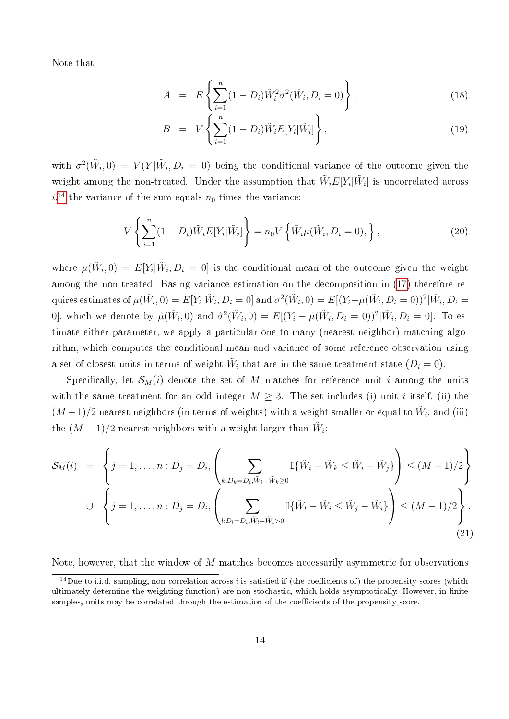Note that

<span id="page-16-0"></span>
$$
A = E\left\{\sum_{i=1}^{n} (1 - D_i)\tilde{W}_i^2 \sigma^2(\tilde{W}_i, D_i = 0)\right\},
$$
\n(18)

$$
B = V\left\{\sum_{i=1}^{n} (1 - D_i)\tilde{W}_i E[Y_i|\tilde{W}_i]\right\},\tag{19}
$$

with  $\sigma^2(\tilde{W}_i,0) = V(Y|\tilde{W}_i,D_i=0)$  being the conditional variance of the outcome given the weight among the non-treated. Under the assumption that  $\tilde{W}_i E[Y_i | \tilde{W}_i]$  is uncorrelated across  $i,$ <sup>[14](#page--1-0)</sup> the variance of the sum equals  $n_0$  times the variance:

<span id="page-16-1"></span>
$$
V\left\{\sum_{i=1}^{n} (1 - D_i)\tilde{W}_i E[Y_i|\tilde{W}_i]\right\} = n_0 V\left\{\tilde{W}_i \mu(\tilde{W}_i, D_i = 0),\right\},\tag{20}
$$

where  $\mu(\tilde{W}_i,0) = E[Y_i | \tilde{W}_i, D_i = 0]$  is the conditional mean of the outcome given the weight among the non-treated. Basing variance estimation on the decomposition in [\(17\)](#page-15-1) therefore requires estimates of  $\mu(\tilde{W}_i,0)=E[Y_i|\tilde{W}_i,D_i=0]$  and  $\sigma^2(\tilde{W}_i,0)=E[(Y_i-\mu(\tilde{W}_i,D_i=0))^2|\tilde{W}_i,D_i=0]$ 0], which we denote by  $\hat{\mu}(\tilde{W}_i,0)$  and  $\hat{\sigma}^2(\tilde{W}_i,0) = E[(Y_i - \hat{\mu}(\tilde{W}_i, D_i = 0))^2 | \tilde{W}_i, D_i = 0]$ . To estimate either parameter, we apply a particular one-to-many (nearest neighbor) matching algorithm, which computes the conditional mean and variance of some reference observation using a set of closest units in terms of weight  $\tilde{W}_i$  that are in the same treatment state  $(D_i = 0)$ .

Specifically, let  $S_M(i)$  denote the set of M matches for reference unit i among the units with the same treatment for an odd integer  $M \geq 3$ . The set includes (i) unit i itself, (ii) the  $(M-1)/2$  nearest neighbors (in terms of weights) with a weight smaller or equal to  $\tilde{W}_i$ , and (iii) the  $(M-1)/2$  nearest neighbors with a weight larger than  $\tilde{W}_i$ :

<span id="page-16-2"></span>
$$
\mathcal{S}_{M}(i) = \left\{ j = 1, ..., n : D_{j} = D_{i}, \left( \sum_{k: D_{k} = D_{i}, \tilde{W}_{i} - \tilde{W}_{k} \ge 0} \mathbb{I}\{\tilde{W}_{i} - \tilde{W}_{k} \le \tilde{W}_{i} - \tilde{W}_{j}\} \right) \le (M+1)/2 \right\}
$$
  

$$
\cup \left\{ j = 1, ..., n : D_{j} = D_{i}, \left( \sum_{l: D_{l} = D_{i}, \tilde{W}_{l} - \tilde{W}_{i} > 0} \mathbb{I}\{\tilde{W}_{l} - \tilde{W}_{i} \le \tilde{W}_{j} - \tilde{W}_{i}\} \right) \le (M-1)/2 \right\}.
$$
  
(21)

Note, however, that the window of M matches becomes necessarily asymmetric for observations

<sup>&</sup>lt;sup>14</sup>Due to i.i.d. sampling, non-correlation across i is satisfied if (the coefficients of) the propensity scores (which ultimately determine the weighting function) are non-stochastic, which holds asymptotically. However, in finite samples, units may be correlated through the estimation of the coefficients of the propensity score.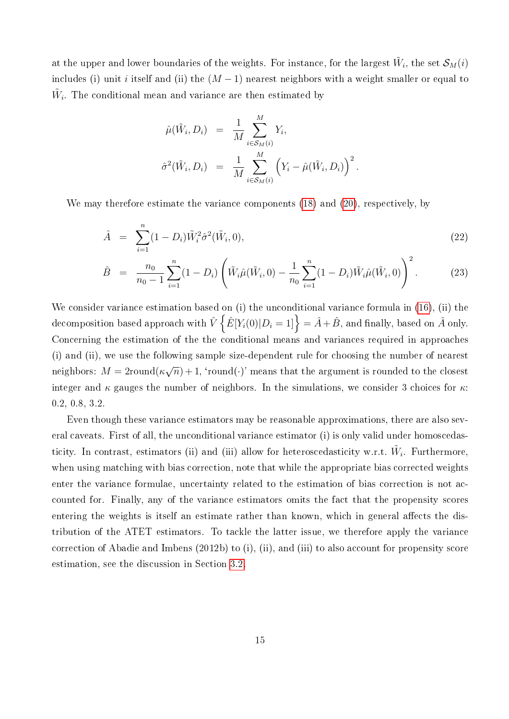at the upper and lower boundaries of the weights. For instance, for the largest  $\tilde{W}_i$ , the set  $\mathcal{S}_{M}(i)$ includes (i) unit i itself and (ii) the  $(M-1)$  nearest neighbors with a weight smaller or equal to  $\tilde{W}_i$ . The conditional mean and variance are then estimated by

$$
\hat{\mu}(\tilde{W}_i, D_i) = \frac{1}{M} \sum_{i \in S_M(i)}^M Y_i,
$$
  

$$
\hat{\sigma}^2(\tilde{W}_i, D_i) = \frac{1}{M} \sum_{i \in S_M(i)}^M (Y_i - \hat{\mu}(\tilde{W}_i, D_i))^2.
$$

We may therefore estimate the variance components [\(18\)](#page-16-0) and [\(20\)](#page-16-1), respectively, by

$$
\hat{A} = \sum_{i=1}^{n} (1 - D_i) \tilde{W}_i^2 \hat{\sigma}^2(\tilde{W}_i, 0), \qquad (22)
$$

$$
\hat{B} = \frac{n_0}{n_0 - 1} \sum_{i=1}^n (1 - D_i) \left( \tilde{W}_i \hat{\mu}(\tilde{W}_i, 0) - \frac{1}{n_0} \sum_{i=1}^n (1 - D_i) \tilde{W}_i \hat{\mu}(\tilde{W}_i, 0) \right)^2.
$$
 (23)

We consider variance estimation based on (i) the unconditional variance formula in [\(16\)](#page-15-2), (ii) the decomposition based approach with  $\hat{V}\left\{\hat{E}[Y_i(0)|D_i=1]\right\}=\hat{A}+\hat{B},$  and finally, based on  $\hat{A}$  only. Concerning the estimation of the the conditional means and variances required in approaches (i) and (ii), we use the following sample size-dependent rule for choosing the number of nearest neighbors:  $M = 2$ round $(\kappa)$ √  $\overline{n})+1, \hbox{ 'round}(\cdot) \hbox{ 'means that the argument is rounded to the closest}$ integer and  $\kappa$  gauges the number of neighbors. In the simulations, we consider 3 choices for  $\kappa$ : 0.2, 0.8, 3.2.

Even though these variance estimators may be reasonable approximations, there are also several caveats. First of all, the unconditional variance estimator (i) is only valid under homoscedasticity. In contrast, estimators (ii) and (iii) allow for heteroscedasticity w.r.t.  $\tilde{W}_i$ . Furthermore, when using matching with bias correction, note that while the appropriate bias corrected weights enter the variance formulae, uncertainty related to the estimation of bias correction is not accounted for. Finally, any of the variance estimators omits the fact that the propensity scores entering the weights is itself an estimate rather than known, which in general affects the distribution of the ATET estimators. To tackle the latter issue, we therefore apply the variance correction of Abadie and Imbens (2012b) to (i), (ii), and (iii) to also account for propensity score estimation, see the discussion in Section [3.2.](#page-13-0)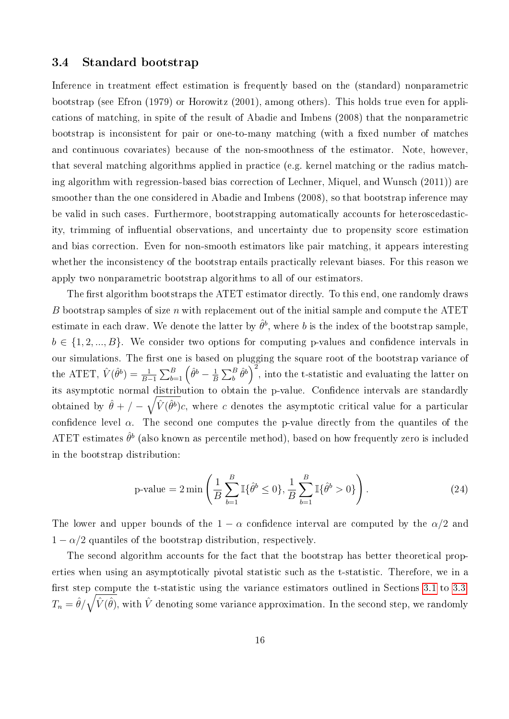#### <span id="page-18-0"></span>3.4 Standard bootstrap

Inference in treatment effect estimation is frequently based on the (standard) nonparametric bootstrap (see Efron (1979) or Horowitz (2001), among others). This holds true even for applications of matching, in spite of the result of Abadie and Imbens (2008) that the nonparametric bootstrap is inconsistent for pair or one-to-many matching (with a fixed number of matches and continuous covariates) because of the non-smoothness of the estimator. Note, however, that several matching algorithms applied in practice (e.g. kernel matching or the radius matching algorithm with regression-based bias correction of Lechner, Miquel, and Wunsch (2011)) are smoother than the one considered in Abadie and Imbens (2008), so that bootstrap inference may be valid in such cases. Furthermore, bootstrapping automatically accounts for heteroscedasticity, trimming of influential observations, and uncertainty due to propensity score estimation and bias correction. Even for non-smooth estimators like pair matching, it appears interesting whether the inconsistency of the bootstrap entails practically relevant biases. For this reason we apply two nonparametric bootstrap algorithms to all of our estimators.

The first algorithm bootstraps the ATET estimator directly. To this end, one randomly draws B bootstrap samples of size n with replacement out of the initial sample and compute the ATET estimate in each draw. We denote the latter by  $\hat{\theta}^b$ , where  $b$  is the index of the bootstrap sample,  $b \in \{1, 2, ..., B\}$ . We consider two options for computing p-values and confidence intervals in our simulations. The first one is based on plugging the square root of the bootstrap variance of the ATET,  $\hat{V}(\hat{\theta}^b) = \frac{1}{B-1} \sum_{b=1}^{B} (\hat{\theta}^b - \frac{1}{B})$  $\frac{1}{B}\sum_{b}^{B}\hat{\theta}^{b}\bigg)^{2}$ , into the t-statistic and evaluating the latter on its asymptotic normal distribution to obtain the p-value. Confidence intervals are standardly obtained by  $\hat{\theta} + / -\sqrt{\hat{V}(\hat{\theta}^b)}c$ , where c denotes the asymptotic critical value for a particular confidence level  $\alpha$ . The second one computes the p-value directly from the quantiles of the ATET estimates  $\hat{\theta}^b$  (also known as percentile method), based on how frequently zero is included in the bootstrap distribution:

p-value = 
$$
2 \min \left( \frac{1}{B} \sum_{b=1}^{B} \mathbb{I} \{\hat{\theta}^b \le 0 \}, \frac{1}{B} \sum_{b=1}^{B} \mathbb{I} \{\hat{\theta}^b > 0 \} \right)
$$
. (24)

The lower and upper bounds of the  $1 - \alpha$  confidence interval are computed by the  $\alpha/2$  and  $1 - \alpha/2$  quantiles of the bootstrap distribution, respectively.

The second algorithm accounts for the fact that the bootstrap has better theoretical properties when using an asymptotically pivotal statistic such as the t-statistic. Therefore, we in a first step compute the t-statistic using the variance estimators outlined in Sections [3.1](#page-11-0) to [3.3:](#page-15-0)  $T_n = \hat{\theta}/\sqrt{\hat{V}(\hat{\theta})},$  with  $\hat{V}$  denoting some variance approximation. In the second step, we randomly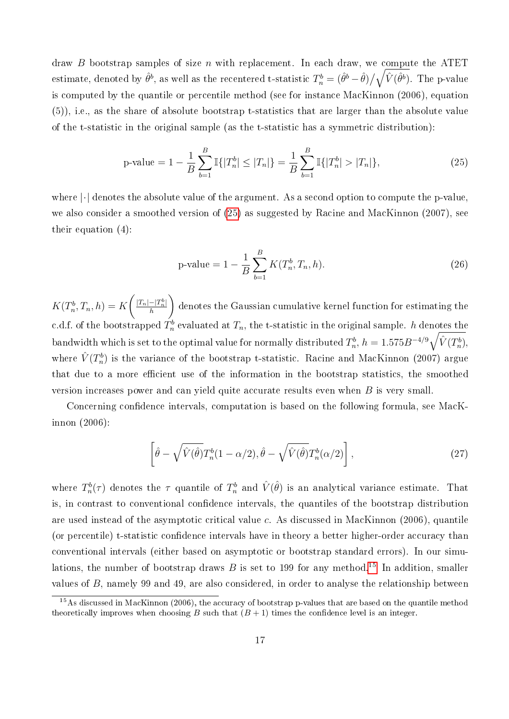draw B bootstrap samples of size n with replacement. In each draw, we compute the ATET estimate, denoted by  $\hat{\theta}^b$ , as well as the recentered t-statistic  $T^b_n=(\hat{\theta}^b-\hat{\theta})/\sqrt{\hat{V}(\hat{\theta}^b)}.$  The p-value is computed by the quantile or percentile method (see for instance MacKinnon (2006), equation (5)), i.e., as the share of absolute bootstrap t-statistics that are larger than the absolute value of the t-statistic in the original sample (as the t-statistic has a symmetric distribution):

<span id="page-19-0"></span>
$$
\text{p-value} = 1 - \frac{1}{B} \sum_{b=1}^{B} \mathbb{I}\{|T_n^b| \le |T_n|\} = \frac{1}{B} \sum_{b=1}^{B} \mathbb{I}\{|T_n^b| > |T_n|\},\tag{25}
$$

where  $\lvert \cdot \rvert$  denotes the absolute value of the argument. As a second option to compute the p-value, we also consider a smoothed version of [\(25\)](#page-19-0) as suggested by Racine and MacKinnon (2007), see their equation (4):

p-value = 
$$
1 - \frac{1}{B} \sum_{b=1}^{B} K(T_n^b, T_n, h).
$$
 (26)

 $K(T_n^b, T_n, h) = K$  $\int |T_n| - |T_n^b|$ h  $\setminus$ denotes the Gaussian cumulative kernel function for estimating the c.d.f. of the bootstrapped  $T_n^b$  evaluated at  $T_n$ , the t-statistic in the original sample.  $h$  denotes the bandwidth which is set to the optimal value for normally distributed  $T_n^b$ ,  $h=1.575B^{-4/9}\sqrt{\hat{V}(T_n^b)},$ where  $\hat{V}(T_n^b)$  is the variance of the bootstrap t-statistic. Racine and MacKinnon (2007) argue that due to a more efficient use of the information in the bootstrap statistics, the smoothed version increases power and can yield quite accurate results even when B is very small.

Concerning condence intervals, computation is based on the following formula, see MacKinnon (2006):

$$
\left[\hat{\theta} - \sqrt{\hat{V}(\hat{\theta})}T_n^b(1-\alpha/2), \hat{\theta} - \sqrt{\hat{V}(\hat{\theta})}T_n^b(\alpha/2)\right],\tag{27}
$$

where  $T_n^b(\tau)$  denotes the  $\tau$  quantile of  $T_n^b$  and  $\hat{V}(\hat{\theta})$  is an analytical variance estimate. That is, in contrast to conventional confidence intervals, the quantiles of the bootstrap distribution are used instead of the asymptotic critical value c. As discussed in MacKinnon (2006), quantile (or percentile) t-statistic confidence intervals have in theory a better higher-order accuracy than conventional intervals (either based on asymptotic or bootstrap standard errors). In our simulations, the number of bootstrap draws  $B$  is set to 199 for any method.<sup>[15](#page--1-0)</sup> In addition, smaller values of B, namely 99 and 49, are also considered, in order to analyse the relationship between

<sup>&</sup>lt;sup>15</sup>As discussed in MacKinnon (2006), the accuracy of bootstrap p-values that are based on the quantile method theoretically improves when choosing B such that  $(B + 1)$  times the confidence level is an integer.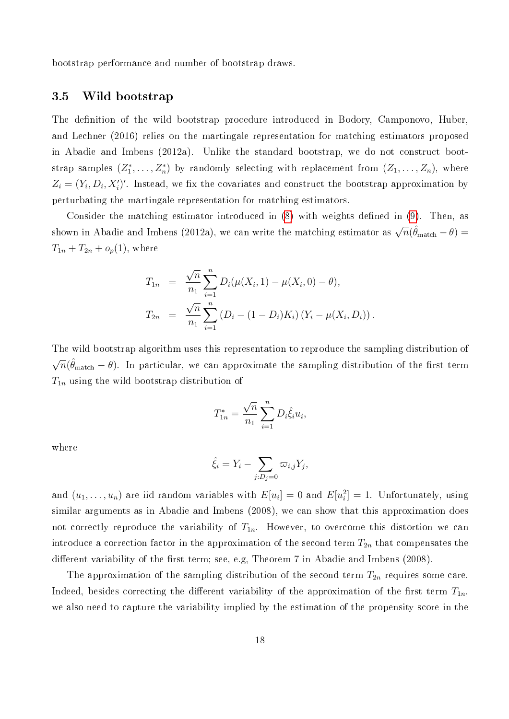bootstrap performance and number of bootstrap draws.

#### <span id="page-20-0"></span>3.5 Wild bootstrap

The definition of the wild bootstrap procedure introduced in Bodory, Camponovo, Huber, and Lechner (2016) relies on the martingale representation for matching estimators proposed in Abadie and Imbens (2012a). Unlike the standard bootstrap, we do not construct bootstrap samples  $(Z_1^*,...,Z_n^*)$  by randomly selecting with replacement from  $(Z_1,...,Z_n)$ , where  $Z_i = (Y_i, D_i, X'_i)'$ . Instead, we fix the covariates and construct the bootstrap approximation by perturbating the martingale representation for matching estimators.

Consider the matching estimator introduced in  $(8)$  with weights defined in  $(9)$ . Then, as shown in Abadie and Imbens (2012a), we can write the matching estimator as  $\sqrt{n}(\hat{\theta}_{\text{match}} - \theta) =$  $T_{1n} + T_{2n} + o_p(1)$ , where

$$
T_{1n} = \frac{\sqrt{n}}{n_1} \sum_{i=1}^n D_i(\mu(X_i, 1) - \mu(X_i, 0) - \theta),
$$
  
\n
$$
T_{2n} = \frac{\sqrt{n}}{n_1} \sum_{i=1}^n (D_i - (1 - D_i)K_i) (Y_i - \mu(X_i, D_i)).
$$

The wild bootstrap algorithm uses this representation to reproduce the sampling distribution of √  $\overline{n}(\hat{\theta}_\text{match} - \theta)$ . In particular, we can approximate the sampling distribution of the first term  $T_{1n}$  using the wild bootstrap distribution of

$$
T_{1n}^* = \frac{\sqrt{n}}{n_1} \sum_{i=1}^n D_i \hat{\xi}_i u_i,
$$

where

$$
\hat{\xi}_i = Y_i - \sum_{j:D_j=0} \varpi_{i,j} Y_j,
$$

and  $(u_1, \ldots, u_n)$  are iid random variables with  $E[u_i] = 0$  and  $E[u_i^2] = 1$ . Unfortunately, using similar arguments as in Abadie and Imbens (2008), we can show that this approximation does not correctly reproduce the variability of  $T_{1n}$ . However, to overcome this distortion we can introduce a correction factor in the approximation of the second term  $T_{2n}$  that compensates the different variability of the first term; see, e.g, Theorem 7 in Abadie and Imbens (2008).

The approximation of the sampling distribution of the second term  $T_{2n}$  requires some care. Indeed, besides correcting the different variability of the approximation of the first term  $T_{1n}$ , we also need to capture the variability implied by the estimation of the propensity score in the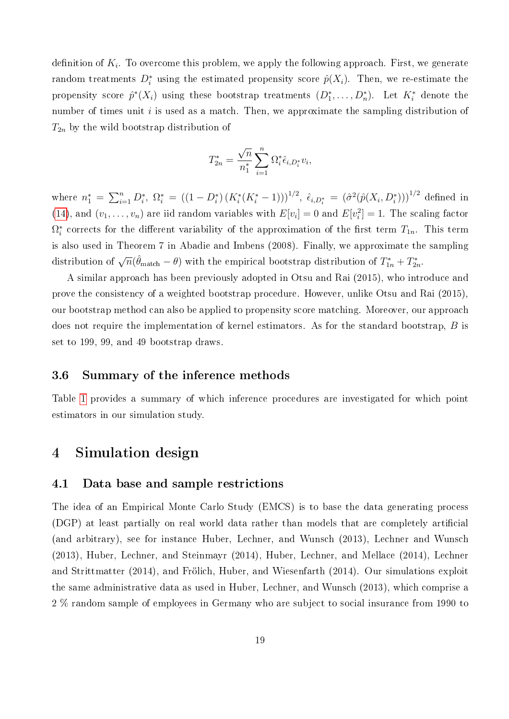definition of  $K_i$ . To overcome this problem, we apply the following approach. First, we generate random treatments  $D_i^*$  using the estimated propensity score  $\hat{p}(X_i)$ . Then, we re-estimate the propensity score  $\hat{p}^*(X_i)$  using these bootstrap treatments  $(D_1^*, \ldots, D_n^*)$ . Let  $K_i^*$  denote the number of times unit  $i$  is used as a match. Then, we approximate the sampling distribution of  $T_{2n}$  by the wild bootstrap distribution of

$$
T_{2n}^* = \frac{\sqrt{n}}{n_1^*} \sum_{i=1}^n \Omega_i^* \hat{\epsilon}_{i,D_i^*} v_i,
$$

where  $n_1^* = \sum_{i=1}^n D_i^*$ ,  $\Omega_i^* = ((1 - D_i^*) (K_i^*(K_i^* - 1)))^{1/2}$ ,  $\hat{\epsilon}_{i,D_i^*} = (\hat{\sigma}^2(\hat{p}(X_i, D_i^*)))^{1/2}$  defined in [\(14\)](#page-14-1), and  $(v_1, \ldots, v_n)$  are iid random variables with  $E[v_i] = 0$  and  $E[v_i^2] = 1$ . The scaling factor  $\Omega_i^*$  corrects for the different variability of the approximation of the first term  $T_{1n}$ . This term is also used in Theorem 7 in Abadie and Imbens (2008). Finally, we approximate the sampling distribution of  $\sqrt{n}(\hat{\theta}_{\text{match}} - \theta)$  with the empirical bootstrap distribution of  $T_{1n}^* + T_{2n}^*$ .

A similar approach has been previously adopted in Otsu and Rai (2015), who introduce and prove the consistency of a weighted bootstrap procedure. However, unlike Otsu and Rai (2015), our bootstrap method can also be applied to propensity score matching. Moreover, our approach does not require the implementation of kernel estimators. As for the standard bootstrap, B is set to 199, 99, and 49 bootstrap draws.

#### 3.6 Summary of the inference methods

Table [1](#page-22-0) provides a summary of which inference procedures are investigated for which point estimators in our simulation study.

### <span id="page-21-0"></span>4 Simulation design

#### 4.1 Data base and sample restrictions

The idea of an Empirical Monte Carlo Study (EMCS) is to base the data generating process (DGP) at least partially on real world data rather than models that are completely articial (and arbitrary), see for instance Huber, Lechner, and Wunsch (2013), Lechner and Wunsch (2013), Huber, Lechner, and Steinmayr (2014), Huber, Lechner, and Mellace (2014), Lechner and Strittmatter (2014), and Frölich, Huber, and Wiesenfarth (2014). Our simulations exploit the same administrative data as used in Huber, Lechner, and Wunsch (2013), which comprise a 2 % random sample of employees in Germany who are subject to social insurance from 1990 to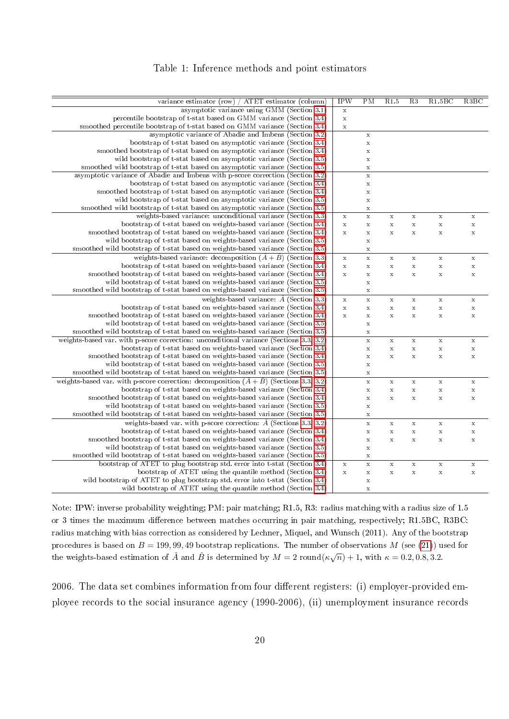#### Table 1: Inference methods and point estimators

<span id="page-22-0"></span>

| variance estimator (row) / ATET estimator (column)                                                  | <b>IPW</b>  | PM                 | R1.5        | R3          | R1.5BC      | R3BC        |
|-----------------------------------------------------------------------------------------------------|-------------|--------------------|-------------|-------------|-------------|-------------|
| asymptotic variance using GMM (Section 3.1)                                                         | $\mathbf x$ |                    |             |             |             |             |
| percentile bootstrap of t-stat based on GMM variance (Section 3.4)                                  | $\mathbf x$ |                    |             |             |             |             |
| smoothed percentile bootstrap of t-stat based on GMM variance (Section 3.4)                         | $\mathbf x$ |                    |             |             |             |             |
| asymptotic variance of Abadie and Imbens (Section 3.2)                                              |             | $\mathbf x$        |             |             |             |             |
| bootstrap of t-stat based on asymptotic variance (Section 3.4)                                      |             | $\mathbf x$        |             |             |             |             |
| smoothed bootstrap of t-stat based on asymptotic variance (Section 3.4)                             |             | $\mathbf x$        |             |             |             |             |
| wild bootstrap of t-stat based on asymptotic variance (Section 3.5)                                 |             | $\mathbf x$        |             |             |             |             |
| smoothed wild bootstrap of t-stat based on asymptotic variance (Section 3.5)                        |             | $\mathbf x$        |             |             |             |             |
| asymptotic variance of Abadie and Imbens with p-score correction (Section 3.2)                      |             | $\mathbf x$        |             |             |             |             |
| bootstrap of t-stat based on asymptotic variance (Section 3.4)                                      |             | $\mathbf x$        |             |             |             |             |
| smoothed bootstrap of t-stat based on asymptotic variance (Section 3.4)                             |             | $\mathbf x$        |             |             |             |             |
| wild bootstrap of t-stat based on asymptotic variance (Section 3.5)                                 |             | $\mathbf x$        |             |             |             |             |
| smoothed wild bootstrap of t-stat based on asymptotic variance (Section 3.5)                        |             | $\mathbf x$        |             |             |             |             |
| weights based variance: unconditional variance (Section 3.3)                                        | $\mathbf x$ | $\bar{\mathbf{x}}$ | $\mathbf x$ | $\mathbf x$ | $\mathbf x$ | $\mathbf x$ |
| bootstrap of t-stat based on weights-based variance (Section 3.4)                                   | $\mathbf x$ | $\mathbf x$        | $\mathbf x$ | $\mathbf X$ | $\mathbf x$ | X           |
| smoothed bootstrap of t-stat based on weights-based variance (Section 3.4)                          | $\mathbf x$ | $\mathbf x$        | $\mathbf x$ | $\mathbf X$ | $\mathbf x$ | X           |
| wild bootstrap of t-stat based on weights-based variance (Section 3.5)                              |             | $\mathbf x$        |             |             |             |             |
| smoothed wild bootstrap of t-stat based on weights-based variance (Section 3.5)                     |             | $\mathbf x$        |             |             |             |             |
| weights-based variance: decomposition $(\hat{A} + \hat{B})$ (Section 3.3)                           | $\mathbf x$ | $\mathbf x$        | $\mathbf x$ | $\mathbf x$ | $\mathbf x$ | X           |
| bootstrap of t-stat based on weights-based variance (Section 3.4)                                   | $\mathbf x$ | $\mathbf x$        | $\mathbf x$ | $\mathbf x$ | $\mathbf x$ | $\mathbf x$ |
| smoothed bootstrap of t-stat based on weights-based variance (Section 3.4)                          | $\mathbf x$ | $\mathbf x$        | $\mathbf x$ | $\mathbf x$ | $\mathbf x$ | $\mathbf x$ |
| wild bootstrap of t-stat based on weights-based variance (Section 3.5)                              |             | $\mathbf x$        |             |             |             |             |
| smoothed wild bootstrap of t-stat based on weights-based variance (Section 3.5)                     |             | $\mathbf x$        |             |             |             |             |
| weights-based variance: $\overline{A}$ (Section 3.3)                                                | $\mathbf x$ | $\mathbf x$        | $\mathbf x$ | $\mathbf x$ | $\mathbf X$ | $\mathbf x$ |
| bootstrap of t-stat based on weights-based variance (Section 3.4)                                   | $\mathbf x$ | $\mathbf x$        | $\mathbf x$ | $\mathbf x$ | $\mathbf x$ | $\mathbf x$ |
| smoothed bootstrap of t-stat based on weights-based variance (Section 3.4)                          | $\mathbf x$ | $\mathbf x$        | $\mathbf x$ | $\mathbf x$ | $\mathbf x$ | $\mathbf x$ |
| wild bootstrap of t-stat based on weights-based variance (Section 3.5)                              |             | $\mathbf x$        |             |             |             |             |
| smoothed wild bootstrap of t-stat based on weights-based variance (Section 3.5)                     |             | $\mathbf x$        |             |             |             |             |
| weights-based var. with p-score correction: unconditional variance (Sections 3.3, 3.2)              |             | $\mathbf x$        | $\mathbf x$ | $\mathbf x$ | $\mathbf x$ | $\mathbf x$ |
| bootstrap of t-stat based on weights-based variance (Section 3.4)                                   |             | $\mathbf x$        | $\mathbf x$ | $\mathbf x$ | $\mathbf x$ | $\mathbf x$ |
| smoothed bootstrap of t-stat based on weights-based variance (Section 3.4)                          |             | $\mathbf x$        | $\mathbf x$ | $\mathbf x$ | $\mathbf x$ | $\mathbf x$ |
| wild bootstrap of t-stat based on weights-based variance (Section 3.5)                              |             | $\mathbf x$        |             |             |             |             |
| smoothed wild bootstrap of t-stat based on weights-based variance (Section 3.5)                     |             | $\mathbf x$        |             |             |             |             |
| weights-based var. with p-score correction: decomposition $(\hat{A} + \hat{B})$ (Sections 3.3, 3.2) |             | $\mathbf x$        | $\mathbf x$ | $\mathbf x$ | $\mathbf x$ | $\mathbf x$ |
| bootstrap of t-stat based on weights-based variance (Section 3.4)                                   |             | $\mathbf x$        | $\mathbf x$ | $\mathbf x$ | $\mathbf x$ | $\mathbf x$ |
| smoothed bootstrap of t-stat based on weights-based variance (Section 3.4)                          |             | $\mathbf x$        | $\mathbf x$ | $\mathbf x$ | $\mathbf x$ | $\mathbf x$ |
| wild bootstrap of t-stat based on weights-based variance (Section 3.5)                              |             | $\mathbf x$        |             |             |             |             |
| smoothed wild bootstrap of t-stat based on weights-based variance (Section 3.5)                     |             | $\mathbf x$        |             |             |             |             |
| weights-based var. with p-score correction: $\hat{A}$ (Sections 3.3, 3.2)                           |             | $\mathbf x$        | $\mathbf x$ | $\mathbf x$ | $\mathbf x$ | $\mathbf x$ |
| bootstrap of t-stat based on weights-based variance (Section 3.4)                                   |             | $\mathbf x$        | $\mathbf x$ | $\mathbf x$ | $\mathbf x$ | $\mathbf x$ |
| smoothed bootstrap of t-stat based on weights-based variance (Section 3.4)                          |             | $\mathbf x$        | $\mathbf x$ | $\mathbf x$ | $\mathbf x$ | $\mathbf x$ |
| wild bootstrap of t-stat based on weights-based variance (Section 3.5)                              |             | $\mathbf x$        |             |             |             |             |
| smoothed wild bootstrap of t-stat based on weights-based variance (Section 3.5)                     |             | $\mathbf x$        |             |             |             |             |
| bootstrap of ATET to plug bootstrap std. error into t-stat (Section 3.4)                            | $\mathbf x$ | $\mathbf x$        | $\mathbf x$ | $\mathbf x$ | $\mathbf x$ | $\mathbf x$ |
| bootstrap of ATET using the quantile method (Section 3.4)                                           | $\mathbf x$ | $\mathbf x$        | $\mathbf x$ | $\mathbf X$ | $\mathbf x$ | $\mathbf x$ |
| wild bootstrap of ATET to plug bootstrap std. error into t-stat (Section 3.4)                       |             | $\mathbf x$        |             |             |             |             |
| wild bootstrap of ATET using the quantile method (Section 3.4)                                      |             | $\mathbf x$        |             |             |             |             |

Note: IPW: inverse probability weighting; PM: pair matching; R1.5, R3: radius matching with a radius size of 1.5 or 3 times the maximum difference between matches occurring in pair matching, respectively; R1.5BC, R3BC: radius matching with bias correction as considered by Lechner, Miquel, and Wunsch (2011). Any of the bootstrap procedures is based on  $B = 199, 99, 49$  bootstrap replications. The number of observations M (see [\(21\)](#page-16-2)) used for the weights-based estimation of  $\hat{A}$  and  $\hat{B}$  is determined by  $M = 2$  round( $\kappa \sqrt{n}$ ) + 1, with  $\kappa = 0.2, 0.8, 3.2$ .

2006. The data set combines information from four different registers: (i) employer-provided employee records to the social insurance agency (1990-2006), (ii) unemployment insurance records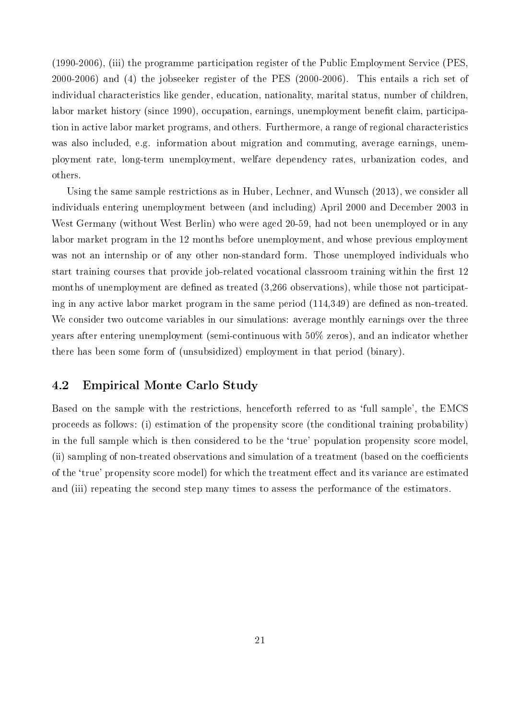(1990-2006), (iii) the programme participation register of the Public Employment Service (PES, 2000-2006) and (4) the jobseeker register of the PES (2000-2006). This entails a rich set of individual characteristics like gender, education, nationality, marital status, number of children, labor market history (since 1990), occupation, earnings, unemployment benefit claim, participation in active labor market programs, and others. Furthermore, a range of regional characteristics was also included, e.g. information about migration and commuting, average earnings, unemployment rate, long-term unemployment, welfare dependency rates, urbanization codes, and others.

Using the same sample restrictions as in Huber, Lechner, and Wunsch (2013), we consider all individuals entering unemployment between (and including) April 2000 and December 2003 in West Germany (without West Berlin) who were aged 20-59, had not been unemployed or in any labor market program in the 12 months before unemployment, and whose previous employment was not an internship or of any other non-standard form. Those unemployed individuals who start training courses that provide job-related vocational classroom training within the first 12 months of unemployment are defined as treated  $(3,266$  observations), while those not participating in any active labor market program in the same period  $(114,349)$  are defined as non-treated. We consider two outcome variables in our simulations: average monthly earnings over the three years after entering unemployment (semi-continuous with 50% zeros), and an indicator whether there has been some form of (unsubsidized) employment in that period (binary).

### 4.2 Empirical Monte Carlo Study

Based on the sample with the restrictions, henceforth referred to as 'full sample', the EMCS proceeds as follows: (i) estimation of the propensity score (the conditional training probability) in the full sample which is then considered to be the 'true' population propensity score model, (ii) sampling of non-treated observations and simulation of a treatment (based on the coefficients of the 'true' propensity score model) for which the treatment effect and its variance are estimated and (iii) repeating the second step many times to assess the performance of the estimators.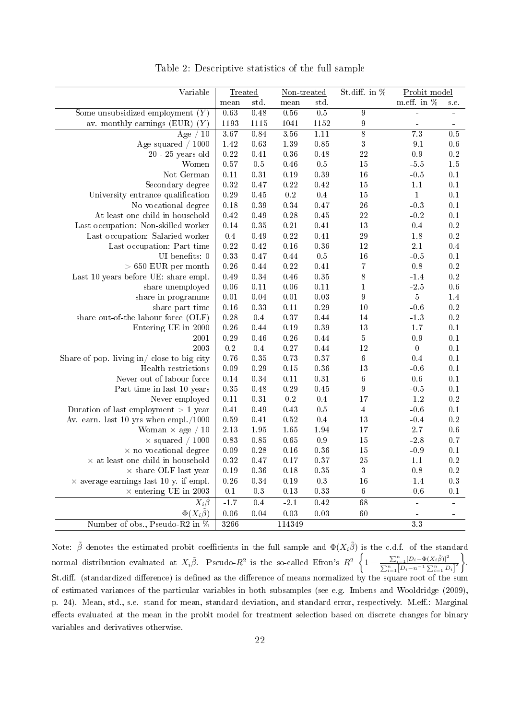<span id="page-24-0"></span>

| Variable                                         | Treated       |            | Non-treated |          | St.diff. in %    | Probit model     |           |
|--------------------------------------------------|---------------|------------|-------------|----------|------------------|------------------|-----------|
|                                                  | $_{\rm mean}$ | std.       | mean        | std.     |                  | m.eff. in %      | s.e.      |
| Some unsubsidized employment $(Y)$               | 0.63          | 0.48       | 0.56        | 0.5      | $\overline{9}$   |                  |           |
| av. monthly earnings (EUR) $(Y)$                 | 1193          | 1115       | 1041        | 1152     | $\boldsymbol{9}$ |                  |           |
| Age $/10$                                        | 3.67          | 0.84       | 3.56        | 1.11     | $\overline{8}$   | $\overline{7.3}$ | 0.5       |
| Age squared $/ 1000$                             | 1.42          | $\rm 0.63$ | $1.39\,$    | $0.85\,$ | $\sqrt{3}$       | $-9.1$           | $0.6\,$   |
| $20 - 25$ years old                              | $\rm 0.22$    | $0.41\,$   | $0.36\,$    | 0.48     | 22               | 0.9              | 0.2       |
| Women                                            | 0.57          | 0.5        | $0.46\,$    | $0.5\,$  | 15               | $-5.5$           | $1.5\,$   |
| Not German                                       | $0.11\,$      | $0.31\,$   | $0.19\,$    | 0.39     | 16               | $-0.5$           | $0.1\,$   |
| Secondary degree                                 | 0.32          | $0.47\,$   | $\rm 0.22$  | $0.42\,$ | 15               | $1.1\,$          | $0.1\,$   |
| University entrance qualification                | 0.29          | 0.45       | $\rm 0.2$   | $0.4\,$  | 15               | $\mathbf{1}$     | $0.1\,$   |
| No vocational degree                             | 0.18          | $0.39\,$   | 0.34        | 0.47     | 26               | $-0.3$           | 0.1       |
| At least one child in household                  | 0.42          | 0.49       | $0.28\,$    | 0.45     | 22               | $-0.2$           | 0.1       |
| Last occupation: Non-skilled worker              | $0.14\,$      | $0.35\,$   | $\rm 0.21$  | 0.41     | 13               | 0.4              | $\rm 0.2$ |
| Last occupation: Salaried worker                 | $0.4\,$       | 0.49       | $0.22\,$    | $0.41\,$ | $\sqrt{29}$      | 1.8              | 0.2       |
| Last occupation: Part time                       | $\rm 0.22$    | 0.42       | 0.16        | 0.36     | $12\,$           | $2.1\,$          | 0.4       |
| UI benefits: $0$                                 | 0.33          | 0.47       | $0.44\,$    | $0.5\,$  | 16               | $-0.5$           | 0.1       |
| $> 650$ EUR per month                            | 0.26          | $0.44\,$   | $\rm 0.22$  | $0.41\,$ | $\overline{7}$   | 0.8              | 0.2       |
| Last 10 years before UE: share empl.             | 0.49          | $0.34\,$   | 0.46        | 0.35     | 8                | $-1.4$           | 0.2       |
| share unemployed                                 | 0.06          | $0.11\,$   | 0.06        | $0.11\,$ | $\mathbf{1}$     | $-2.5$           | 0.6       |
| share in programme                               | $0.01\,$      | $0.04\,$   | $0.01\,$    | 0.03     | $\boldsymbol{9}$ | $5\,$            | 1.4       |
| share part time                                  | 0.16          | $0.33\,$   | $0.11\,$    | 0.29     | 10               | $-0.6$           | $\rm 0.2$ |
| share out-of-the labour force (OLF)              | 0.28          | 0.4        | $0.37\,$    | 0.44     | 14               | $-1.3$           | 0.2       |
| Entering UE in 2000                              | 0.26          | $0.44\,$   | $0.19\,$    | 0.39     | $13\,$           | 1.7              | 0.1       |
| 2001                                             | 0.29          | 0.46       | $0.26\,$    | $0.44\,$ | $\boldsymbol{5}$ | $\rm 0.9$        | 0.1       |
| 2003                                             | $\rm 0.2$     | 0.4        | $0.27\,$    | 0.44     | 12               | $\overline{0}$   | 0.1       |
| Share of pop. living in $\ell$ close to big city | 0.76          | $0.35\,$   | $0.73\,$    | 0.37     | $\,6$            | 0.4              | 0.1       |
| Health restrictions                              | 0.09          | $0.29\,$   | 0.15        | 0.36     | 13               | $-0.6$           | $0.1\,$   |
| Never out of labour force                        | 0.14          | $0.34\,$   | $0.11\,$    | $0.31\,$ | $\,6$            | 0.6              | 0.1       |
| Part time in last 10 years                       | $0.35\,$      | $0.48\,$   | $0.29\,$    | 0.45     | $\boldsymbol{9}$ | $-0.5$           | 0.1       |
| Never employed                                   | $0.11\,$      | $0.31\,$   | $\rm 0.2$   | $0.4\,$  | 17               | $-1.2$           | 0.2       |
| Duration of last employment $> 1$ year           | 0.41          | $0.49\,$   | 0.43        | $0.5\,$  | $\overline{4}$   | $-0.6$           | 0.1       |
| Av. earn. last $10$ yrs when empl./1000          | 0.59          | $0.41\,$   | $\rm 0.52$  | 0.4      | 13               | $-0.4$           | 0.2       |
| Woman $\times$ age / 10                          | 2.13          | 1.95       | 1.65        | 1.94     | 17               | $2.7\,$          | 0.6       |
| $\times$ squared / 1000                          | 0.83          | $0.85\,$   | $0.65\,$    | $0.9\,$  | 15               | $-2.8$           | 0.7       |
| $\times$ no vocational degree                    | 0.09          | $0.28\,$   | $0.16\,$    | 0.36     | 15               | $-0.9$           | $0.1\,$   |
| $\times$ at least one child in household         | $0.32\,$      | 0.47       | $0.17\,$    | 0.37     | 25               | $1.1\,$          | $\rm 0.2$ |
| $\times$ share OLF last year                     | $0.19\,$      | $0.36\,$   | $0.18\,$    | $0.35\,$ | $\boldsymbol{3}$ | 0.8              | $\rm 0.2$ |
| $\times$ average earnings last 10 y. if empl.    | 0.26          | $0.34\,$   | $0.19\,$    | $0.3\,$  | 16               | $-1.4$           | $0.3\,$   |
| $\times$ entering UE in 2003                     | $0.1\,$       | 0.3        | 0.13        | 0.33     | $\,6\,$          | $-0.6$           | 0.1       |
| $X_i\beta$                                       | $-1.7$        | 0.4        | $-2.1$      | 0.42     | 68               | ÷,               |           |
| $\Phi(X_i\tilde{\beta})$                         | 0.06          | 0.04       | 0.03        | 0.03     | 60               |                  |           |
| Number of obs., Pseudo-R2 in %                   | 3266          |            | 114349      |          |                  | $\overline{33}$  |           |

Table 2: Descriptive statistics of the full sample

Note:  $\tilde\beta$  denotes the estimated probit coefficients in the full sample and  $\Phi(X_i\tilde\beta)$  is the c.d.f. of the standard normal distribution evaluated at  $X_i\tilde{\beta}$ . Pseudo- $R^2$  is the so-called Efron's  $R^2\left\{1-\frac{\sum_{i=1}^{n}[D_i-\Phi(X_i\tilde{\beta})]^2}{\sum_{i=1}^{n}[\sum_{i=1}^{n}D_i-\Phi(X_i\tilde{\beta})]^2}\right\}$  $\frac{\sum_{i=1}^{n} [D_i - \Phi(X_i \tilde{\beta})]^2}{\sum_{i=1}^{n} [D_i - n^{-1} \sum_{i=1}^{n} D_i]^2}$ St.diff. (standardized difference) is defined as the difference of means normalized by the square root of the sum of estimated variances of the particular variables in both subsamples (see e.g. Imbens and Wooldridge (2009), p. 24). Mean, std., s.e. stand for mean, standard deviation, and standard error, respectively. M.eff.: Marginal effects evaluated at the mean in the probit model for treatment selection based on discrete changes for binary variables and derivatives otherwise.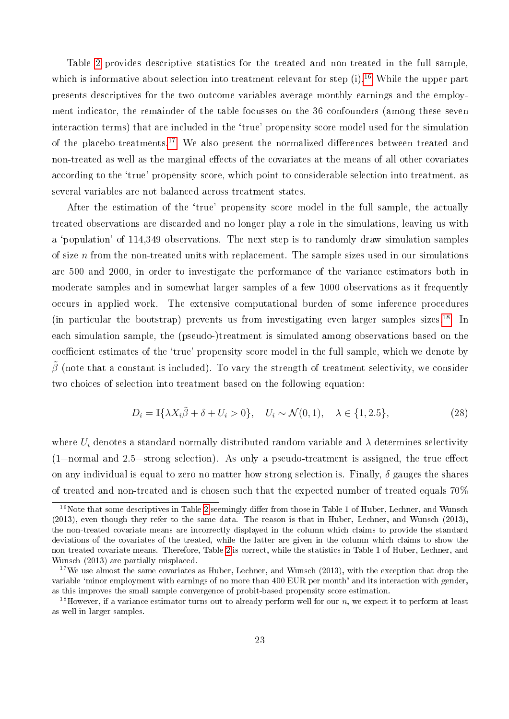Table [2](#page-24-0) provides descriptive statistics for the treated and non-treated in the full sample, which is informative about selection into treatment relevant for step  $(i)$ .<sup>[16](#page--1-0)</sup> While the upper part presents descriptives for the two outcome variables average monthly earnings and the employment indicator, the remainder of the table focusses on the 36 confounders (among these seven interaction terms) that are included in the 'true' propensity score model used for the simulation of the placebo-treatments.<sup>[17](#page--1-0)</sup> We also present the normalized differences between treated and non-treated as well as the marginal effects of the covariates at the means of all other covariates according to the 'true' propensity score, which point to considerable selection into treatment, as several variables are not balanced across treatment states.

After the estimation of the 'true' propensity score model in the full sample, the actually treated observations are discarded and no longer play a role in the simulations, leaving us with a `population' of 114,349 observations. The next step is to randomly draw simulation samples of size  $n$  from the non-treated units with replacement. The sample sizes used in our simulations are 500 and 2000, in order to investigate the performance of the variance estimators both in moderate samples and in somewhat larger samples of a few 1000 observations as it frequently occurs in applied work. The extensive computational burden of some inference procedures (in particular the bootstrap) prevents us from investigating even larger samples sizes.<sup>[18](#page--1-0)</sup> In each simulation sample, the (pseudo-)treatment is simulated among observations based on the coefficient estimates of the 'true' propensity score model in the full sample, which we denote by  $\tilde{\beta}$  (note that a constant is included). To vary the strength of treatment selectivity, we consider two choices of selection into treatment based on the following equation:

$$
D_i = \mathbb{I}\{\lambda X_i \tilde{\beta} + \delta + U_i > 0\}, \quad U_i \sim \mathcal{N}(0, 1), \quad \lambda \in \{1, 2.5\},\tag{28}
$$

where  $U_i$  denotes a standard normally distributed random variable and  $\lambda$  determines selectivity  $(1=normal and 2.5=strong selection)$ . As only a pseudo-treatment is assigned, the true effect on any individual is equal to zero no matter how strong selection is. Finally,  $\delta$  gauges the shares of treated and non-treated and is chosen such that the expected number of treated equals 70%

 $16$ Note that some descriptives in Table [2](#page-24-0) seemingly differ from those in Table 1 of Huber, Lechner, and Wunsch (2013), even though they refer to the same data. The reason is that in Huber, Lechner, and Wunsch (2013), the non-treated covariate means are incorrectly displayed in the column which claims to provide the standard deviations of the covariates of the treated, while the latter are given in the column which claims to show the non-treated covariate means. Therefore, Table [2](#page-24-0) is correct, while the statistics in Table 1 of Huber, Lechner, and Wunsch (2013) are partially misplaced.

<sup>&</sup>lt;sup>17</sup>We use almost the same covariates as Huber, Lechner, and Wunsch  $(2013)$ , with the exception that drop the variable `minor employment with earnings of no more than 400 EUR per month' and its interaction with gender, as this improves the small sample convergence of probit-based propensity score estimation.

<sup>&</sup>lt;sup>18</sup>However, if a variance estimator turns out to already perform well for our n, we expect it to perform at least as well in larger samples.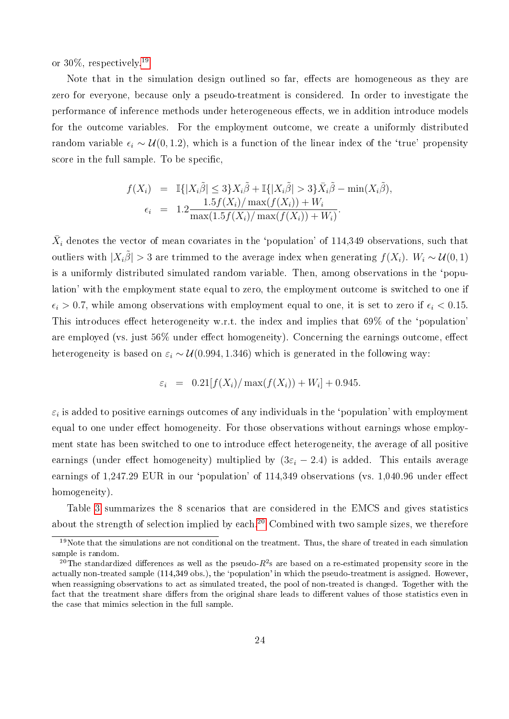or 30%, respectively.[19](#page--1-0)

Note that in the simulation design outlined so far, effects are homogeneous as they are zero for everyone, because only a pseudo-treatment is considered. In order to investigate the performance of inference methods under heterogeneous eects, we in addition introduce models for the outcome variables. For the employment outcome, we create a uniformly distributed random variable  $\epsilon_i \sim \mathcal{U}(0, 1.2)$ , which is a function of the linear index of the 'true' propensity score in the full sample. To be specific,

$$
f(X_i) = \mathbb{I}\{|X_i\tilde{\beta}| \le 3\}X_i\tilde{\beta} + \mathbb{I}\{|X_i\tilde{\beta}| > 3\}\bar{X}_i\tilde{\beta} - \min(X_i\tilde{\beta}),
$$
  
\n
$$
\epsilon_i = 1.2 \frac{1.5f(X_i)/\max(f(X_i)) + W_i}{\max(1.5f(X_i)/\max(f(X_i)) + W_i)}.
$$

 $\bar{X}_i$  denotes the vector of mean covariates in the 'population' of 114,349 observations, such that outliers with  $|X_i\tilde{\beta}| > 3$  are trimmed to the average index when generating  $f(X_i)$ .  $W_i \sim \mathcal{U}(0, 1)$ is a uniformly distributed simulated random variable. Then, among observations in the `population' with the employment state equal to zero, the employment outcome is switched to one if  $\epsilon_i > 0.7$ , while among observations with employment equal to one, it is set to zero if  $\epsilon_i < 0.15$ . This introduces effect heterogeneity w.r.t. the index and implies that  $69\%$  of the 'population' are employed (vs. just  $56\%$  under effect homogeneity). Concerning the earnings outcome, effect heterogeneity is based on  $\varepsilon_i \sim \mathcal{U}(0.994, 1.346)$  which is generated in the following way:

$$
\varepsilon_i = 0.21[f(X_i)/\max(f(X_i)) + W_i] + 0.945.
$$

 $\varepsilon_i$  is added to positive earnings outcomes of any individuals in the 'population' with employment equal to one under effect homogeneity. For those observations without earnings whose employment state has been switched to one to introduce effect heterogeneity, the average of all positive earnings (under effect homogeneity) multiplied by  $(3\varepsilon_i - 2.4)$  is added. This entails average earnings of  $1,247.29$  EUR in our 'population' of  $114,349$  observations (vs.  $1,040.96$  under effect homogeneity).

Table [3](#page-27-0) summarizes the 8 scenarios that are considered in the EMCS and gives statistics about the strength of selection implied by each.[20](#page--1-0) Combined with two sample sizes, we therefore

 $19$ Note that the simulations are not conditional on the treatment. Thus, the share of treated in each simulation sample is random.

 $^{20}$ The standardized differences as well as the pseudo- $R^2$ s are based on a re-estimated propensity score in the actually non-treated sample (114,349 obs.), the 'population' in which the pseudo-treatment is assigned. However, when reassigning observations to act as simulated treated, the pool of non-treated is changed. Together with the fact that the treatment share differs from the original share leads to different values of those statistics even in the case that mimics selection in the full sample.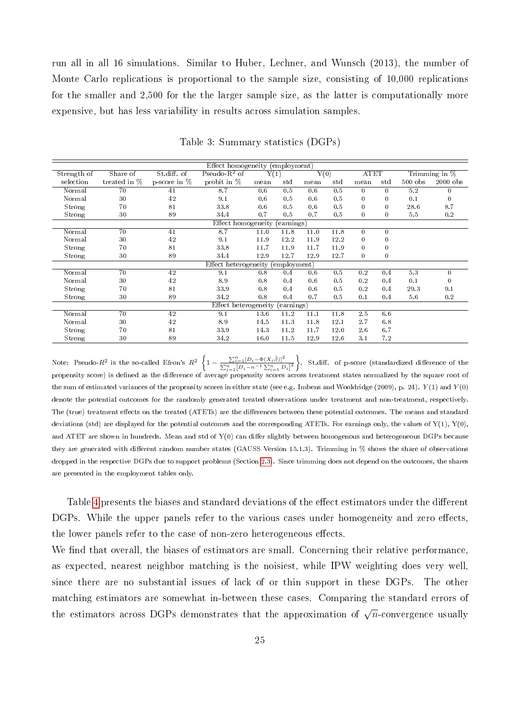run all in all 16 simulations. Similar to Huber, Lechner, and Wunsch (2013), the number of Monte Carlo replications is proportional to the sample size, consisting of 10,000 replications for the smaller and 2,500 for the the larger sample size, as the latter is computationally more expensive, but has less variability in results across simulation samples.

<span id="page-27-0"></span>

|             |              |                | Effect homogeneity (employment)   |      |            |      |      |              |              |           |                 |
|-------------|--------------|----------------|-----------------------------------|------|------------|------|------|--------------|--------------|-----------|-----------------|
| Strength of | Share of     | St.diff. of    | Pseudo- $R^2$ of                  | Y(1) |            | Y(0) |      | <b>ATET</b>  |              |           | Trimming in $%$ |
| selection   | treated in % | p-score in $%$ | probit in %                       | mean | st d       | mean | st d | mean         | std          | $500$ obs | $2000$ obs      |
| Normal      | 70           | 41             | 8.7                               | 0.6  | 0.5        | 0.6  | 0.5  | $\mathbf{0}$ | $\mathbf{0}$ | 5.2       | $\mathbf{0}$    |
| Normal      | 30           | 42             | 9.1                               | 0.6  | 0.5        | 0.6  | 0.5  | $\mathbf{0}$ | $\bf{0}$     | 0.1       | $\theta$        |
| Strong      | 70           | 81             | 33.8                              | 0.6  | 0.5        | 0.6  | 0.5  | $\mathbf{0}$ | $\bf{0}$     | 28.6      | 8.7             |
| Strong      | 30           | 89             | 34.4                              | 0.7  | 0.5        | 0.7  | 0.5  | $\bf{0}$     | $\bf{0}$     | 5.5       | 0.2             |
|             |              |                | Effect homogeneity                |      | (earnings) |      |      |              |              |           |                 |
| Normal      | 70           | 41             | 8.7                               | 11.0 | 11.8       | 11.0 | 11.8 | $\mathbf{0}$ | $\mathbf{0}$ |           |                 |
| Normal      | 30           | 42             | 9.1                               | 11.9 | 12.2       | 11.9 | 12.2 | $\bf{0}$     | 0            |           |                 |
| Strong      | 70           | 81             | 33.8                              | 11.7 | 11.9       | 11.7 | 11.9 | $\bf{0}$     | 0            |           |                 |
| Strong      | 30           | 89             | 34.4                              | 12.9 | 12.7       | 12.9 | 12.7 | $\bf{0}$     | $\bf{0}$     |           |                 |
|             |              |                | Effect heterogeneity (employment) |      |            |      |      |              |              |           |                 |
| Normal      | 70           | 42             | 9.1                               | 0.8  | 0.4        | 0.6  | 0.5  | 0.2          | 0.4          | 5.3       | $\mathbf{0}$    |
| Normal      | 30           | 42             | 8.9                               | 0.8  | 0.4        | 0.6  | 0.5  | 0.2          | 0.4          | 0.1       | $\Omega$        |
| Strong      | 70           | 81             | 33.9                              | 0.8  | 0.4        | 0.6  | 0.5  | 0.2          | 0.4          | 29.3      | 9.1             |
| Strong      | 30           | 89             | 34.2                              | 0.8  | 0.4        | 0.7  | 0.5  | 0.1          | 0.4          | 5.6       | 0.2             |
|             |              |                | Effect heterogeneity              |      | (earnings) |      |      |              |              |           |                 |
| Normal      | 70           | 42             | 9.1                               | 13.6 | 11.2       | 11.1 | 11.8 | 2.5          | 6.6          |           |                 |
| Normal      | 30           | 42             | 8.9                               | 14.5 | 11.3       | 11.8 | 12.1 | 2.7          | $6.8\,$      |           |                 |
| Strong      | 70           | 81             | 33.9                              | 14.3 | 11.2       | 11.7 | 12.0 | 2.6          | 6.7          |           |                 |
| Strong      | 30           | 89             | 34.2                              | 16.0 | 11.5       | 12.9 | 12.6 | 3.1          | 7.2          |           |                 |

Table 3: Summary statistics (DGPs)

Note: Pseudo- $R^2$  is the so-called Efron's  $R^2$   $\bigg\{1-\frac{\sum_{i=1}^n[D_i-\Phi(X_i\tilde{\beta})]^2}{\sum_{i=1}^n[D_i-n^{-1}\sum_{i=1}^nD_i]^2}\bigg\}$ . St.diff. of p-score (standardized difference of the propensity score) is defined as the difference of average propensity scores across treatment states normalized by the square root of the sum of estimated variances of the propensity scores in either state (see e.g. Imbens and Wooldridge (2009), p. 24).  $Y(1)$  and  $Y(0)$ denote the potential outcomes for the randomly generated treated observations under treatment and non-treatment, respectively. The (true) treatment effects on the treated (ATETs) are the differences between these potential outcomes. The means and standard deviations (std) are displayed for the potential outcomes and the corresponding ATETs. For earnings only, the values of  $Y(1)$ ,  $Y(0)$ , and ATET are shown in hundreds. Mean and std of  $Y(0)$  can differ slightly between homogenous and heterogeneous DGPs because they are generated with different random number states (GAUSS Version 15.1.3). Trimming in % shows the share of observations dropped in the respective DGPs due to support problems (Section [2.3\)](#page-9-0). Since trimming does not depend on the outcomes, the shares are presented in the employment tables only.

Table [4](#page-28-1) presents the biases and standard deviations of the effect estimators under the different DGPs. While the upper panels refer to the various cases under homogeneity and zero effects, the lower panels refer to the case of non-zero heterogeneous effects.

We find that overall, the biases of estimators are small. Concerning their relative performance, as expected, nearest neighbor matching is the noisiest, while IPW weighting does very well, since there are no substantial issues of lack of or thin support in these DGPs. The other matching estimators are somewhat in-between these cases. Comparing the standard errors of the estimators across DGPs demonstrates that the approximation of  $\sqrt{n}$ -convergence usually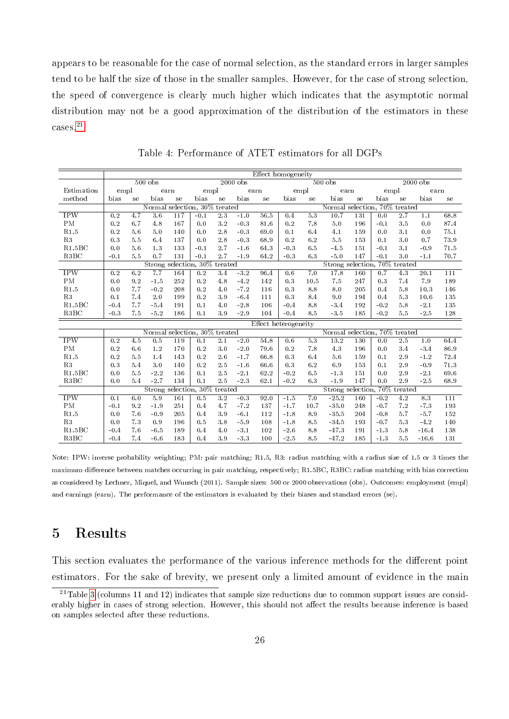appears to be reasonable for the case of normal selection, as the standard errors in larger samples tend to be half the size of those in the smaller samples. However, for the case of strong selection, the speed of convergence is clearly much higher which indicates that the asymptotic normal distribution may not be a good approximation of the distribution of the estimators in these cases.[21](#page--1-0)

<span id="page-28-1"></span>

|                    |        |     |                               |      |        |                  |            | Effect homogeneity   |         |      |                               |             |        |         |            |            |
|--------------------|--------|-----|-------------------------------|------|--------|------------------|------------|----------------------|---------|------|-------------------------------|-------------|--------|---------|------------|------------|
|                    |        |     | $500$ obs                     |      |        |                  | $2000$ obs |                      |         |      | $500$ obs                     |             |        |         | $2000$ obs |            |
| Estimation         | empl   |     |                               | earn | empl   |                  |            | earn                 |         | empl | earn                          |             | empl   |         | earn       |            |
| method             | bias   | se  | bias                          | se   | bias   | se               | bias       | se                   | bias    | se   | bias                          | $_{\rm se}$ | bias   | se      | bias       | ${\rm se}$ |
|                    |        |     | Normal selection, 30% treated |      |        |                  |            |                      |         |      | Normal selection, 70% treated |             |        |         |            |            |
| <b>IPW</b>         | 0.2    | 4.7 | 3.6                           | 117  | $-0.1$ | 2.3              | $-1.0$     | 56.5                 | 0.4     | 5.3  | 10.7                          | 131         | 0.0    | 2.7     | 1.1        | 68.8       |
| PM                 | 0.2    | 6.7 | 4.8                           | 167  | 0.0    | 3.2              | $-0.3$     | 81.6                 | 0.2     | 7.8  | 5.0                           | 196         | $-0.1$ | 3.5     | 0.0        | 87.4       |
| R1.5               | 0.2    | 5.6 | $5.0\,$                       | 140  | 0.0    | 2.8              | $-0.3$     | 69.0                 | 0.1     | 6.4  | 4.1                           | 159         | 0.0    | 3.1     | 0.0        | 75.1       |
| R3                 | 0.3    | 5.5 | 6.4                           | 137  | 0.0    | 2.8              | $-0.3$     | 68.9                 | 0.2     | 6.2  | 5.5                           | 153         | 0.1    | 3.0     | 0.7        | 73.9       |
| R1.5BC             | 0.0    | 5.6 | 1.3                           | 133  | $-0.1$ | 2.7              | $-1.6$     | 64.3                 | $-0.3$  | 6.5  | $-4.5$                        | 151         | $-0.1$ | 3.1     | $-0.9$     | 71.5       |
| R3BC               | $-0.1$ | 5.5 | 0.7                           | 131  | $-0.1$ | 2.7              | $-1.9$     | 64.2                 | $-0.3$  | 6.3  | $-5.0$                        | 147         | $-0.1$ | 3.0     | $-1.1$     | 70.7       |
|                    |        |     | Strong selection, 30% treated |      |        |                  |            |                      |         |      | Strong selection, 70% treated |             |        |         |            |            |
| <b>IPW</b>         | 0.2    | 6.2 | 7.7                           | 164  | 0.2    | 3.4              | $-3.2$     | 96.4                 | 0.6     | 7.0  | 17.8                          | 160         | 0.7    | 4.3     | 20.1       | 111        |
| PM                 | 0.0    | 9.2 | $-1.5$                        | 252  | 0.2    | 4.8              | $-4.2$     | 142                  | 0.3     | 10.5 | 7.5                           | 247         | 0.3    | 7.4     | 7.9        | 189        |
| R1.5               | 0.0    | 7.7 | $-0.2$                        | 208  | 0.2    | 4.0              | $-7.2$     | 116                  | 0.3     | 8.8  | 8.0                           | 205         | 0.4    | 5.8     | 10.3       | 146        |
| R3                 | 0.1    | 7.4 | $2.0\,$                       | 199  | 0.2    | 3.9              | $-6.4$     | 111                  | $0.3\,$ | 8.4  | 9.0                           | 194         | 0.4    | 5.3     | 10.6       | 135        |
| R1.5BC             | $-0.4$ | 7.7 | $-5.4$                        | 191  | 0.1    | 4.0              | $-2.8$     | 106                  | $-0.4$  | 8.8  | $-3.4$                        | 192         | $-0.2$ | 5.8     | $-2.1$     | 135        |
| R3BC               | $-0.3$ | 7.5 | $-5.2$                        | 186  | 0.1    | 3.9              | $-2.9$     | 104                  | $-0.4$  | 8.5  | $-3.5$                        | 185         | $-0.2$ | $5.5\,$ | $-2.5$     | 128        |
|                    |        |     |                               |      |        |                  |            | Effect heterogeneity |         |      |                               |             |        |         |            |            |
|                    |        |     | Normal selection, 30% treated |      |        |                  |            |                      |         |      | Normal selection, 70% treated |             |        |         |            |            |
| <b>IPW</b>         | 0.2    | 4.5 | $0.5\,$                       | 119  | 0.1    | 2.1              | $-2.0$     | 54.8                 | 0.6     | 5.3  | 13.2                          | 130         | 0.0    | 2.5     | 1.0        | 64.4       |
| PM                 | 0.2    | 6.6 | 1.2                           | 170  | 0.2    | 3.0              | $-2.0$     | 79.6                 | 0.2     | 7.8  | 4.3                           | 196         | 0.0    | 3.4     | $-3.4$     | 86.9       |
| R1.5               | 0.2    | 5.5 | 1.4                           | 143  | 0.2    | 2.6              | $-1.7$     | 66.8                 | 0.3     | 6.4  | 5.6                           | 159         | 0.1    | 2.9     | $-1.2$     | 72.4       |
| R3                 | 0.3    | 5.4 | $3.0\,$                       | 140  | 0.2    | 2.5              | $-1.6$     | 66.6                 | 0.3     | 6.2  | 6.9                           | 153         | 0.1    | 2.9     | $-0.9$     | 71.3       |
| R1.5BC             | 0.0    | 5.5 | $-2.2$                        | 136  | 0.1    | 2.5              | $-2.1$     | 62.2                 | $-0.2$  | 6.5  | $-1.3$                        | 151         | 0.0    | 2.9     | $-2.1$     | 69.6       |
| R3BC               | 0.0    | 5.4 | $-2.7$                        | 134  | 0.1    | 2.5              | $-2.3$     | 62.1                 | $-0.2$  | 6.3  | $-1.9$                        | 147         | 0.0    | 2.9     | $-2.5$     | 68.9       |
|                    |        |     | Strong selection, 30% treated |      |        |                  |            |                      |         |      | Strong selection, 70% treated |             |        |         |            |            |
| IPW                | 0.1    | 6.0 | 5.9                           | 161  | 0.5    | $\overline{3.2}$ | $-0.3$     | 92.0                 | $-1.5$  | 7.0  | $-25.2$                       | 160         | $-0.2$ | 4.2     | 8.3        | 111        |
| PM                 | $-0.1$ | 9.2 | $-1.9$                        | 251  | 0.4    | 4.7              | $-7.2$     | 137                  | $-1.7$  | 10.7 | $-35.0$                       | 248         | $-0.7$ | 7.2     | $-7.3$     | 193        |
| R1.5               | 0.0    | 7.6 | $-0.9$                        | 205  | 0.4    | 3.9              | $-6.1$     | 112                  | $-1.8$  | 8.9  | $-35.5$                       | 204         | $-0.8$ | 5.7     | $-5.7$     | 152        |
| R3                 | 0.0    | 7.3 | 0.9                           | 196  | 0.5    | 3.8              | $-5.9$     | 108                  | $-1.8$  | 8.5  | $-34.5$                       | 193         | $-0.7$ | 5.3     | $-4.2$     | 140        |
| R1.5B <sub>C</sub> | $-0.4$ | 7.6 | $-6.5$                        | 189  | 0.4    | 4.0              | $-3.1$     | 102                  | $-2.6$  | 8.8  | $-47.3$                       | 191         | $-1.3$ | 5.8     | $-16.4$    | 138        |
| R3BC               | $-0.4$ | 7.4 | $-6.6$                        | 183  | 0.4    | 3.9              | $-3.3$     | 100                  | $-2.5$  | 8.5  | $-47.2$                       | 185         | $-1.3$ | 5.5     | $-16.6$    | 131        |

Table 4: Performance of ATET estimators for all DGPs

Note: IPW: inverse probability weighting; PM: pair matching; R1.5, R3: radius matching with a radius size of 1.5 or 3 times the maximum difference between matches occurring in pair matching, respectively; R1.5BC, R3BC: radius matching with bias correction as considered by Lechner, Miquel, and Wunsch (2011). Sample sizes: 500 or 2000 observations (obs). Outcomes: employment (empl) and earnings (earn). The performance of the estimators is evaluated by their biases and standard errors (se).

# <span id="page-28-0"></span>5 Results

This section evaluates the performance of the various inference methods for the different point estimators. For the sake of brevity, we present only a limited amount of evidence in the main

 $21$ Table [3](#page-27-0) (columns 11 and 12) indicates that sample size reductions due to common support issues are considerably higher in cases of strong selection. However, this should not affect the results because inference is based on samples selected after these reductions.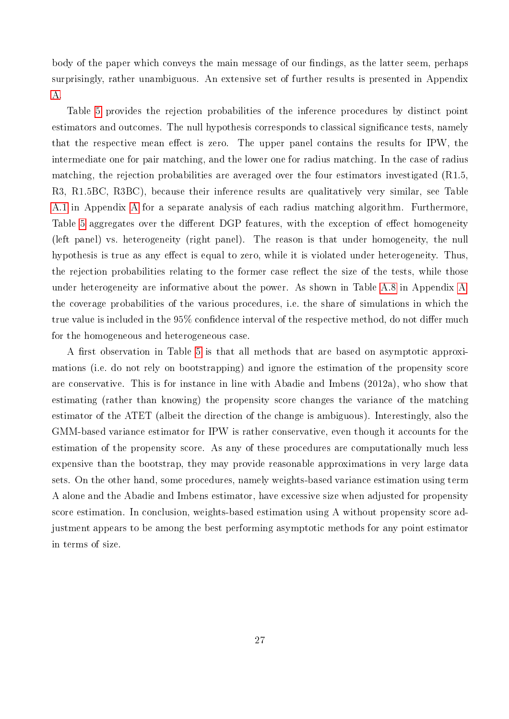body of the paper which conveys the main message of our findings, as the latter seem, perhaps surprisingly, rather unambiguous. An extensive set of further results is presented in Appendix [A.](#page-36-0)

Table [5](#page-30-0) provides the rejection probabilities of the inference procedures by distinct point estimators and outcomes. The null hypothesis corresponds to classical significance tests, namely that the respective mean effect is zero. The upper panel contains the results for IPW, the intermediate one for pair matching, and the lower one for radius matching. In the case of radius matching, the rejection probabilities are averaged over the four estimators investigated (R1.5, R3, R1.5BC, R3BC), because their inference results are qualitatively very similar, see Table [A.1](#page-36-1) in Appendix [A](#page-36-0) for a separate analysis of each radius matching algorithm. Furthermore, Table [5](#page-30-0) aggregates over the different DGP features, with the exception of effect homogeneity (left panel) vs. heterogeneity (right panel). The reason is that under homogeneity, the null hypothesis is true as any effect is equal to zero, while it is violated under heterogeneity. Thus, the rejection probabilities relating to the former case reflect the size of the tests, while those under heterogeneity are informative about the power. As shown in Table [A.8](#page-43-0) in Appendix [A,](#page-36-0) the coverage probabilities of the various procedures, i.e. the share of simulations in which the true value is included in the 95% confidence interval of the respective method, do not differ much for the homogeneous and heterogeneous case.

A first observation in Table [5](#page-30-0) is that all methods that are based on asymptotic approximations (i.e. do not rely on bootstrapping) and ignore the estimation of the propensity score are conservative. This is for instance in line with Abadie and Imbens (2012a), who show that estimating (rather than knowing) the propensity score changes the variance of the matching estimator of the ATET (albeit the direction of the change is ambiguous). Interestingly, also the GMM-based variance estimator for IPW is rather conservative, even though it accounts for the estimation of the propensity score. As any of these procedures are computationally much less expensive than the bootstrap, they may provide reasonable approximations in very large data sets. On the other hand, some procedures, namely weights-based variance estimation using term A alone and the Abadie and Imbens estimator, have excessive size when adjusted for propensity score estimation. In conclusion, weights-based estimation using A without propensity score adjustment appears to be among the best performing asymptotic methods for any point estimator in terms of size.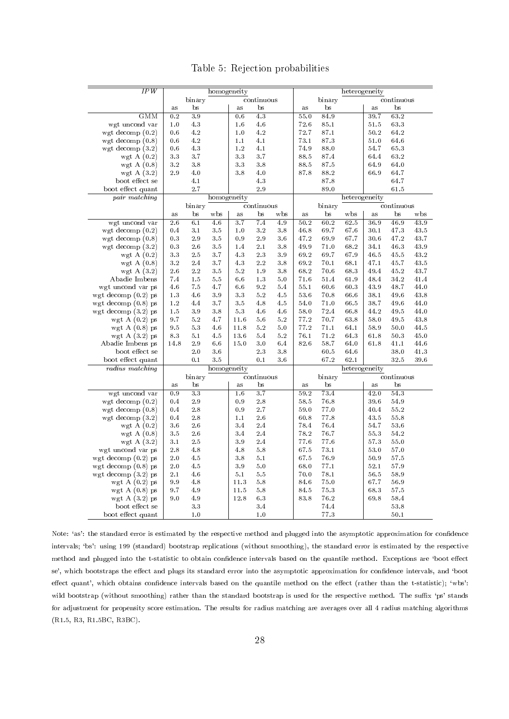|  |  |  | Table 5: Rejection probabilities |
|--|--|--|----------------------------------|
|--|--|--|----------------------------------|

<span id="page-30-0"></span>

| IPW                   |                  |                  | homogeneity |                  |             |             |      |        | heterogeneity |      |            |      |
|-----------------------|------------------|------------------|-------------|------------------|-------------|-------------|------|--------|---------------|------|------------|------|
|                       |                  | binary           |             |                  | continuous  |             |      | binary |               |      | continuous |      |
|                       | a s              | bs               |             | as               | bs          |             | a s  | bs     |               | as   | bs         |      |
| <b>GMM</b>            | 0.2              | 3.9              |             | 0.6              | 4.3         |             | 55.0 | 84.9   |               | 39.7 | 63.2       |      |
| wgt uncond var        | 1.0              | 4.3              |             | 1.6              | 4.6         |             | 72.6 | 85.1   |               | 51.5 | 63.3       |      |
| wgt decomp $(0.2)$    | 0.6              | 4.2              |             | 1.0              | 4.2         |             | 72.7 | 87.1   |               | 50.2 | 64.2       |      |
| wgt decomp $(0.8)$    | 0.6              | 4.2              |             | 1.1              | 4.1         |             | 73.1 | 87.3   |               | 51.0 | 64.6       |      |
| wgt decomp $(3.2)$    | 0.6              | 4.3              |             | $1.2\,$          | 4.1         |             | 74.9 | 88.0   |               | 54.7 | 65.3       |      |
| wgt A $(0.2)$         | 3.3              | 3.7              |             | 3.3              | 3.7         |             | 88.5 | 87.4   |               | 64.4 | 63.2       |      |
| wgt A $(0.8)$         | 3.2              | 3.8              |             | 3.3              | 3.8         |             | 88.5 | 87.5   |               | 64.9 | 64.0       |      |
| wgt A $(3.2)$         | 2.9              | 4.0              |             | 3.8              | 4.0         |             | 87.8 | 88.2   |               | 66.9 | 64.7       |      |
|                       |                  |                  |             |                  |             |             |      | 87.8   |               |      |            |      |
| boot effect se        |                  | 4.1              |             |                  | 4.3         |             |      |        |               |      | 64.7       |      |
| boot effect quant     |                  | 2.7              |             |                  | 2.9         |             |      | 89.0   |               |      | 61.5       |      |
| pair matching         |                  |                  | homogeneity |                  |             |             |      |        | heterogeneity |      |            |      |
|                       |                  | binary           |             |                  | continuous  |             |      | binary |               |      | continuous |      |
|                       | as               | $_{\rm bs}$      | w bs        | as               | $_{\rm bs}$ | wbs         | as   | bs     | wbs           | as   | bs         | wbs  |
| wgt uncond var        | $\overline{2.6}$ | 6.1              | 4.6         | $\overline{3.7}$ | 7.4         | 4.9         | 50.2 | 60.2   | 62.5          | 36.9 | 46.9       | 43.9 |
| wgt decomp $(0.2)$    | 0.4              | 3.1              | 3.5         | 1.0              | 3.2         | 3.8         | 46.8 | 69.7   | 67.6          | 30.1 | 47.3       | 43.5 |
| wgt decomp $(0.8)$    | 0.3              | 2.9              | 3.5         | 0.9              | 2.9         | 3.6         | 47.2 | 69.9   | 67.7          | 30.6 | 47.2       | 43.7 |
| wgt decomp $(3.2)$    | 0.3              | 2.6              | 3.5         | 1.4              | 2.1         | 3.8         | 49.9 | 71.0   | 68.2          | 34.1 | 46.3       | 43.9 |
| wgt A $(0.2)$         | 3.3              | 2.5              | 3.7         | 4.3              | 2.3         | 3.9         | 69.2 | 69.7   | 67.9          | 46.5 | 45.5       | 43.2 |
| wgt A $(0.8)$         | 3.2              | 2.4              | 3.7         | 4.3              | 2.2         | 3.8         | 69.2 | 70.1   | 68.1          | 47.1 | 45.7       | 43.5 |
| wgt A $(3.2)$         | 2.6              | 2.2              | $3.5\,$     | 5.2              | 1.9         | $3\,$ $8\,$ | 68.2 | 70.6   | 68.3          | 49.4 | 45.2       | 43.7 |
| Abadie Imbens         | 7.4              | 1.5              | 5.5         | 6.6              | 1.3         | 5.0         | 71.6 | 51.4   | 61.9          | 48.4 | 34.2       | 41.4 |
| wgt uncond var ps     | 4.6              | 7.5              | 4.7         | 6.6              | 9.2         | 5.4         | 55.1 | 60.6   | 60.3          | 43.9 | 48.7       | 44.0 |
| wgt decomp $(0.2)$ ps | 1.3              | 4.6              | 3.9         | 3.3              | 5.2         | 4.5         | 53.6 | 70.8   | 66.6          | 38.1 | 49.6       | 43.8 |
| wgt decomp $(0.8)$ ps | 1.2              | 4.4              | 3.7         | 3.5              | 4.8         | 4.5         | 54.0 | 71.0   | 66.5          | 38.7 | $49.6\,$   | 44.0 |
| wgt decomp $(3.2)$ ps | 1.5              | 3.9              | 3.8         | $5.3\,$          | 4.6         | 4.6         | 58.0 | 72.4   | 66.8          | 44.2 | 49.5       | 44.0 |
| wgt $A(0.2)$ ps       | 9.7              | 5.2              | 4.7         | 11.6             | 5.6         | 5.2         | 77.2 | 70.7   | 63.8          | 58.0 | 49.5       | 43.8 |
| wgt $A(0.8)$ ps       | 9.5              | 5.3              | 4.6         | 11.8             | 5.2         | $5.0\,$     | 77.2 | 71.1   | 64.1          | 58.9 | 50.0       | 44.5 |
| wgt A $(3.2)$ ps      | 8.3              | 5.1              | 4.5         | 13.6             | 5.4         | 5.2         | 76.1 | 71.2   | 64.3          | 61.8 | 50.3       | 45.0 |
| Abadie Imbens ps      | 14.8             | 2.9              | 6.6         | 15.0             | 3.0         | 6.4         | 82.6 | 58.7   | 64.0          | 61.8 | 41.1       | 44.6 |
| boot effect se        |                  | 2.0              | 3.6         |                  | 2.3         | 3.8         |      | 60.5   | 64.6          |      | 38.0       | 41.3 |
| boot effect quant     |                  | 0.1              | 3.5         |                  | 0.1         | 3.6         |      | 67.2   | 62.1          |      | 32.5       | 39.6 |
| radius matching       |                  |                  | homogeneity |                  |             |             |      |        | heterogeneity |      |            |      |
|                       |                  |                  |             |                  |             |             |      |        |               |      |            |      |
|                       |                  | binary           |             |                  | continuous  |             |      | binary |               |      | continuous |      |
|                       | as               | bs               |             | as               | bs          |             | a s  | bs     |               | as   | bs         |      |
| wgt uncond var        | 0.9              | $\overline{3.3}$ |             | 1.6              | 3.7         |             | 59.2 | 73.4   |               | 42.0 | 54.3       |      |
| wgt decomp $(0.2)$    | 0.4              | 2.9              |             | 0.9              | 2.8         |             | 58.5 | 76.8   |               | 39.6 | 54.9       |      |
| wgt decomp $(0.8)$    | 0.4              | 2.8              |             | 0.9              | 2.7         |             | 59.0 | 77.0   |               | 40.4 | 55.2       |      |
| wgt decomp $(3.2)$    | 0.4              | $2.8\,$          |             | 1.1              | 2.6         |             | 60.8 | 77.8   |               | 43.5 | 55.8       |      |
| wgt A $(0.2)$         | 3.6              | 2.6              |             | 3.4              | 2.4         |             | 78.4 | 76.4   |               | 54.7 | 53.6       |      |
| wgt A $(0.8)$         | 3.5              | 2.6              |             | 3.4              | 2.4         |             | 78.2 | 76.7   |               | 55.3 | 54.2       |      |
| wgt A $(3.2)$         | 3.1              | 2.5              |             | 3.9              | 2.4         |             | 77.6 | 77.6   |               | 57.3 | 55.0       |      |
| wgt uncond var ps     | 2.8              | 4.8              |             | 4.8              | 5.8         |             | 67.5 | 73.1   |               | 53.0 | 57.0       |      |
| wgt decomp $(0.2)$ ps | 2.0              | 4.5              |             | 3.8              | 5.1         |             | 67.5 | 76.9   |               | 50.9 | 57.5       |      |
| wgt decomp $(0.8)$ ps | 2.0              | 4.5              |             | 3.9              | 5.0         |             | 68.0 | 77.1   |               | 52.1 | 57.9       |      |
| wgt decomp (3.2) ps   | $2\,.1$          | 4.6              |             | 5.1              | 5.5         |             | 70.0 | 78.1   |               | 56.5 | 58.9       |      |
| wgt $A(0.2)$ ps       | 9.9              | 4.8              |             | 11.3             | 5.8         |             | 84.6 | 75.0   |               | 67.7 | 56.9       |      |
| wgt $A(0.8)$ ps       | 9.7              | 4.9              |             | 11.5             | 5.8         |             | 84.5 | 75.3   |               | 68.3 | 57.5       |      |
| wgt $A(3.2)$ ps       | 9.0              | 4.9              |             | 12.8             | 6.3         |             | 83.8 | 76.2   |               | 69.8 | 58.4       |      |
| boot effect se        |                  | $3.3\,$          |             |                  | 3.4         |             |      | 74.4   |               |      | 53.8       |      |
| boot effect quant     |                  | 1.0              |             |                  | 1.0         |             |      | 77.3   |               |      | 50.1       |      |
|                       |                  |                  |             |                  |             |             |      |        |               |      |            |      |

Note: 'as': the standard error is estimated by the respective method and plugged into the asymptotic approximation for confidence intervals; `bs': using 199 (standard) bootstrap replications (without smoothing), the standard error is estimated by the respective method and plugged into the t-statistic to obtain confidence intervals based on the quantile method. Exceptions are 'boot effect se', which bootstraps the effect and plugs its standard error into the asymptotic approximation for confidence intervals, and 'boot effect quant', which obtains confidence intervals based on the quantile method on the effect (rather than the t-statistic); 'wbs': wild bootstrap (without smoothing) rather than the standard bootstrap is used for the respective method. The suffix 'ps' stands for adjustment for propensity score estimation. The results for radius matching are averages over all 4 radius matching algorithms (R1.5, R3, R1.5BC, R3BC).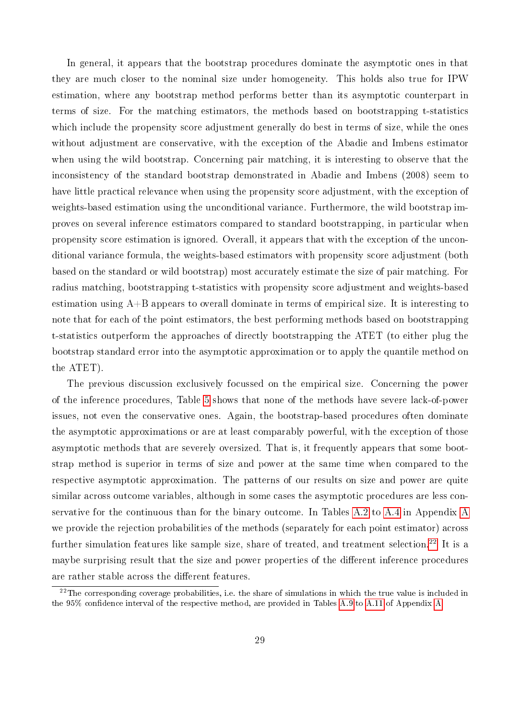In general, it appears that the bootstrap procedures dominate the asymptotic ones in that they are much closer to the nominal size under homogeneity. This holds also true for IPW estimation, where any bootstrap method performs better than its asymptotic counterpart in terms of size. For the matching estimators, the methods based on bootstrapping t-statistics which include the propensity score adjustment generally do best in terms of size, while the ones without adjustment are conservative, with the exception of the Abadie and Imbens estimator when using the wild bootstrap. Concerning pair matching, it is interesting to observe that the inconsistency of the standard bootstrap demonstrated in Abadie and Imbens (2008) seem to have little practical relevance when using the propensity score adjustment, with the exception of weights-based estimation using the unconditional variance. Furthermore, the wild bootstrap improves on several inference estimators compared to standard bootstrapping, in particular when propensity score estimation is ignored. Overall, it appears that with the exception of the unconditional variance formula, the weights-based estimators with propensity score adjustment (both based on the standard or wild bootstrap) most accurately estimate the size of pair matching. For radius matching, bootstrapping t-statistics with propensity score adjustment and weights-based estimation using A+B appears to overall dominate in terms of empirical size. It is interesting to note that for each of the point estimators, the best performing methods based on bootstrapping t-statistics outperform the approaches of directly bootstrapping the ATET (to either plug the bootstrap standard error into the asymptotic approximation or to apply the quantile method on the ATET).

The previous discussion exclusively focussed on the empirical size. Concerning the power of the inference procedures, Table [5](#page-30-0) shows that none of the methods have severe lack-of-power issues, not even the conservative ones. Again, the bootstrap-based procedures often dominate the asymptotic approximations or are at least comparably powerful, with the exception of those asymptotic methods that are severely oversized. That is, it frequently appears that some bootstrap method is superior in terms of size and power at the same time when compared to the respective asymptotic approximation. The patterns of our results on size and power are quite similar across outcome variables, although in some cases the asymptotic procedures are less conservative for the continuous than for the binary outcome. In Tables [A.2](#page-37-0) to [A.4](#page-39-0) in Appendix [A](#page-36-0) we provide the rejection probabilities of the methods (separately for each point estimator) across further simulation features like sample size, share of treated, and treatment selection.<sup>[22](#page--1-0)</sup> It is a maybe surprising result that the size and power properties of the different inference procedures are rather stable across the different features.

 $22$ The corresponding coverage probabilities, i.e. the share of simulations in which the true value is included in the 95% confidence interval of the respective method, are provided in Tables [A.9](#page-44-0) to [A.11](#page-46-0) of Appendix [A.](#page-36-0)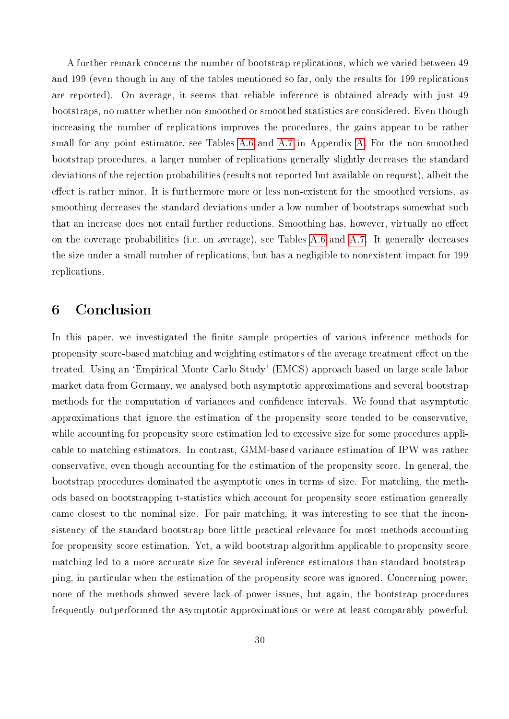A further remark concerns the number of bootstrap replications, which we varied between 49 and 199 (even though in any of the tables mentioned so far, only the results for 199 replications are reported). On average, it seems that reliable inference is obtained already with just 49 bootstraps, no matter whether non-smoothed or smoothed statistics are considered. Even though increasing the number of replications improves the procedures, the gains appear to be rather small for any point estimator, see Tables [A.6](#page-41-0) and [A.7](#page-42-0) in Appendix [A.](#page-36-0) For the non-smoothed bootstrap procedures, a larger number of replications generally slightly decreases the standard deviations of the rejection probabilities (results not reported but available on request), albeit the effect is rather minor. It is furthermore more or less non-existent for the smoothed versions, as smoothing decreases the standard deviations under a low number of bootstraps somewhat such that an increase does not entail further reductions. Smoothing has, however, virtually no effect on the coverage probabilities (i.e. on average), see Tables [A.6](#page-41-0) and [A.7.](#page-42-0) It generally decreases the size under a small number of replications, but has a negligible to nonexistent impact for 199 replications.

# <span id="page-32-0"></span>6 Conclusion

In this paper, we investigated the finite sample properties of various inference methods for propensity score-based matching and weighting estimators of the average treatment effect on the treated. Using an `Empirical Monte Carlo Study' (EMCS) approach based on large scale labor market data from Germany, we analysed both asymptotic approximations and several bootstrap methods for the computation of variances and confidence intervals. We found that asymptotic approximations that ignore the estimation of the propensity score tended to be conservative, while accounting for propensity score estimation led to excessive size for some procedures applicable to matching estimators. In contrast, GMM-based variance estimation of IPW was rather conservative, even though accounting for the estimation of the propensity score. In general, the bootstrap procedures dominated the asymptotic ones in terms of size. For matching, the methods based on bootstrapping t-statistics which account for propensity score estimation generally came closest to the nominal size. For pair matching, it was interesting to see that the inconsistency of the standard bootstrap bore little practical relevance for most methods accounting for propensity score estimation. Yet, a wild bootstrap algorithm applicable to propensity score matching led to a more accurate size for several inference estimators than standard bootstrapping, in particular when the estimation of the propensity score was ignored. Concerning power, none of the methods showed severe lack-of-power issues, but again, the bootstrap procedures frequently outperformed the asymptotic approximations or were at least comparably powerful.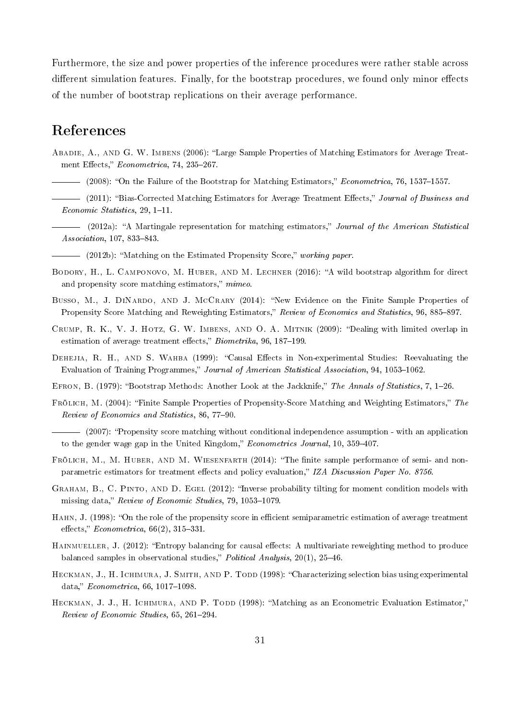Furthermore, the size and power properties of the inference procedures were rather stable across different simulation features. Finally, for the bootstrap procedures, we found only minor effects of the number of bootstrap replications on their average performance.

# References

- ABADIE, A., AND G. W. IMBENS (2006): "Large Sample Properties of Matching Estimators for Average Treatment Effects," Econometrica, 74, 235-267.
- (2008): "On the Failure of the Bootstrap for Matching Estimators," Econometrica, 76, 1537–1557.
- (2011): "Bias-Corrected Matching Estimators for Average Treatment Effects," Journal of Business and  $Economic Statistics, 29, 1-11.$
- (2012a): "A Martingale representation for matching estimators," Journal of the American Statistical  $Association, 107, 833–843.$
- (2012b): "Matching on the Estimated Propensity Score," working paper.
- BODORY, H., L. CAMPONOVO, M. HUBER, AND M. LECHNER (2016): "A wild bootstrap algorithm for direct and propensity score matching estimators,"  $mimeo$ .
- BUSSO, M., J. DINARDO, AND J. MCCRARY (2014): "New Evidence on the Finite Sample Properties of Propensity Score Matching and Reweighting Estimators," Review of Economics and Statistics, 96, 885-897.
- CRUMP, R. K., V. J. HOTZ, G. W. IMBENS, AND O. A. MITNIK (2009): "Dealing with limited overlap in estimation of average treatment effects,"  $Biometrika$ , 96, 187–199.
- DEHEJIA, R. H., AND S. WAHBA (1999): "Causal Effects in Non-experimental Studies: Reevaluating the Evaluation of Training Programmes," Journal of American Statistical Association, 94, 1053-1062.
- EFRON, B. (1979): "Bootstrap Methods: Another Look at the Jackknife," The Annals of Statistics, 7, 1–26.
- FRÖLICH, M. (2004): "Finite Sample Properties of Propensity-Score Matching and Weighting Estimators," The Review of Economics and Statistics, 86, 77-90.

- (2007): "Propensity score matching without conditional independence assumption - with an application to the gender wage gap in the United Kingdom," Econometrics Journal, 10, 359-407.

- FRÖLICH, M., M. HUBER, AND M. WIESENFARTH (2014): "The finite sample performance of semi- and nonparametric estimators for treatment effects and policy evaluation," IZA Discussion Paper No. 8756.
- GRAHAM, B., C. PINTO, AND D. EGEL (2012): "Inverse probability tilting for moment condition models with missing data," Review of Economic Studies, 79, 1053-1079.
- HAHN, J. (1998): "On the role of the propensity score in efficient semiparametric estimation of average treatment effects,"  $Econometrica$ ,  $66(2)$ ,  $315-331$ .
- HAINMUELLER, J. (2012): "Entropy balancing for causal effects: A multivariate reweighting method to produce balanced samples in observational studies," Political Analysis,  $20(1)$ ,  $25-46$ .
- HECKMAN, J., H. ICHIMURA, J. SMITH, AND P. TODD (1998): "Characterizing selection bias using experimental data,"  $Econometrica, 66, 1017-1098.$
- HECKMAN, J. J., H. ICHIMURA, AND P. TODD (1998): "Matching as an Econometric Evaluation Estimator," Review of Economic Studies, 65, 261-294.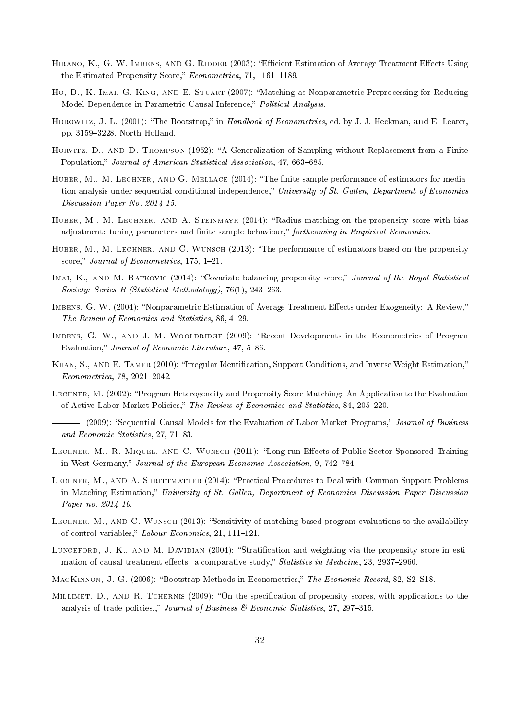- HIRANO, K., G. W. IMBENS, AND G. RIDDER (2003): "Efficient Estimation of Average Treatment Effects Using the Estimated Propensity Score," Econometrica, 71, 1161-1189.
- Ho, D., K. Imai, G. King, and E. Stuart (2007): Matching as Nonparametric Preprocessing for Reducing Model Dependence in Parametric Causal Inference," Political Analysis.
- HOROWITZ, J. L. (2001): "The Bootstrap," in *Handbook of Econometrics*, ed. by J. J. Heckman, and E. Learer, pp.  $3159-3228$ . North-Holland.
- HORVITZ, D., AND D. THOMPSON (1952): "A Generalization of Sampling without Replacement from a Finite Population," Journal of American Statistical Association, 47, 663-685.
- HUBER, M., M. LECHNER, AND G. MELLACE (2014): "The finite sample performance of estimators for mediation analysis under sequential conditional independence," University of St. Gallen, Department of Economics Discussion Paper No. 2014-15.
- HUBER, M., M. LECHNER, AND A. STEINMAYR (2014): "Radius matching on the propensity score with bias adjustment: tuning parameters and finite sample behaviour," forthcoming in Empirical Economics.
- HUBER, M., M. LECHNER, AND C. WUNSCH (2013): "The performance of estimators based on the propensity score," Journal of Econometrics,  $175, 1-21$ .
- IMAI, K., AND M. RATKOVIC (2014): "Covariate balancing propensity score," Journal of the Royal Statistical Society: Series B (Statistical Methodology),  $76(1)$ ,  $243-263$ .
- IMBENS, G. W. (2004): "Nonparametric Estimation of Average Treatment Effects under Exogeneity: A Review," The Review of Economics and Statistics, 86, 4-29.
- IMBENS, G. W., AND J. M. WOOLDRIDGE (2009): "Recent Developments in the Econometrics of Program Evaluation," Journal of Economic Literature, 47, 5-86.
- KHAN, S., AND E. TAMER (2010): "Irregular Identification, Support Conditions, and Inverse Weight Estimation,"  $Econometrica, 78, 2021 - 2042.$
- Lechner, M. (2002): Program Heterogeneity and Propensity Score Matching: An Application to the Evaluation of Active Labor Market Policies," The Review of Economics and Statistics, 84, 205-220.
- (2009): "Sequential Causal Models for the Evaluation of Labor Market Programs," Journal of Business and Economic Statistics,  $27, 71-83$ .
- LECHNER, M., R. MIQUEL, AND C. WUNSCH (2011): "Long-run Effects of Public Sector Sponsored Training in West Germany," Journal of the European Economic Association, 9, 742-784.
- LECHNER, M., AND A. STRITTMATTER (2014): "Practical Procedures to Deal with Common Support Problems in Matching Estimation," University of St. Gallen, Department of Economics Discussion Paper Discussion Paper no. 2014-10.
- LECHNER, M., AND C. WUNSCH (2013): "Sensitivity of matching-based program evaluations to the availability of control variables," Labour Economics, 21, 111-121.
- LUNCEFORD, J. K., AND M. DAVIDIAN (2004): "Stratification and weighting via the propensity score in estimation of causal treatment effects: a comparative study," Statistics in Medicine, 23, 2937-2960.
- MACKINNON, J. G. (2006): "Bootstrap Methods in Econometrics," The Economic Record, 82, S2-S18.
- MILLIMET, D., AND R. TCHERNIS (2009): "On the specification of propensity scores, with applications to the analysis of trade policies.," Journal of Business  $\mathscr$  Economic Statistics, 27, 297-315.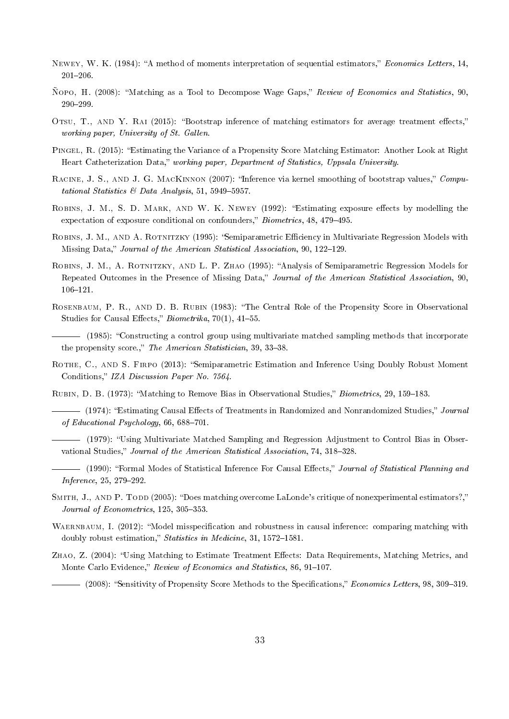- NEWEY, W. K. (1984): "A method of moments interpretation of sequential estimators," Economics Letters, 14, 201206.
- Ñopo, H. (2008): Matching as a Tool to Decompose Wage Gaps, Review of Economics and Statistics, 90, 290-299.
- OTSU, T., AND Y. RAI (2015): "Bootstrap inference of matching estimators for average treatment effects," working paper, University of St. Gallen.
- Pingel, R. (2015): Estimating the Variance of a Propensity Score Matching Estimator: Another Look at Right Heart Catheterization Data," working paper, Department of Statistics, Uppsala University.
- RACINE, J. S., AND J. G. MACKINNON (2007): "Inference via kernel smoothing of bootstrap values," Computational Statistics & Data Analysis, 51, 5949-5957.
- ROBINS, J. M., S. D. MARK, AND W. K. NEWEY (1992): "Estimating exposure effects by modelling the expectation of exposure conditional on confounders," Biometrics, 48, 479–495.
- ROBINS, J. M., AND A. ROTNITZKY (1995): "Semiparametric Efficiency in Multivariate Regression Models with Missing Data," Journal of the American Statistical Association, 90, 122–129.
- ROBINS, J. M., A. ROTNITZKY, AND L. P. ZHAO (1995): "Analysis of Semiparametric Regression Models for Repeated Outcomes in the Presence of Missing Data," Journal of the American Statistical Association, 90, 106-121.
- Rosenbaum, P. R., and D. B. Rubin (1983): The Central Role of the Propensity Score in Observational Studies for Causal Effects,"  $Biometrika$ , 70(1), 41–55.

(1985): Constructing a control group using multivariate matched sampling methods that incorporate the propensity score.," The American Statistician, 39, 33-38.

- ROTHE, C., AND S. FIRPO (2013): "Semiparametric Estimation and Inference Using Doubly Robust Moment Conditions," IZA Discussion Paper No. 7564.
- RUBIN, D. B. (1973): "Matching to Remove Bias in Observational Studies," Biometrics, 29, 159–183.

(1974): "Estimating Causal Effects of Treatments in Randomized and Nonrandomized Studies," Journal of Educational Psychology,  $66, 688-701$ .

- (1979): Using Multivariate Matched Sampling and Regression Adjustment to Control Bias in Observational Studies," Journal of the American Statistical Association, 74, 318-328.
- (1990): "Formal Modes of Statistical Inference For Causal Effects," Journal of Statistical Planning and  $Inference, 25, 279 - 292.$
- SMITH, J., AND P. TODD (2005): "Does matching overcome LaLonde's critique of nonexperimental estimators?," Journal of Econometrics,  $125, 305-353$ .
- WAERNBAUM, I. (2012): "Model misspecification and robustness in causal inference: comparing matching with doubly robust estimation," Statistics in Medicine, 31, 1572-1581.
- ZHAO, Z. (2004): "Using Matching to Estimate Treatment Effects: Data Requirements, Matching Metrics, and Monte Carlo Evidence," Review of Economics and Statistics, 86, 91-107.

(2008): "Sensitivity of Propensity Score Methods to the Specifications," *Economics Letters*, 98, 309–319.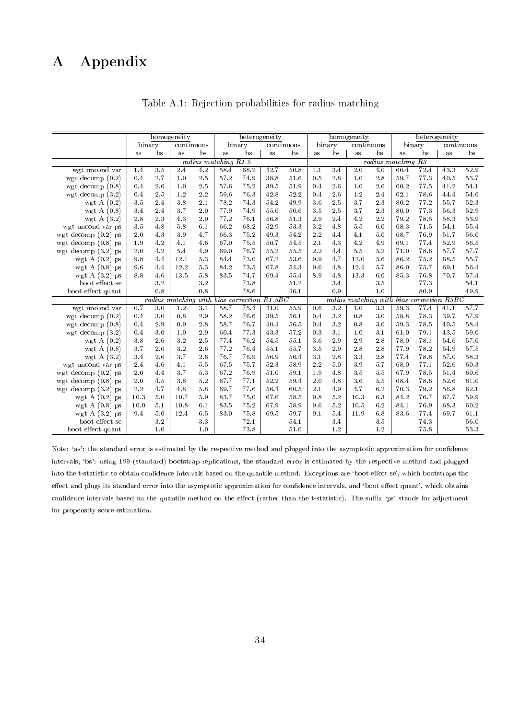# <span id="page-36-1"></span><span id="page-36-0"></span>A Appendix

|                       |          |               | homogeneity |     |                          |                                      | heterogeneity            |             |          |                 | homogeneity |                  |                    | heterogeneity |                                           |            |
|-----------------------|----------|---------------|-------------|-----|--------------------------|--------------------------------------|--------------------------|-------------|----------|-----------------|-------------|------------------|--------------------|---------------|-------------------------------------------|------------|
|                       | binary   |               | continuous  |     |                          | binary                               |                          | continuous  |          | binary          | continuous  |                  |                    | binary        |                                           | continuous |
|                       | $\rm as$ | bs            | $\rm as$    | bs  | $\rm as$                 | bs                                   | $\mathbf{a}\,\mathbf{s}$ | $_{\rm bs}$ | $\rm as$ | bs              | $\rm as$    | bs               | as                 | bs            | $\rm as$                                  | bs         |
|                       |          |               |             |     | $radius$ matching $R1.5$ |                                      |                          |             |          |                 |             |                  | radius matching R3 |               |                                           |            |
| wgt uncond var        | 1.4      | 3.5           | 2.4         | 4.2 | 58.4                     | 68.2                                 | 42.7                     | 50.8        | 1.1      | 3.4             | 2.0         | 4.0              | 60.4               | 72.4          | 43.3                                      | 52.9       |
| wgt decomp $(0.2)$    | 0.4      | 2.7           | 1.0         | 2.5 | 57.2                     | 74.9                                 | 38.8                     | 51.6        | 0.5      | 2.8             | $1.0\,$     | $2\mbox{ .}8$    | 59.7               | 77.3          | 40.5                                      | 53.7       |
| wgt decomp $(0.8)$    | 0.4      | 2.6           | 1.0         | 2.5 | 57.6                     | $75.2\,$                             | 39.5                     | 51.9        | 0.4      | 2.6             | 1.0         | 2.6              | 60.2               | 77.5          | 41.2                                      | 54.1       |
| wgt decomp $(3.2)$    | 0.4      | 2.5           | 1.2         | 2.2 | 59.6                     | 76.3                                 | 42.8                     | 52.2        | 0.4      | 2.6             | 1.2         | 2.4              | 62.1               | 78.6          | 44.4                                      | 54.6       |
| wgt A $(0.2)$         | 3.5      | 2.4           | 3.8         | 2.1 | 78.2                     | 74.3                                 | 54.2                     | 49.9        | 3.6      | 2.5             | 3.7         | 2.3              | 80.2               | 77.2          | 55.7                                      | 52.3       |
| wgt A $(0.8)$         | 3.4      | 2.4           | 3.7         | 2.0 | 77.9                     | 74.9                                 | 55.0                     | 50.6        | 3.5      | 2.5             | 3.7         | 2.3              | 80.0               | 77.3          | 56.3                                      | 52.9       |
| wgt A $(3.2)$         | 2.8      | 23            | 4.3         | 2.0 | 77.2                     | 76.1                                 | 56.8                     | 513         | 2.9      | 2.4             | 4.2         | 2.2              | 79.2               | 78.5          | 58.3                                      | 53.9       |
| wgt uncond var ps     | 3.5      | 4.8           | 5.8         | 6.1 | 66.2                     | 68.2                                 | 52.9                     | 533         | 3.2      | 4.8             | 5.5         | 6.0              | 68.3               | 71.5          | 54.1                                      | 55.4       |
| wgt decomp $(0.2)$ ps | 2.0      | 4.3           | 3.9         | 4.7 | 66.3                     | 75.2                                 | 49.3                     | 54.2        | 2.2      | 4.4             | 4.1         | $5.0$            | 68.7               | 76.9          | 51.7                                      | 56.0       |
| wgt decomp $(0.8)$ ps | 1.9      | 4.2           | 4.1         | 4.6 | 67.0                     | 75.5                                 | 50.7                     | 54.5        | 2.1      | 4.3             | 4.2         | 4.9              | 69.1               | 77.4          | 52.9                                      | 56.5       |
| wgt decomp $(3.2)$ ps | 2.0      | 4.2           | 5.4         | 4.9 | 69.0                     | 76.7                                 | 55.2                     | 55.5        | 2.2      | 4.4             | 5.5         | 5.2              | 71.0               | 78.6          | 57.7                                      | 57.7       |
| wgt $A(0.2)$ ps       | 9.8      | 4.4           | 12.1        | 5.3 | 84.4                     | 73.0                                 | 67.2                     | 53.6        | 9.9      | 4.7             | 12.0        | 5.6              | 86.2               | 75.2          | 68.5                                      | 55.7       |
| wgt A $(0.8)$ ps      | 9.6      | 4.4           | 12.2        | 5.3 | 84.2                     | 73.5                                 | 67.8                     | 54.3        | 9.6      | 4.8             | 12.4        | 5.7              | 86.0               | 75.7          | 69.1                                      | 56.4       |
| wgt A $(3.2)$ ps      | 8.8      | 4.6           | 13.5        | 5.8 | 83.5                     | 74.7                                 | 69.4                     | 55.4        | 8.9      | 4.8             | 13.3        | 6.0              | 85.3               | 76.8          | 70.7                                      | 57.4       |
| boot effect se        |          | $3\!\cdot\!2$ |             | 3.2 |                          | 73.8                                 |                          | 51.2        |          | 3.4             |             | 3.5              |                    | 773           |                                           | 54.1       |
| boot effect quant     |          | 0.8           |             | 0.8 |                          | 78.6                                 |                          | 46.1        |          | 0.9             |             | 1.0              |                    | 80.9          |                                           | 49.9       |
|                       |          |               |             |     |                          | radius matching with bias correction | R1.5BC                   |             |          |                 |             |                  |                    |               | radius matching with bias correction R3BC |            |
| wgt uncond var        | 0.7      | 3.0           | 1.2         | 3.1 | 58.7                     | 75.4                                 | 41.0                     | 55.9        | 0.6      | $\overline{32}$ | 1.0         | 3 <sub>3</sub>   | 59.3               | 77.4          | 41.1                                      | 57.7       |
| wgt decomp $(0.2)$    | 0.4      | $3.0\,$       | 0.8         | 2.9 | 58.2                     | 76.6                                 | 39.5                     | 56.1        | 0.4      | 3.2             | 0.8         | $3\,\,0$         | 58.8               | 78.3          | 39.7                                      | 57.9       |
| wgt decomp $(0.8)$    | 0.4      | 2.9           | 0.9         | 2.8 | 58.7                     | 76.7                                 | 40.4                     | 56.5        | 0.4      | 3.2             | 0.8         | $3\hskip 4pt .0$ | 59.3               | 78.5          | 40.5                                      | 58.4       |
| wgt decomp $(3.2)$    | 0.4      | 3.0           | 1.0         | 2.9 | 60.4                     | 77.3                                 | 43.3                     | 57.2        | 0.3      | 3.1             | 1.0         | 3.1              | 61.0               | 79.1          | 43.5                                      | 59.0       |
| wgt A $(0.2)$         | 3.8      | 2.6           | 3.2         | 2.5 | 77.4                     | 76.2                                 | 54.5                     | 55.1        | 3.6      | 2.9             | 2.9         | 2.8              | 78.0               | 78.1          | 54.6                                      | 57.0       |
| wgt A $(0.8)$         | 3.7      | 2.6           | 3.2         | 2.6 | 77.2                     | 76.4                                 | 55.1                     | 55.7        | 3.5      | 2.9             | 2.8         | 2.8              | 77.9               | 78.2          | 54.9                                      | 57.5       |
| wgt A $(3.2)$         | 3.4      | 2.6           | 3.7         | 2.6 | 76.7                     | 76.9                                 | 56.9                     | 56.4        | 3.1      | 2.8             | 3.3         | 2.8              | 77.4               | 78.8          | 57.0                                      | 58.3       |
| wgt uncond var ps     | 2.4      | 4.6           | 4.1         | 5.5 | 67.5                     | 75.7                                 | 523                      | 58.9        | 2.2      | 5.0             | 3.9         | 5.7              | 68.0               | 77.1          | 52.6                                      | $60.3\,$   |
| wgt decomp $(0.2)$ ps | 2.0      | 4.4           | 3.7         | 5.3 | 67.2                     | 76.9                                 | 51.0                     | 59.1        | 1.9      | 4.8             | 3.5         | 5.5              | 67.9               | 78.5          | 51.4                                      | 60.6       |
| wgt decomp $(0.8)$ ps | 2.0      | 4.5           | 3.8         | 5.2 | 67.7                     | 77.1                                 | 52.2                     | 59.4        | 2.0      | 4.8             | 3.6         | 5.5              | 68.4               | 78.6          | 52.6                                      | 61.0       |
| wgt decomp $(3.2)$ ps | 2.2      | 4.7           | 4.8         | 5.8 | 69.7                     | 77.6                                 | 56.4                     | 60.5        | 2.1      | 4.9             | 4.7         | 6.2              | 70.3               | 79.2          | 56.8                                      | 62.1       |
| wgt $A(0.2)$ ps       | 10.3     | 5.0           | 10.7        | 5.9 | 83.7                     | 75.0                                 | 67.6                     | 58.5        | 9.8      | 5.2             | 10.3        | 6.3              | 84.2               | 76.7          | 67.7                                      | 59.9       |
| wgt A $(0.8)$ ps      | 10.0     | 5.1           | 10.8        | 6.1 | 83.5                     | 75.2                                 | 67.9                     | 58.9        | 9.6      | 5.2             | $10.5\,$    | 6.2              | 84.1               | 76.9          | 68.3                                      | 60.2       |
| wgt A $(3.2)$ ps      | 9.4      | 5.0           | 12.4        | 6.5 | 83.0                     | 75.8                                 | 69.5                     | 59.7        | 9.1      | 5.4             | 11.9        | 6.8              | 83.6               | 77.4          | 69.7                                      | 61.1       |
| boot effect se        |          | $3\!\cdot\!2$ |             | 3.3 |                          | 72.1                                 |                          | 54.1        |          | 3.4             |             | $3\,$ $5\,$      |                    | 74.3          |                                           | 56.0       |
| boot effect quant     |          | 1.0           |             | 1.0 |                          | 73.8                                 |                          | 51.0        |          | 1.2             |             | 1.2              |                    | 75.8          |                                           | 53.3       |

Table A.1: Rejection probabilities for radius matching

Note: 'as': the standard error is estimated by the respective method and plugged into the asymptotic approximation for confidence intervals; `bs': using 199 (standard) bootstrap replications, the standard error is estimated by the respective method and plugged into the t-statistic to obtain confidence intervals based on the quantile method. Exceptions are 'boot effect se', which bootstraps the effect and plugs its standard error into the asymptotic approximation for confidence intervals, and 'boot effect quant', which obtains confidence intervals based on the quantile method on the effect (rather than the t-statistic). The suffix 'ps' stands for adjustment for propensity score estimation.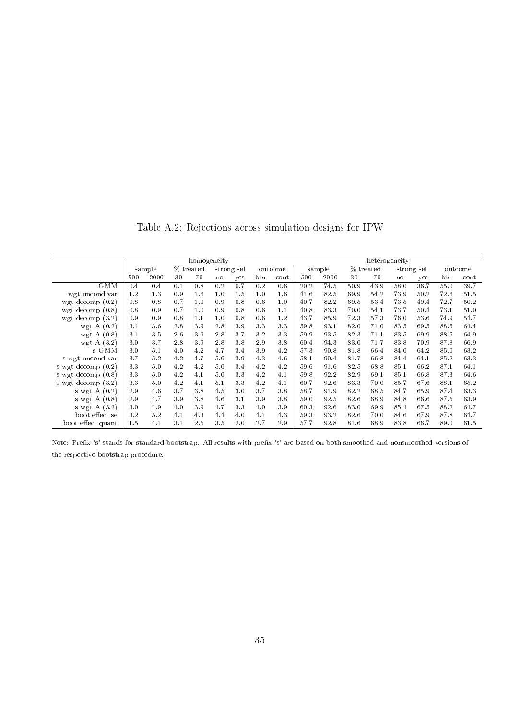<span id="page-37-0"></span>homogeneity<br>  $\%$  treated strong sel outcome | sample % treated strong sample % treated strong-sel outcome sample % treated strong-sel outcome 500 2000 30 70 no yes bin cont 500 2000 30 70 no yes bin cont  $\mathrm{GMM} \, \mid \, \mathrm{0.4} \quad \, \mathrm{0.4} \quad \, \mathrm{0.1} \quad \, \mathrm{0.8} \quad \, \mathrm{0.2} \quad \, \mathrm{0.7} \quad \, \mathrm{0.2} \quad \, \mathrm{0.6} \, \mid \, \mathrm{20.2} \quad \, \mathrm{74.5} \quad \, \mathrm{50.9} \quad \, \mathrm{43.9} \quad \, \mathrm{58.0} \quad \, \mathrm{36.7} \quad \, \mathrm{55.0} \quad \, \mathrm{39.7}$ wgt uncond var | 1.2 1.3 0.9 1.6 1.0 1.5 1.0 1.6 | 41.6 82.5 69.9 54.2 73.9 50.2 72.6 51.5<br>gt decomp (0.2) | 0.8 0.8 0.7 1.0 0.9 0.8 0.6 1.0 | 40.7 82.2 69.5 53.4 73.5 49.4 72.7 50.2 wgt decomp  $(0.2)$  0.8 0.8 0.7 1.0 0.9 0.8 0.6 1.0 40.7<br>wgt decomp  $(0.8)$  0.8 0.9 0.7 1.0 0.9 0.8 0.6 1.1 40.8 wgt decomp (0.8) 0.8 0.9 0.7 1.0 0.9 0.8 0.6 1.1 40.8 83.3 70.0 54.1 73.7 50.4 73.1 51.0 wgt decomp (3.2) 0.9 0.9 0.8 1.1 1.0 0.8 0.6 1.2 43.7 85.9 72.3 57.3 76.0 53.6 74.9 54.7 wgt A (0.2) 3.1 3.6 2.8 3.9 2.8 3.9 3.3 3.3 59.8 93.1 82.0 71.0 83.5 69.5 88.5 64.4 wgt A (0.2) 3.1 3.6 2.8 3.9 2.8 3.9 3.3 3.3 59.8 93.1 82.0 71.0 83.5 69.5 88.5 64.4 wgt A (0.8) 3.1 3.5 2.6 3.9 2.8 3.7 3.2 3.3 59.9 93.5 82.3 71.1 83.5 69.9 88.5 64.9 wgt A (3.2) 3.0 3.7 2.8 3.9 2.8 3.8 2.9 3.8 60.4 94.3 83.0 71.7 83.8 70.9 87.8 66.9 s GMM 3.0 5.1 4.0 4.2 4.7 3.4 3.9 4.2 57.3 90.8 81.8 66.4 84.0 64.2 85.0 63.2 s wgt uncond var | 3.7 5.2 4.2 4.7 5.0 3.9 4.3 4.6 | 58.1 90.4 81.7 66.8 84.4 64.1 85.2 63.3<br>wgt decomp (0.2) | 3.3 5.0 4.2 4.2 5.0 3.4 4.2 4.2 59.6 91.6 82.5 68.8 85.1 66.2 87.1 64.1 s wgt decomp (0.2) 3.3 5.0 4.2 4.2 5.0 3.4 4.2 4.2 59.6 91.6 82.5 68.8 85.1 66.2 87.1 64.1 s wgt decomp (0.8) 3.3 5.0 4.2 4.1 5.0 3.3 4.2 4.1 59.8 92.2 82.9 69.1 85.1 66.8 87.3 64.6 s wgt decomp (3.2) 3.3 5.0 4.2 4.1 5.1 3.3 4.2 4.1 60.7 92.6 83.3 70.0 85.7 67.6 88.1 65.2 s wgt A  $(0.2)$  | 2.9 4.6 3.7 3.8 4.5 3.0 3.7 3.8 | 58.7 91.9 82.2 68.5 s wgt A (0.8) 2.9 4.7 3.9 3.8 4.6 3.1 3.9 3.8 59.0 92.5 82.6 68.9 84.8 66.6 87.5 63.9 s wgt A (3.2) 3.0 4.9 4.0 3.9 4.7 3.3 4.0 3.9 60.3 92.6 83.0 69.9 85.4 67.5 88.2 64.7 boot effect se | 3.2 5.2 4.1 4.3 4.4 4.0 4.1 4.3 | 59.3 93.2 82.6 70.0 84.6 67.9 87.8 64.7 boot effect quant | 1.5  $4.1$   $3.1$   $2.5$   $3.5$   $2.0$   $2.7$   $2.9$  |  $57.7$   $92.8$   $81.6$   $68.9$   $83.8$   $66.7$   $89.0$   $61.5$ 

Table A.2: Rejections across simulation designs for IPW

Note: Prefix 's' stands for standard bootstrap. All results with prefix 's' are based on both smoothed and nonsmoothed versions of the respective bootstrap procedure.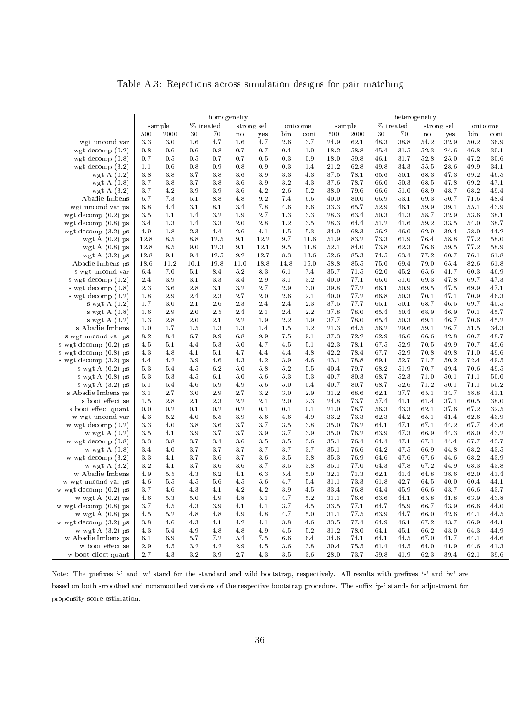Table A.3: Rejections across simulation designs for pair matching

|                                      |            |            |                | homogeneity |               |            |            |            |              |              |              |              | heterogeneity |              |              |              |
|--------------------------------------|------------|------------|----------------|-------------|---------------|------------|------------|------------|--------------|--------------|--------------|--------------|---------------|--------------|--------------|--------------|
|                                      |            | sample     |                | % treated   |               | strong sel |            | outcome    |              | sample       |              | $\%$ treated |               | strong sel   |              | outcome      |
|                                      | 500        | 2000       | 30             | 70          | $\mathbf n$ o | yes        | bin        | cont       | 500          | 2000         | 30           | 70           | $\mathbf n$ o | yes          | bin          | cont         |
| wgt uncond var                       | 3.3        | 3.0        | 1.6            | 4.7         | 1.6           | 4.7        | 2.6        | 3.7        | 24.9         | 62.1         | 48.3         | 38.8         | 54.2          | 32.9         | 50.2         | 36.9         |
| wgt decomp $(0.2)$                   | 0.8        | 0.6        | 0.6            | 0.8         | 0.7           | 0.7        | 0.4        | 1.0        | 18.2         | 58.8         | 45.4         | 31.5         | 52.3          | 24.6         | 46.8         | 30.1         |
| wgt decomp $(0.8)$                   | 0.7        | 0.5        | 0.5            | 0.7         | 0.7           | 0.5        | 0.3        | 0.9        | 18.0         | 59.8         | 46.1         | 31.7         | 52.8          | 25.0         | 47.2         | $30\,$ $6\,$ |
| wgt decomp $(3.2)$                   | 1.1        | 0.6        | 0.8            | 0.9         | 0.8           | 0.9        | 0.3        | 1.4        | 21.2         | 62.8         | 49.8         | 34.3         | 55.5          | 28.6         | 49.9         | 34.1         |
| wgt A $(0.2)$                        | $3.8\,$    | 3.8        | 3.7            | 3.8         | 3.6           | 3.9        | 3.3        | 4.3        | 37.5         | 78.1         | 65.6         | 50.1         | 68.3          | 47.3         | 69.2         | $46.5\,$     |
| wgt $A(0.8)$                         | 3.7        | 3.8        | 3.7            | 3.8         | 3.6           | 3.9        | 3.2        | 4.3        | 37.6         | 78.7         | 66.0         | 503          | 68.5          | 47.8         | 69.2         | 47.1         |
| wgt A $(3.2)$                        | 3.7        | 4.2        | 3.9            | 3.9         | 3.6           | 4.2        | 2.6        | 5.2        | 38.0         | 79.6         | 66.6         | 51.0         | 68.9          | 48.7         | 68.2         | 49.4         |
| Abadie Imbens                        | 6.7        | 7.3        | 5.1            | 8.8         | 4.8           | 9.2        | 7.4        | 6.6        | 40.0         | 80.0         | 66.9         | 53.1         | 69.3          | 50.7         | 71.6         | 48.4         |
| wgt uncond var ps                    | $6.8\,$    | 4.4        | 3.1            | 8.1         | 3.4           | 7.8        | 4.6        | 6.6        | 33.3         | 65.7         | 52.9         | 46.1         | 59.9          | 39.1         | 55.1         | 43.9         |
| wgt decomp $(0.2)$ ps                | 3.5        | 1.1        | 1.4            | 3.2         | 1.9           | 2.7        | 1.3        | 3.3        | 28.3         | 63.4         | 50.3         | 41.3         | 58.7          | 32.9         | 53.6         | 38.1         |
| wgt decomp $(0.8)$ ps                | 3.4        | 1.3        | 1.4            | 3.3         | 2.0           | 2.8        | 1.2        | 3.5        | 28.3         | 64.4         | 51.2         | 41.6         | 59.2          | 33.5         | 54.0         | 38.7         |
| wgt decomp $(3.2)$ ps                | 4.9        | 1.8        | $2.3\,$        | 4.4         | 2.6           | 4.1        | 1.5        | 5.3        | 34.0         | 68.3         | 56.2         | 46.0         | 62.9          | 39.4         | 58.0         | 44.2         |
| wgt A $(0.2)$ ps                     | 12.8       | 8.5        | 8.8            | 12.5        | 9.1           | 12.2       | 9.7        | 11.6       | 51.9         | 83.2         | 73.3         | 61.9         | 76.4          | 58.8         | 77.2         | 58.0         |
| wgt $A(0.8)$ ps                      | 12.8       | 8.5        | 9.0            | 12.3        | 9.1           | 12.1       | 9.5        | 11.8       | 52.1         | 84.0         | 73.8         | 62.3         | 76.6          | 59.5         | 77.2         | 58.9         |
| wgt A $(3.2)$ ps                     | 12.8       | 9.1        | 9.4            | 12.5        | 9.2           | 12.7       | 8.3        | 13.6       | 52.6         | 85.3         | 74.5         | 63.4         | 77.2          | 60.7         | 76.1         | 61.8         |
| Abadie Imbens ps                     | 18.6       | 11.2       | 10.1           | 19.8        | 11.0          | 18.8       | 14.8       | 15.0       | 58.8         | 85.5         | $75.0\,$     | 69.4         | 79.0          | 65.4         | 82.6         | $61.8\,$     |
| s wgt uncond var                     | 6.4        | 7.0        | 5.1            | 8.4         | 5.2           | 8.3        | 6.1        | 7.4        | 35.7         | 71.5         | 62.0         | 45.2         | 65.6          | 41.7         | 60.3         | 46.9         |
| s wgt decomp (0.2)                   | 2.4        | 3.9        | 3.1            | 3.3         | 3.4           | $2.9\,$    | 3.1        | 3.2        | 40.0         | 77.1         | 66.0         | 51.0         | 69.3          | 47.8         | 69.7         | 47.3         |
| s wgt decomp $(0.8)$                 | 2.3        | $3.6\,$    | $2\,.8$        | 3.1         | 3.2           | 2.7        | 2.9        | 3.0        | 39.8         | 77.2         | 66.1         | 50.9         | 69.5          | 47.5         | 69.9         | 47.1         |
| s wgt decomp $(3.2)$                 | 1.8        | 2.9        | 2.4            | 2.3         | 2.7           | 2.0        | 2.6        | 2.1        | 40.0         | 77.2         | 66.8         | 50.3         | 70.1          | 47.1         | 70.9         | 46.3         |
| s wgt A $(0.2)$                      | 1.7        | 3.0        | 2.1            | 2.6         | 2.3           | 2.4        | 2.4        | 2.3        | 37.5         | 77.7         | 65.1         | 50.1         | 68.7          | 46.5         | 69.7         | 45.5         |
| s wgt A $(0.8)$                      | 1.6        | 2.9        | 2.0            | 2.5         | 2.4           | 2.1        | 2.4        | 2.2        | 37.8         | 78.0         | 65.4         | 50.4         | 68.9          | 46.9         | 70.1         | 45.7         |
| s wgt A $(3.2)$                      | 1.3        | 2.8        | 2.0            | 2.1         | 2.2           | 1.9        | 2.2        | 1.9        | 37.7         | 78.0         | 65.4         | 50.3         | 69.1          | 46.7         | 70.6         | 45.2         |
| s Abadie Imbens                      | 1.0        | 1.7        | 1.5            | 1.3         | 1.3           | 1.4        | 1.5        | 1.2        | 21.3         | 64.5         | 56.2         | 29.6         | 59.1          | 26.7         | 51.5         | 34.3         |
| s wgt uncond var ps                  | 8.2        | 8.4        | 6.7            | 9.9         | 6.8           | 9.9        | 7.5        | 9.1        | 37.3         | 72.2         | 62.9         | 46.6         | 66.6          | 42.8         | 60.7         | 48.7         |
| s wgt decomp (0.2) ps                | 4.5        | 5.1        | 4.4            | 5.3         | 5.0           | 4.7        | 4.5        | 5.1        | 42.3         | 78.1         | 67.5         | 52.9         | 70.5          | 49.9         | 70.7         | 49.6         |
| s wgt decomp (0.8) ps                | 4.3        | 4.8<br>4.2 | 4.1<br>$3.9\,$ | 5.1<br>4.6  | 4.7           | 4.4<br>4.2 | 4.4        | 4.8        | 42.2         | 78.4         | 67.7         | 52.9<br>52.7 | 70.8          | 49.8         | 71.0<br>72.4 | 49.6<br>49.5 |
| s wgt decomp (3.2) ps                | 4.4        |            |                |             | 4.3           |            | 3.9        | 4.6        | 43.1         | 78.8         | 69.1         |              | 71.7          | 50.2         |              |              |
| s wgt A (0.2) ps                     | 5.3<br>5.3 | 5.4<br>5.3 | 4.5<br>4.5     | 6.2<br>6.1  | 5.0<br>5.0    | 5.8<br>5.6 | 5.2<br>5.3 | 5.5<br>5.3 | 40.4<br>40.7 | 79.7<br>80.3 | 68.2<br>68.7 | 51.9<br>523  | 70.7<br>71.0  | 49.4<br>50.1 | 70.6<br>71.1 | 49.5<br>50.0 |
| s wgt A (0.8) ps<br>s wgt A (3.2) ps | 5.1        | 5.4        | 4.6            | 5.9         | 4.9           | 5.6        | 5.0        | 5.4        | 40.7         | 80.7         | 68.7         | 52.6         | 71.2          | 50.1         | 71.1         | 50.2         |
| s Abadie Imbens ps                   | 3.1        | 2.7        | 3.0            | 2.9         | 2.7           | 3.2        | 3.0        | 2.9        | 31.2         | 68.6         | 62.1         | 37.7         | 65.1          | 34.7         | 58.8         | 41.1         |
| s boot effect se                     | 1.5        | 2.8        | 2.1            | 2.3         | 2.2           | 2.1        | 2.0        | 2.3        | 24.8         | 73.7         | 57.4         | 41.1         | 61.4          | 37.1         | 60.5         | 38.0         |
| s boot effect quant                  | 0.0        | 0.2        | 0.1            | 0.2         | 0.2           | 0.1        | 0.1        | 0.1        | 21.0         | 78.7         | 56.3         | 43.3         | 62.1          | 37.6         | 67.2         | 32.5         |
| w wgt uncond var                     | 4.3        | $5.2\,$    | 4.0            | 5.5         | 3.9           | 5.6        | 4.6        | 4.9        | 33.2         | 73.3         | 62.3         | 44.2         | 65.1          | 41.4         | 62.6         | 43.9         |
| w wgt decomp $(0.2)$                 | 3.3        | 4.0        | 3.8            | 3.6         | 3.7           | 3.7        | 3.5        | 3.8        | 35.0         | 76.2         | 64.1         | 47.1         | 67.1          | 44.2         | 67.7         | 43.6         |
| w wgt $A(0.2)$                       | 3.5        | 4.1        | 3.9            | 3.7         | 3.7           | 3.9        | 3.7        | 3.9        | 35.0         | 76.2         | 63.9         | 47.3         | 66.9          | 44.3         | 68.0         | 43.2         |
| w wgt decomp $(0.8)$                 | 3.3        | 3.8        | 3.7            | 3.4         | 3.6           | 3.5        | 3.5        | 3.6        | 35.1         | 76.4         | 64.4         | 47.1         | 67.1          | 44.4         | 67.7         | 43.7         |
| w wgt $A(0.8)$                       | 3.4        | 4.0        | 3.7            | 3.7         | 3.7           | 3.7        | 3.7        | 3.7        | 35.1         | 76.6         | 64.2         | 47.5         | 66.9          | 44.8         | 68.2         | 43.5         |
| w wgt decomp $(3.2)$                 | 3.3        | 4.1        | 3.7            | 3.6         | 3.7           | 3.6        | 3.5        | 3.8        | 35.3         | 76.9         | 64.6         | 47.6         | 67.6          | 44.6         | 68.2         | 43.9         |
| w wgt A $(3.2)$                      | $3.2\,$    | 4.1        | 3.7            | 3.6         | 3.6           | 3.7        | 3.5        | 3.8        | 35.1         | 77.0         | 64.3         | 47.8         | 67.2          | 44.9         | 683          | 43.8         |
| w Abadie Imbens                      | 4.9        | 5.5        | 4.3            | 6.2         | 4.1           | 6.3        | 5.4        | 5.0        | 32.1         | 71.3         | 62.1         | 41.4         | 64.8          | 38.6         | 62.0         | 41.4         |
| w wgt uncond var ps                  | 4.6        | 5.5        | 4.5            | 5.6         | 4.5           | 5.6        | 4.7        | 5.4        | 31.1         | 73.3         | 61.8         | 42.7         | 64.5          | 40.0         | 60.4         | 44.1         |
| w wgt decomp (0.2) ps                | 3.7        | 4.6        | 4.3            | 4.1         | 4.2           | 4.2        | 3.9        | 4.5        | 33.4         | 76.8         | 64.4         | 45.9         | 66.6          | 43.7         | 66.6         | 43.7         |
| w wgt A $(0.2)$ ps                   | 4.6        | $5.3\,$    | $5.0\,$        | 4.9         | 4.8           | $5.1\,$    | 4.7        | 5.2        | 31.1         | 76.6         | 63.6         | 44.1         | 65.8          | 41.8         | 63.9         | $43.8\,$     |
| w wgt decomp $(0.8)$ ps              | 3.7        | 4.5        | $4\, .3$       | $3\,\,9$    | 4.1           | 4.1        | 3.7        | 4.5        | 33.5         | 77.1         | 64.7         | 45.9         | 66.7          | 43.9         | 66.6         | 44.0         |
| w wgt $A(0.8)$ ps                    | 4.5        | 5.2        | 4.8            | 4.8         | 4.9           | 4.8        | 4.7        | 5.0        | 31.1         | 77.5         | 63.9         | 44.7         | 66.0          | 42.6         | 64.1         | 44.5         |
| w wgt decomp $(3.2)$ ps              | 3.8        | 4.6        | 4.3            | 4.1         | 4.2           | 4.1        | 3.8        | 4.6        | 33.5         | 77.4         | 64.9         | 46.1         | 67.2          | 43.7         | 66.9         | 44.1         |
| w wgt $A(3.2)$ ps                    | 4.3        | 5.4        | 4.9            | 4.8         | 4.8           | 4.9        | 4.5        | 5.2        | 31.2         | $78.0\,$     | 64.1         | 45.1         | 66.2          | 43.0         | 64.3         | 44.9         |
| w Abadie Imbens ps                   | 6.1        | 6.9        | 5.7            | 7.2         | 5.4           | 7.5        | 6.6        | 6.4        | 34.6         | 74.1         | 64.1         | 44.5         | 67.0          | 41.7         | 64.1         | 44.6         |
| w boot effect se                     | $2\,.9$    | 4.5        | 3.2            | 4.2         | 2.9           | 4.5        | 3.6        | 3.8        | 30.4         | 75.5         | 61.4         | 44.5         | 64.0          | 41.9         | 64.6         | 41.3         |
| w boot effect quant                  | 2.7        | 4.3        | 3.2            | 3.9         | 2.7           | 4.3        | 3.5        | 3.6        | 28.0         | 73.7         | 59.8         | 41.9         | 62.3          | 39.4         | 62.1         | 39.6         |

Note: The prefixes 's' and 'w' stand for the standard and wild bootstrap, respectively. All results with prefixes 's' and 'w' are based on both smoothed and nonsmoothed versions of the respective bootstrap procedure. The suffix 'ps' stands for adjustment for propensity score estimation.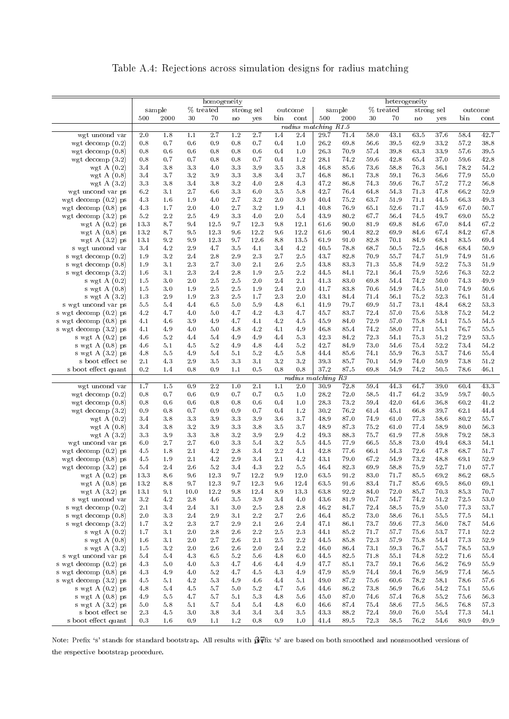Table A.4: Rejections across simulation designs for radius matching

<span id="page-39-0"></span>

|                                              |            |                |            | homogeneity    |                        |            |                        |                      |              |              |                  | heterogeneity |                        |              |              |              |
|----------------------------------------------|------------|----------------|------------|----------------|------------------------|------------|------------------------|----------------------|--------------|--------------|------------------|---------------|------------------------|--------------|--------------|--------------|
|                                              |            | sample         |            | % treated      |                        | strong sel |                        | outcome              |              | sample       |                  | % treated     |                        | strong sel   |              | outcome      |
|                                              | 500        | 2000           | 30         | 70             | $\mathbf{n}\mathbf{o}$ | yes        | bin                    | cont                 | 500          | 2000         | 30               | 70            | $\mathbf{n}\mathbf{o}$ | yes          | bin          | cont         |
|                                              |            |                |            |                |                        |            |                        | radius matching R1.5 |              |              |                  |               |                        |              |              |              |
| wgt uncond var                               | 2.0        | 1.8            | 1.1        | 2.7            | 1.2                    | 2.7        | 1.4                    | 2.4                  | 29.7         | 71.4         | 58.0             | 43.1          | 63.5<br>62.9           | 37.6<br>33.2 | 58.4<br>57.2 | 42.7<br>38.8 |
| wgt decomp $(0.2)$<br>wgt decomp $(0.8)$     | 0.8<br>0.8 | 0.7<br>0.6     | 0.6<br>0.6 | 0.9<br>$0.8\,$ | 0.8<br>0.8             | 0.7<br>0.6 | 0.4<br>0.4             | 1.0<br>1.0           | 26.2<br>26.3 | 69.8<br>70.9 | 56.6<br>57.4     | 39.5<br>39.8  | 63.3                   | 33.9         | 57.6         | 39.5         |
| wgt decomp $(3.2)$                           | 0.8        | 0.7            | 0.7        | 0.8            | 0.8                    | 0.7        | 0.4                    | 1.2                  | 28.1         | 74.2         | 59.6             | 42.8          | 65.4                   | 37.0         | 59.6         | 42.8         |
| wgt A $(0.2)$                                | 3.4        | 3.8            | 3.3        | 4.0            | 3.3                    | 3.9        | 3.5                    | 3.8                  | 46.8         | 85.6         | 73.6             | 58.8          | 76.3                   | 56.1         | 78.2         | 54.2         |
| wgt A $(0.8)$                                | 3.4        | 3.7            | 3.2        | 3.9            | 3.3                    | 3.8        | 3.4                    | 3.7                  | 46.8         | 86.1         | 73.8             | 59.1          | 76.3                   | 56.6         | 77.9         | 55.0         |
| wgt A $(3.2)$                                | 3.3        | 3.8            | 3.4        | 3.8            | 3.2                    | 4.0        | 2.8                    | 4.3                  | 47.2         | 86.8         | 74.3             | 59.6          | 76.7                   | 57.2         | 77.2         | 56.8         |
| wgt uncond var ps                            | 6.2        | 3.1            | 2.7        | 6.6            | 3.3                    | 6.0        | 3.5                    | 5.8                  | 42.7         | 76.4         | 64.8             | 54.3          | 71.3                   | 47.8         | 66.2         | 52.9         |
| wgt decomp $(0.2)$ ps                        | 4.3        | 1.6            | 1.9        | 4.0            | 2.7                    | $3.2\,$    | 2.0                    | 3.9                  | 40.4         | 75.2         | 63.7             | 51.9          | 71.1                   | 44.5         | 66.3         | 49.3         |
| wgt decomp $(0.8)$ ps                        | 4.3        | 1.7            | 2.0        | 4.0            | 2.7                    | 3.2        | 1.9                    | 4.1                  | 40.8         | 76.9         | 65.1             | 52.6          | 71.7                   | 45.9         | 67.0         | 50.7         |
| wgt decomp $(3.2)$ ps                        | 5.2        | 2.2            | 2.5        | 4.9            | 3.3                    | 4.0        | 2.0                    | 5.4                  | 43.9         | 80.2         | 67.7             | 56.4          | 74.5                   | 49.7         | 69.0         | 55.2         |
| wgt A $(0.2)$ ps                             | 13.3       | 8.7            | 9.4        | 12.5           | 9.7                    | 12.3       | 9.8                    | 12.1                 | 61.6         | 90.0         | 81.9             | 69.8          | 84.6                   | 67.0         | 84.4         | 67.2         |
| wgt A $(0.8)$ ps                             | 13.2       | 8.7            | 9.5        | 12.3           | 9.6                    | 12.2       | 9.6                    | 12.2                 | 61.6         | 90.4         | 82.2             | 69.9          | 84.6                   | 67.4         | 84.2         | 67.8         |
| wgt A $(3.2)$ ps                             | 13.1       | 9.2            | 9.9        | 12.3           | 9.7                    | 12.6       | 8.8                    | 13.5                 | 61.9         | 91.0         | 82.8             | 70.1          | 84.9                   | 68.1         | 83.5         | 69.4         |
| s wgt uncond var                             | 3.4        | 4.2            | 2.9        | 4.7            | 3.5                    | 4.1        | 3.4                    | 4.2                  | 40.5         | 78.8         | 68.7             | 50.5          | 72.5                   | 46.8         | 68.4         | 50.9         |
| s wgt decomp $(0.2)$                         | 1.9        | 3.2            | 2.4        | 2.8            | 2.9                    | 2.3        | 2.7                    | 2.5                  | 43.7         | 82.8         | 70.9             | 55.7          | 74.7                   | 51.9         | 74.9         | 51.6         |
| s wgt decomp $(0.8)$<br>s wgt decomp $(3.2)$ | 1.9<br>1.6 | 3.1<br>3.1     | 2.3<br>2.3 | 2.7<br>2.4     | 3.0<br>2.8             | 2.1<br>1.9 | 2.6<br>2.5             | 2.5<br>2.2           | 43.8<br>44.5 | 833<br>84.1  | 71.3<br>72.1     | 55.8<br>56.4  | 74.9<br>75.9           | 52.2<br>52.6 | 75.3<br>76.3 | 51.9<br>52.2 |
| s wgt $A(0.2)$                               | 1.5        | 3.0            | 2.0        | 2.5            | 2.5                    | 2.0        | 2.4                    | 2.1                  | 41.3         | 83.0         | 69.8             | 54.4          | 74.2                   | 50.0         | 74.3         | 49.9         |
| s wgt A $(0.8)$                              | 1.5        | 3.0            | 1.9        | 2.5            | $2.5\,$                | 1.9        | 2.4                    | 2.0                  | 41.7         | 83.8         | 70.6             | 54.9          | 74.5                   | 51.0         | 74.9         | 50.6         |
| s wgt A $(3.2)$                              | 1.3        | 2.9            | 1.9        | 2.3            | 2.5                    | 1.7        | 2.3                    | 2.0                  | 43.1         | 84.4         | 71.4             | 56.1          | 75.2                   | 52.3         | 76.1         | 51.4         |
| s wgt uncond var ps                          | 5.5        | 5.4            | 4.4        | 6.5            | 5.0                    | 5.9        | 4.8                    | 6.1                  | 41.9         | 79.7         | 69.9             | 51.7          | 73.1                   | 48.4         | 68.2         | 53.3         |
| s wgt decomp (0.2) ps                        | 4.2        | 4.7            | 4.0        | 5.0            | 4.7                    | 4.2        | 4.3                    | 4.7                  | 45.7         | 83.7         | 72.4             | 57.0          | 75.6                   | 53.8         | 75.2         | 54.2         |
| s wgt decomp (0.8) ps                        | 4.1        | 4.6            | 3.9        | 4.9            | 4.7                    | 4.1        | 4.2                    | 4.5                  | 45.9         | 84.0         | 72.9             | 57.0          | 75.8                   | 54.1         | 75.5         | 54.5         |
| s wgt decomp (3.2) ps                        | 4.1        | 4.9            | 4.0        | 5.0            | 4.8                    | 4.2        | 4.1                    | 4.9                  | 46.8         | 85.4         | 74.2             | 58.0          | 77.1                   | 55.1         | 76.7         | 55.5         |
| s wgt A $(0.2)$ ps                           | 4.6        | 5.2            | 4.4        | 5.4            | 4.9                    | 4.9        | 4.4                    | 5.3                  | 42.3         | 84.2         | 72.3             | 54.1          | 75.3                   | 51.2         | 72.9         | 53.5         |
| s wgt $A(0.8)$ ps                            | 4.6        | 5.1            | 4.5        | 5.2            | 4.9                    | 4.8        | 4.4                    | 5.2                  | 42.7         | 84.9         | 73.0             | 54.6          | 75.4                   | 52.2         | 73.4         | 54.2         |
| s wgt $A(3.2)$ ps                            | 4.8        | 5.5            | 4.9        | 5.4            | 5.1                    | 5.2        | 4.5                    | 5.8                  | 44.4         | 85.6         | 74.1             | 55.9          | 76.3                   | 53.7         | 74.6         | 55.4         |
| s boot effect se                             | 2.1        | 4.3            | 2.9        | 3.5            | 3.3                    | 3.1        | $3.2\,$                | 3.2                  | 39.3         | 85.7         | 70.1             | 54.9          | 74.0                   | 50.9         | 73.8         | 51.2         |
| s boot effect quant                          | 0.2        | 1.4            | 0.8        | 0.9            | 1.1                    | 0.5        | 0.8                    | 0.8                  | 37.2         | 87.5         | 69.8             | 54.9          | 74.2                   | 50.5         | 78.6         | 46.1         |
|                                              |            |                |            |                |                        |            |                        | radius matching      |              | R3           |                  |               |                        |              |              |              |
| wgt uncond var<br>wgt decomp $(0.2)$         | 1.7<br>0.8 | 1.5<br>$0\,.7$ | 0.9<br>0.6 | 2.2<br>0.9     | 1.0<br>$0.7\,$         | 2.1<br>0.7 | 1.1<br>$0.5\,$         | 2.0<br>1.0           | 30.9<br>28.2 | 72.8<br>72.0 | 59.4<br>$58.5\,$ | 44.3<br>41.7  | 64.7<br>64.2           | 39.0<br>35.9 | 60.4<br>59.7 | 43.3<br>40.5 |
| wgt decomp $(0.8)$                           | 0.8        | 0.6            | 0.6        | 0.8            | 0.8                    | 0.6        | 0.4                    | 1.0                  | 28.3         | 73.2         | 59.4             | 42.0          | 64.6                   | 36.8         | 60.2         | 41.2         |
| wgt decomp $(3.2)$                           | 0.9        | 0.8            | 0.7        | 0.9            | 0.9                    | 0.7        | 0.4                    | 1.2                  | 30.2         | 76.2         | 61.4             | 45.1          | 66.8                   | 39.7         | 62.1         | 44.4         |
| wgt A $(0.2)$                                | 3.4        | 3.8            | 3.3        | 3.9            | 3.3                    | 3.9        | 3.6                    | 3.7                  | 48.9         | 87.0         | 74.9             | 61.0          | 77.3                   | 58.6         | 80.2         | 55.7         |
| wgt A $(0.8)$                                | 3.4        | 3.8            | 3.2        | 3.9            | 3.3                    | 3.8        | 3.5                    | 3.7                  | 48.9         | 87.3         | 75.2             | 61.0          | 77.4                   | 58.9         | 80.0         | 56.3         |
| wgt A $(3.2)$                                | 3.3        | 3.9            | 3.3        | 3.8            | 3.2                    | 3.9        | 2.9                    | 4.2                  | 49.3         | 88.3         | 75.7             | 61.9          | 77.8                   | 59.8         | 79.2         | 58.3         |
| wgt uncond var ps                            | 6.0        | 2.7            | 2.7        | 6.0            | 3.3                    | 5.4        | $3.2\,$                | 5.5                  | 44.5         | 77.9         | 66.5             | 55.8          | 73.0                   | 49.4         | 68.3         | 54.1         |
| wgt decomp $(0.2)$ ps                        | 4.5        | 1.8            | 2.1        | 4.2            | 2.8                    | 3.4        | $2\,.2$                | 4.1                  | 42.8         | 77.6         | 66.1             | 54.3          | 72.6                   | 47.8         | 68.7         | 51.7         |
| wgt decomp $(0.8)$ ps                        | 4.5        | 1.9            | 2.1        | 4.2            | 2.9                    | 3.4        | 2.1                    | 4.2                  | 43.1         | 79.0         | 67.2             | 54.9          | 73.2                   | 48.8         | 69.1         | 52.9         |
| wgt decomp $(3.2)$ ps                        | 5.4        | 2.4            | 2.6        | 5.2            | 3.4                    | 4.3        | 2.2                    | 5.5                  | 46.4         | 82.3         | 69.9             | 58.8          | 75.9                   | 52.7         | 71.0         | 57.7         |
| wgt A $(0.2)$ ps                             | 13.3       | $8\,.6$        | 9.6        | 12.3           | 9.7                    | 12.2       | 9.9                    | 12.0                 | 63.5         | 91.2         | 83.0             | 71.7          | $85.5\,$               | 69.2         | 86.2         | 68.5         |
| wgt A $(0.8)$ ps                             | 13.2       | 8.8            | 9.7        | 12.3           | 9.7                    | 12.3       | 9.6                    | 12.4                 | 63.5         | 91.6         | 83.4             | 71.7          | 85.6                   | 69.5         | 86.0         | 69.1         |
| wgt $A(3.2)$ ps                              | 13.1       | 9.1            | 10.0       | 12.2           | 9.8                    | 12.4       | 8.9                    | 13.3                 | 63.8         | 92.2         | 84.0             | 72.0          | 85.7                   | 70.3         | 85.3         | 70.7         |
| s wgt uncond var                             | 3.2        | 4.2            | 2.8        | 4.6            | 3.5                    | 3.9        | 3.4                    | 4.0                  | 43.6         | 81.9         | 70.7             | 54.7          | 74.2                   | 51.2         | 72.5         | 53.0         |
| s wgt decomp $(0.2)$<br>s wgt decomp $(0.8)$ | 2.1<br>2.0 | 3.4<br>3.3     | 2.4<br>2.4 | 3.1<br>2.9     | 3.0<br>3.1             | 2.5<br>2.2 | 2.8<br>$2\ \mathrm{7}$ | 2.8<br>2.6           | 46.2<br>46.4 | 84.7<br>85.2 | 72.4<br>73.0     | 58.5<br>58.6  | 75.9<br>76.1           | 55.0<br>55.5 | 77.3<br>77.5 | 53.7<br>54.1 |
| s wgt decomp (3.2)                           | 1.7        | 3.2            | 2.3        | 2.7            | 2.9                    | 2.1        | 2.6                    | 2.4                  | 47.1         | 86.1         | 73.7             | 59.6          | 77.3                   | 56.0         | 78.7         | 54.6         |
| s wgt A $(0.2)$                              | 1.7        | 3.1            | 2.0        | 2.8            | 2.6                    | 2.2        | 2.5                    | 2.3                  | 44.1         | 85.2         | 71.7             | 57.7          | 75.6                   | 53.7         | 77.1         | 52.2         |
| s wgt $A(0.8)$                               | 1.6        | 3.1            | $2.0\,$    | 2.7            | 2.6                    | 2.1        | 2.5                    | 2.2                  | 44.5         | 85.8         | 72.3             | 57.9          | 75.8                   | 54.4         | 77.3         | 52.9         |
| s wgt A $(3.2)$                              | 1.5        | 3.2            | 2.0        | 2.6            | 2.6                    | 2.0        | 2.4                    | 2.2                  | 46.0         | 86.4         | 73.1             | 59.3          | 76.7                   | 55.7         | 78.5         | 53.9         |
| s wgt uncond var ps                          | 5.4        | 5.4            | 4.3        | 6.5            | 5.2                    | 5.6        | 4.8                    | 6.0                  | 44.5         | 82.5         | 71.8             | 55.1          | 74.8                   | 52.2         | 71.6         | 55.4         |
| s wgt decomp $(0.2)$ ps                      | 4.3        | 5.0            | 4.0        | 5.3            | 4.7                    | 4.6        | 4.4                    | 4.9                  | 47.7         | 85.1         | 73.7             | 59.1          | 76.6                   | 56.2         | 76.9         | 55.9         |
| s wgt decomp $(0.8)$ ps                      | 4.3        | 4.9            | 4.0        | $5.2\,$        | 4.7                    | 4.5        | 4.3                    | 4.9                  | 47.9         | 85.9         | 74.4             | 59.4          | 76.9                   | 56.9         | 77.4         | 56.5         |
| s wgt decomp $(3.2)$ ps                      | 4.5        | 5.1            | 4.2        | 5.3            | 4.9                    | 4.6        | 4.4                    | 5.1                  | 49.0         | 87.2         | 75.6             | 60.6          | 78.2                   | 58.1         | 78.6         | 57.6         |
| s wgt A $(0.2)$ ps                           | 4.8        | 5.4            | 4.5        | 5.7            | 5.0                    | 5.2        | 4.7                    | 5.6                  | 44.6         | 86.2         | 73.8             | 56.9          | 76.6                   | 54.2         | 75.1         | 55.6         |
| s wgt $A(0.8)$ ps                            | 4.9        | 5.5            | 4.7        | 5.7            | 5.1                    | 5.3        | 4.8                    | 5.6                  | 45.0         | 87.0         | 74.6             | 57.4          | 76.8                   | 55.2         | 75.6         | 56.3         |
| s wgt $A(3.2)$ ps                            | 5.0        | 5.8            | 5.1        | 5.7            | 5.4                    | 5.4        | 4.8                    | 6.0                  | 46.6         | 87.4         | 75.4             | 58.6          | 77.5                   | 56.5         | 76.8         | 57.3         |
| s boot effect se                             | 2.3        | 4.5            | 3.0        | 3.8            | 3.4                    | 3.4        | 3.4                    | 3.5                  | 43.3         | 88.2         | 72.4             | 59.0          | 76.0                   | 55.4         | 77.3         | 54.1         |
| s boot effect quant                          | 0.3        | 1.6            | 0.9        | 1.1            | 1.2                    | 0.8        | 0.9                    | 1.0                  | 41.4         | 89.5         | 72.3             | 58.5          | 76.2                   | 54.6         | 80.9         | 49.9         |

Note: Prefix 's' stands for standard bootstrap. All results with  $\mathbf{\hat{y}}$ ffix 's' are based on both smoothed and nonsmoothed versions of the respective bootstrap procedure.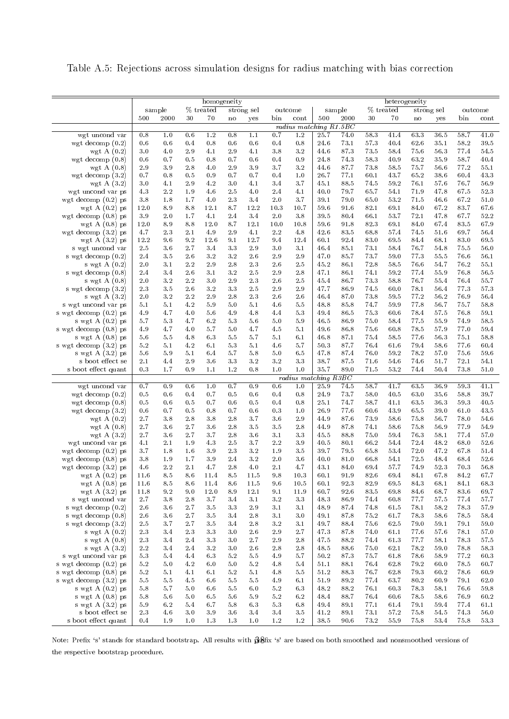Table A.5: Rejections across simulation designs for radius matching with bias correction

|                                          |            |            |            | homogeneity |            |            |            |                                 |              |              |              |              | heterogeneity |              |              |               |
|------------------------------------------|------------|------------|------------|-------------|------------|------------|------------|---------------------------------|--------------|--------------|--------------|--------------|---------------|--------------|--------------|---------------|
|                                          |            | sample     |            | $%$ treated |            | strong sel |            | outcome                         |              | sample       |              | % treated    |               | strong sel   |              | outcome       |
|                                          | 500        | 2000       | 30         | 70          | no         | yes        | bin        | cont                            | 500          | 2000         | 30           | 70           | no            | yes          | bin          | $_{\rm cont}$ |
| wgt uncond var                           | 0.8        | 1.0        | 0.6        | 1.2         | 0.8        | 1.1        | 0.7        | radius matching $R1.5BC$<br>1.2 | 25.7         | 74.0         | 58.3         | 41.4         | 63.3          | 36.5         | 58.7         | 41.0          |
| wgt decomp $(0.2)$                       | 0.6        | 0.6        | 0.4        | 0.8         | 0.6        | 0.6        | 0.4        | 0.8                             | 24.6         | 73.1         | 57.3         | 40.4         | 62.6          | 35.1         | 58.2         | 39.5          |
| wgt A $(0.2)$                            | 3.0        | 4.0        | 2.9        | 4.1         | 2.9        | 4.1        | 3.8        | 3.2                             | 44.6         | 87.3         | 73.5         | 58.4         | 75.6          | 56.3         | 77.4         | 54.5          |
| wgt decomp $(0.8)$                       | 0.6        | 0.7        | 0.5        | 0.8         | 0.7        | 0.6        | 0.4        | 0.9                             | 24.8         | 74.3         | 58.3         | 40.9         | 63.2          | 35.9         | 58.7         | 40.4          |
| wgt A $(0.8)$                            | 2.9        | 3.9        | 2.8        | 4.0         | 2.9        | 3.9        | 3.7        | 3.2                             | 44.6         | 87.7         | 73.8         | 58.5         | 75.7          | 56.6         | 77.2         | 55.1          |
| wgt decomp $(3.2)$                       | 0.7        | 0.8        | 0.5        | 0.9         | 0.7        | 0.7        | 0.4        | 1.0                             | 26.7         | 77.1         | 60.1         | 43.7         | 65.2          | 38.6         | 60.4         | 43.3          |
| wgt A $(3.2)$                            | 3.0        | 4.1        | 2.9        | 4.2         | 3.0        | 4.1        | 3.4        | 3.7                             | 45.1         | 88.5         | 74.5         | 59.2         | 76.1          | 57.6         | 76.7         | 56.9          |
| wgt uncond var ps                        | 4.3        | 2.2        | 1.9        | 4.6         | 2.5        | 4.0        | 2.4        | 4.1                             | 40.0         | 79.7         | 65.7         | 54.1         | 71.9          | 47.8         | 67.5         | 52.3          |
| wgt decomp $(0.2)$ ps                    | 3.8        | 1.8        | 1.7        | 4.0         | 2.3        | 3.4        | 2.0        | 3.7                             | 39.1         | 79.0         | 65.0         | 53.2         | 71.5          | 46.6         | 67.2         | 51.0          |
| wgt A $(0.2)$ ps                         | 12.0       | 8.9        | 8.8        | 12.1        | 8.7        | 12.2       | 10.3       | 10.7                            | 59.6         | 91.6         | 82.1         | 69.1         | 84.0          | 67.2         | 83.7         | 67.6          |
| wgt decomp $(0.8)$ ps                    | 3.9        | 2.0        | 1.7        | 4.1         | 2.4        | 3.4        | 2.0        | 3.8                             | 39.5         | 80.4         | 66.1         | 53.7         | 72.1          | 47.8         | 67.7         | 52.2          |
| wgt A $(0.8)$ ps                         | 12.0       | 8.9        | 8.8        | 12.0        | 8.7        | 12.1       | 10.0       | 10.8                            | 59.6         | 91.8         | 82.3         | 69.1         | 84.0          | 67.4         | 83.5         | 67.9          |
| wgt decomp $(3.2)$ ps                    | 4.7        | 2.3        | 2.1        | 4.9         | 2.9        | 4.1        | 2.2        | 4.8                             | 42.6         | 83.5         | 68.8         | 57.4         | 74.5          | 51.6         | 69.7         | 56.4          |
| wgt A $(3.2)$ ps                         | 12.2       | 9.6        | 9.2        | 12.6        | 9.1        | 12.7       | 9.4        | 12.4                            | 60.1         | 92.4         | 83.0         | 69.5         | 84.4          | 68.1         | 83.0         | 69.5          |
| s wgt uncond var                         | 2.5        | 3.6        | 2.7        | 3.4         | 3.3        | 2.9        | 3.0        | 3.1                             | 46.4         | 85.1         | 73.1         | 58.4         | 76.7          | 54.8         | 75.5         | 56.0          |
| s wgt decomp (0.2)                       | 2.4<br>2.0 | 3.5<br>3.1 | 2.6<br>2.2 | 3.2<br>2.9  | 3.2<br>2.8 | 2.6<br>2.3 | 2.9<br>2.6 | 2.9<br>2.5                      | 47.0<br>45.2 | 85.7<br>86.1 | 73.7<br>72.8 | 59.0<br>58.5 | 77.3<br>76.6  | 55.5<br>54.7 | 76.6<br>76.2 | 56.1<br>55.1  |
| s wgt $A(0.2)$<br>s wgt decomp $(0.8)$   | 2.4        | 3.4        | 2.6        | 3.1         | 3.2        | 2.5        | 2.9        | 2.8                             | 47.1         | 86.1         | 74.1         | 59.2         | 77.4          | 55.9         | 76.8         | 56.5          |
| s wgt $A(0.8)$                           | 2.0        | 3.2        | 2.2        | 3.0         | 2.9        | 2.3        | 2.6        | 2.5                             | 45.4         | 86.7         | 73.3         | 58.8         | 76.7          | 55.4         | 76.4         | 55.7          |
| s wgt decomp (3.2)                       | 2.3        | 3.5        | 2.6        | 3.2         | 3.3        | 2.5        | 2.9        | 2.9                             | 47.7         | 86.9         | 74.5         | 60.0         | 78.1          | 56.4         | 77.3         | 57.3          |
| s wgt A $(3.2)$                          | 2.0        | 3.2        | 2.2        | 2.9         | 2.8        | $2.3\,$    | 2.6        | 2.6                             | 46.4         | 87.0         | 73.8         | 59.5         | 77.2          | 56.2         | 76.9         | 56.4          |
| s wgt uncond var ps                      | 5.1        | 5.1        | 4.2        | 5.9         | 5.0        | 5.1        | 4.6        | 5.5                             | 48.8         | 85.8         | 74.7         | 59.9         | 77.8          | 56.7         | 75.7         | 58.8          |
| s wgt decomp (0.2) ps                    | 4.9        | 4.7        | 4.0        | 5.6         | 4.9        | 4.8        | 4.4        | 5.3                             | 49.4         | 86.5         | 75.3         | 60.6         | 78.4          | 57.5         | 76.8         | 59.1          |
| s wgt A $(0.2)$ ps                       | 5.7        | 5.3        | 4.7        | 6.2         | 5.3        | 5.6        | 5.0        | 5.9                             | 46.5         | 86.9         | 75.0         | 58.4         | 77.5          | 55.9         | 74.9         | 58.5          |
| s wgt decomp (0.8) ps                    | 4.9        | 4.7        | 4.0        | 5.7         | 5.0        | 4.7        | 4.5        | 5.1                             | 49.6         | 86.8         | 75.6         | 60.8         | 78.5          | 57.9         | 77.0         | 59.4          |
| s wgt $A(0.8)$ ps                        | 5.6        | 5.5        | 4.8        | 6.3         | 5.5        | 5.7        | 5.1        | 6.1                             | 46.8         | 87.1         | 75.4         | 58.5         | 77.6          | 56.3         | 75.1         | 58.8          |
| s wgt decomp (3.2) ps                    | 5.2        | 5.1        | 4.2        | 6.1         | 5.3        | 5.1        | 4.6        | 5.7                             | 50.3         | 87.7         | 76.4         | 61.6         | 79.4          | 58.6         | 77.6         | 60.4          |
| s wgt A $(3.2)$ ps                       | 5.6        | 5.9        | 5.1        | 6.4         | 5.7        | 5.8        | 5.0        | 6.5                             | 47.8         | 87.4         | 76.0         | 59.2         | 78.2          | 57.0         | 75.6         | 59.6          |
| s boot effect se                         | 2.1        | 4.4        | 2.9        | 3.6         | 3.3        | 3.2        | 3.2        | 3.3                             | 38.7         | 87.5         | 71.6         | 54.6         | 74.6          | 51.7         | 72.1         | 54.1          |
| s boot effect quant                      | 0.3        | 1.7        | 0.9        | 1.1         | 1.2        | 0.8        | 1.0        | 1.0<br>radius matching R3BC     | 35.7         | 89.0         | 71.5         | 53.2         | 74.4          | 50.4         | 73.8         | 51.0          |
| wgt uncond var                           | 0.7        | 0.9        | 0.6        | 1.0         | 0.7        | 0.9        | 0.6        | 1.0                             | 25.9         | 74.5         | 58.7         | 41.7         | 63.5          | 36.9         | 59.3         | 41.1          |
| wgt decomp $(0.2)$                       | 0.5        | 0.6        | 0.4        | 0.7         | 0.5        | 0.6        | 0.4        | 0.8                             | 24.9         | 73.7         | 58.0         | 40.5         | 63.0          | 35.6         | 58.8         | 39.7          |
| wgt decomp $(0.8)$                       | 0.5        | 0.6        | 0.5        | 0.7         | 0.6        | 0.5        | 0.4        | 0.8                             | 25.1         | 74.7         | 58.7         | 41.1         | 63.5          | 36.3         | 59.3         | 40.5          |
| wgt decomp $(3.2)$                       | 0.6        | 0.7        | 0.5        | 0.8         | 0.7        | 0.6        | 0.3        | 1.0                             | 26.9         | 77.6         | 60.6         | 43.9         | 65.5          | 39.0         | 61.0         | 43.5          |
| wgt A $(0.2)$                            | 2.7        | 3.8        | 2.8        | 3.8         | 2.8        | 3.7        | 3.6        | 2.9                             | 44.9         | 87.6         | 73.9         | 58.6         | 75.8          | 56.7         | 78.0         | 54.6          |
| wgt A $(0.8)$                            | 2.7        | 3.6        | 2.7        | 3.6         | 2.8        | 3.5        | 3.5        | 2.8                             | 44.9         | 87.8         | 74.1         | 58.6         | 75.8          | 56.9         | 77.9         | 54.9          |
| wgt A $(3.2)$                            | 2.7        | 3.6        | 2.7        | 3.7         | 2.8        | 3.6        | 3.1        | 3.3                             | 45.5         | 88.8         | 75.0         | 59.4         | 76.3          | 58.1         | 77.4         | 57.0          |
| wgt uncond var ps                        | 4.1        | 2.1        | 1.9        | 4.3         | 2.5        | 3.7        | 2.2        | 3.9                             | 40.5         | 80.1         | 66.2         | 54.4         | 72.4          | 48.2         | 68.0         | 52.6          |
| wgt decomp $(0.2)$ ps                    | 3.7        | 1.8        | 1.6        | 3.9         | 2.3        | 3.2        | 1.9        | 3.5                             | 39.7         | 79.5         | 65.8         | 53.4         | 72.0          | 47.2         | 67.8         | 51.4          |
| wgt decomp $(0.8)$ ps                    | 3.8        | 1.9        | 1.7        | 3.9         | 2.4        | 3.2        | 2.0        | 3.6                             | 40.0         | 81.0         | 66.8         | 54.1         | 72.5          | 48.4         | 68.4         | 52.6          |
| wgt decomp $(3.2)$ ps                    | 4.6        | 2.2        | 2.1        | 4.7         | 2.8        | 4.0        | 2.1        | 4.7                             | 43.1         | 84.0         | 69.4         | 57.7         | 74.9          | 52.3         | 70.3         | 56.8          |
| wgt A $(0.2)$ ps                         | 11.6       | $8\,.5$    | 8.6        | 11.4        | 8.5        | $11.5\,$   | $9.8\,$    | 10.3                            | $60.1\,$     | 91.9         | 82.6         | 69.4         | 84.1          | $6\,7.8$     | 84.2         | 67.7          |
| wgt $A(0.8)$ ps                          | 11.6       | 8.5        | 8.6        | 11.4        | 8.6        | 11.5       | 9.6        | 10.5                            | 60.1         | 92.3         | 82.9         | 69.5         | 84.3          | 68.1         | 84.1         | 68.3          |
| wgt A $(3.2)$ ps                         | 11.8       | 9.2        | 9.0<br>2.8 | 12.0<br>3.7 | 8.9<br>3.4 | 12.1       | 9.1<br>3.2 | 11.9<br>3.3                     | 60.7         | 92.6         | $83.5\,$     | 69.8         | 84.6          | 68.7<br>57.5 | 83.6<br>77.4 | 69.7          |
| s wgt uncond var<br>s wgt decomp $(0.2)$ | 2.7<br>2.6 | 3.8<br>3.6 | 2.7        | 3.5         | 3.3        | 3.1<br>2.9 | 3.1        | 3.1                             | 48.3<br>48.9 | 86.9<br>87.4 | 74.4<br>74.8 | 60.8<br>61.5 | 77.7<br>78.1  | 58.2         | 78.3         | 57.7<br>57.9  |
| s wgt decomp $(0.8)$                     | 2.6        | 3.6        | 2.7        | 3.5         | 3.4        | 2.8        | 3.1        | 3.0                             | 49.1         | 87.8         | 75.2         | 61.7         | 78.3          | 58.6         | 78.5         | 58.4          |
| s wgt decomp $(3.2)$                     | 2.5        | 3.7        | 2.7        | 3.5         | 3.4        | 2.8        | 3.2        | 3.1                             | 49.7         | 88.4         | 75.6         | 62.5         | 79.0          | 59.1         | 79.1         | 59.0          |
| s wgt $A(0.2)$                           | 2.3        | 3.4        | 2.3        | 3.3         | 3.0        | 2.6        | 2.9        | 2.7                             | 47.3         | 87.8         | 74.0         | 61.1         | 77.6          | 57.6         | 78.1         | 57.0          |
| s wgt A $(0.8)$                          | 2.3        | 3.4        | 2.4        | 3.3         | 3.0        | 2.7        | 2.9        | 2.8                             | 47.5         | 88.2         | 74.4         | 613          | 77.7          | 58.1         | 78.3         | 57.5          |
| s wgt $A(3.2)$                           | 2.2        | 3.4        | 2.4        | 3.2         | 3.0        | 2.6        | 2.8        | 2.8                             | 48.5         | 88.6         | 75.0         | 62.1         | 78.2          | 59.0         | 78.8         | 58.3          |
| s wgt uncond var ps                      | 5.3        | 5.4        | 4.4        | 6.3         | 5.2        | 5.5        | 4.9        | 5.7                             | 50.2         | 87.3         | 75.7         | 61.8         | 78.6          | 58.9         | 77.2         | 60.3          |
| s wgt decomp $(0.2)$ ps                  | $5.2\,$    | 5.0        | 4.2        | 6.0         | 5.0        | 5.2        | 4.8        | 5.4                             | 51.1         | 88.1         | 76.4         | 62.8         | 79.2          | 60.0         | 78.5         | 60.7          |
| s wgt decomp $(0.8)$ ps                  | 5.2        | 5.1        | 4.1        | 6.1         | 5.2        | $5.1\,$    | 4.8        | 5.5                             | 51.2         | 88.3         | 76.7         | 62.8         | 79.3          | 60.2         | 78.6         | 60.9          |
| s wgt decomp (3.2) ps                    | 5.5        | 5.5        | 4.5        | 6.6         | 5.5        | 5.5        | 4.9        | 6.1                             | 51.9         | 89.2         | 77.4         | 63.7         | 80.2          | 60.9         | 79.1         | 62.0          |
| s wgt A (0.2) ps                         | 5.8        | 5.7        | 5.0        | 6.6         | 5.5        | 6.0        | 5.2        | 6.3                             | 48.2         | 88.2         | 76.1         | 603          | 78.3          | 58.1         | 76.6         | 59.8          |
| s wgt $A(0.8)$ ps                        | 5.8        | 5.6        | 5.0        | 6.5         | 5.6        | 5.9        | 5.2        | 6.2                             | 48.4         | 88.7         | 76.4         | 60.6         | 78.5          | 58.6         | 76.9         | 60.2          |
| s wgt A $(3.2)$ ps                       | 5.9        | 6.2        | 5.4        | 6.7         | $5.8\,$    | 6.3        | 5.3        | 6.8                             | 49.4         | 89.1         | 77.1         | 61.4         | 79.1          | 59.4         | 77.4         | 61.1          |
| s boot effect se                         | 2.3        | 4.6        | 3.0        | 3.9         | 3.6        | 3.4        | 3.4        | 3.5                             | 41.2         | 89.1         | 73.1         | 57.2         | 75.8          | 54.5         | 74.3         | 56.0          |
| s boot effect quant                      | 0.4        | 1.9        | 1.0        | 1.3         | 1.3        | 1.0        | 1.2        | $1.2\,$                         | 38.5         | 90.6         | 73.2         | 55.9         | 75.8          | 53.4         | 75.8         | 53.3          |

Note: Prefix 's' stands for standard bootstrap. All results with  $\partial\!\!\partial$ sfix 's' are based on both smoothed and nonsmoothed versions of the respective bootstrap procedure.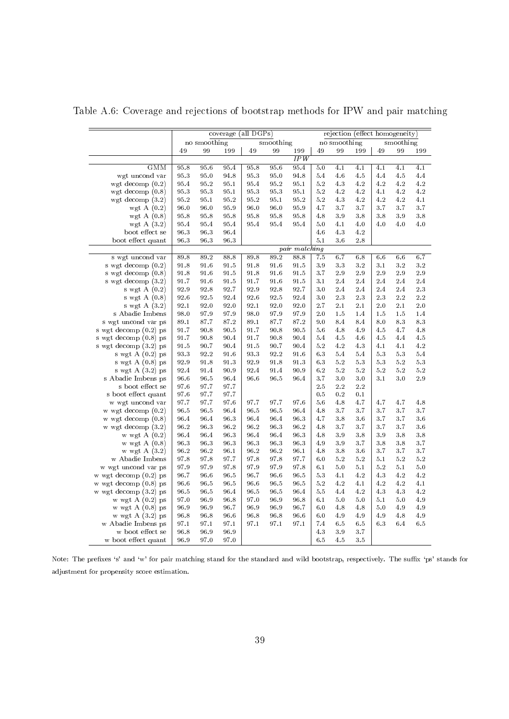|                         |      |              | coverage (all DGPs) |      |           |               |     |              | rejection (effect homogeneity) |       |           |     |
|-------------------------|------|--------------|---------------------|------|-----------|---------------|-----|--------------|--------------------------------|-------|-----------|-----|
|                         |      |              |                     |      |           |               |     |              |                                |       |           |     |
|                         |      | no smoothing |                     |      | smoothing |               |     | no smoothing |                                |       | smoothing |     |
|                         | 49   | 99           | 199                 | 49   | 99        | 199<br>IPW    | 49  | 99           | 199                            | 49    | 99        | 199 |
| <b>GMM</b>              | 95.8 | 95.6         | 95.4                | 95.8 | 95.6      | 95.4          | 5.0 | 4.1          | 4.1                            | 4.1   | 4.1       | 4.1 |
| wgt uncond var          | 95.3 | 95.0         | 94.8                | 95.3 | 95.0      | 94.8          | 5.4 | 4.6          | 4.5                            | 4.4   | 4.5       | 4.4 |
| wgt decomp $(0.2)$      | 95.4 | 95.2         | 95.1                | 95.4 | 95.2      | 95.1          | 5.2 | 4.3          | 4.2                            | 4.2   | 4.2       | 4.2 |
| wgt decomp $(0.8)$      | 95.3 | 95.3         | 95.1                | 95.3 | 95.3      | 95.1          | 5.2 | 4.2          | 4.2                            | 4.1   | 4.2       | 4.2 |
| wgt decomp $(3.2)$      | 95.2 | 95.1         | 95.2                | 95.2 | 95.1      | 95.2          | 5.2 | 4.3          | 4.2                            | 4.2   | 4.2       | 4.1 |
| wgt A $(0.2)$           | 96.0 | 96.0         | 95.9                | 96.0 | 96.0      | 95.9          | 4.7 | 3.7          | 3.7                            | 3.7   | 3.7       | 3.7 |
| wgt A $(0.8)$           | 95.8 | 95.8         | 95.8                | 95.8 | 95.8      | 95.8          | 4.8 | 3.9          | 3.8                            | 3.8   | 3.9       | 3.8 |
| wgt A $(3.2)$           | 95.4 | 95.4         | 95.4                | 95.4 | 95.4      | 95.4          | 5.0 | 4.1          | 4.0                            | 4.0   | 4.0       | 4.0 |
| boot effect se          | 96.3 | 96.3         | 96.4                |      |           |               | 4.6 | 4.3          | 4.2                            |       |           |     |
| boot effect quant       | 96.3 | 96.3         | 96.3                |      |           |               | 5.1 | 3.6          | 2.8                            |       |           |     |
|                         |      |              |                     |      |           | pair matching |     |              |                                |       |           |     |
| s wgt uncond var        | 89.8 | 89.2         | 88.8                | 89.8 | 89.2      | 88.8          | 7.5 | 6.7          | 6.8                            | 6.6   | 6.6       | 6.7 |
| s wgt decomp $(0.2)$    | 91.8 | 91.6         | 91.5                | 91.8 | 91.6      | 91.5          | 3.9 | 3.3          | 3.2                            | 3.1   | 3.2       | 3.2 |
| s wgt decomp $(0.8)$    | 91.8 | 91.6         | 91.5                | 91.8 | 91.6      | 91.5          | 3.7 | 2.9          | 2.9                            | 2.9   | 2.9       | 2.9 |
| s wgt decomp $(3.2)$    | 91.7 | 91.6         | 91.5                | 91.7 | 91.6      | 91.5          | 3.1 | 2.4          | 2.4                            | 2.4   | 2.4       | 2.4 |
| s wgt $A(0.2)$          | 92.9 | 92.8         | 92.7                | 92.9 | 92.8      | 92.7          | 3.0 | 2.4          | 2.4                            | 2.4   | 2.4       | 2.3 |
| s wgt $A(0.8)$          | 92.6 | 92.5         | 92.4                | 92.6 | 92.5      | 92.4          | 3.0 | 2.3          | 2.3                            | 2.3   | 2.2       | 2.2 |
| s wgt $A(3.2)$          | 92.1 | 92.0         | 92.0                | 92.1 | 92.0      | 92.0          | 2.7 | 2.1          | 2.1                            | 2.0   | 2.1       | 2.0 |
| s Abadie Imbens         | 98.0 | 97.9         | 97.9                | 98.0 | 97.9      | 97.9          | 2.0 | 1.5          | 1.4                            | 1.5   | 1.5       | 1.4 |
| s wgt uncond var ps     | 89.1 | 87.7         | 87.2                | 89.1 | 87.7      | 87.2          | 9.0 | 8.4          | 8.4                            | 8.0   | 8.3       | 8.3 |
| s wgt decomp $(0.2)$ ps | 91.7 | 90.8         | 90.5                | 91.7 | 90.8      | 90.5          | 5.6 | 4.8          | 4.9                            | 4.5   | 4.7       | 4.8 |
| s wgt decomp (0.8) ps   | 91.7 | 90.8         | 90.4                | 91.7 | 90.8      | 90.4          | 5.4 | 4.5          | 4.6                            | 4.5   | 4.4       | 4.5 |
| s wgt decomp (3.2) ps   | 91.5 | 90.7         | 90.4                | 91.5 | 90.7      | 90.4          | 5.2 | 4.2          | 4.3                            | 4.1   | 4.1       | 4.2 |
| s wgt $A(0.2)$ ps       | 93.3 | 92.2         | 91.6                | 93.3 | 92.2      | 91.6          | 6.3 | 5.4          | 5.4                            | 5.3   | 5.3       | 5.4 |
| s wgt $A(0.8)$ ps       | 92.9 | 91.8         | 913                 | 92.9 | 91.8      | 91.3          | 6.3 | $5.2\,$      | 5.3                            | 5.3   | 5.2       | 5.3 |
| s wgt $A(3.2)$ ps       | 92.4 | 91.4         | 90.9                | 92.4 | 91.4      | 90.9          | 6.2 | 5.2          | 5.2                            | 5.2   | 5.2       | 5.2 |
| s Abadie Imbens ps      | 96.6 | 96.5         | 96.4                | 96.6 | 96.5      | 96.4          | 3.7 | $3.0\,$      | 3.0                            | 3.1   | 3.0       | 2.9 |
| s boot effect se        | 97.6 | 97.7         | 97.7                |      |           |               | 2.5 | 2.2          | 2.2                            |       |           |     |
| s boot effect quant     | 97.6 | 97.7         | 97.7                |      |           |               | 0.5 | 0.2          | 0.1                            |       |           |     |
| w wgt uncond var        | 97.7 | 97.7         | 97.6                | 97.7 | 97.7      | 97.6          | 5.6 | 4.8          | 4.7                            | 4.7   | 4.7       | 4.8 |
| w wgt decomp $(0.2)$    | 96.5 | 96.5         | 96.4                | 96.5 | 96.5      | 96.4          | 4.8 | 3.7          | 3.7                            | 3.7   | 3.7       | 3.7 |
| $w$ wgt decomp $(0.8)$  | 96.4 | 96.4         | 96.3                | 96.4 | 96.4      | 96.3          | 4.7 | 3.8          | 3.6                            | 3.7   | 3.7       | 3.6 |
| w wgt decomp $(3.2)$    | 96.2 | 96.3         | 96.2                | 96.2 | 96.3      | 96.2          | 4.8 | 3.7          | 3.7                            | 3.7   | 3.7       | 3.6 |
| w wgt $A(0.2)$          | 96.4 | 96.4         | 96.3                | 96.4 | 96.4      | 96.3          | 4.8 | 3.9          | 3.8                            | 3.9   | 3.8       | 3.8 |
| w wgt $A(0.8)$          | 96.3 | 96.3         | 96.3                | 96.3 | 96.3      | 96.3          | 4.9 | 3.9          | 3.7                            | 3.8   | 3.8       | 3.7 |
| w wgt $A(3.2)$          | 96.2 | 96.2         | 96.1                | 96.2 | 96.2      | 96.1          | 4.8 | 3.8          | 3.6                            | 3.7   | 3.7       | 3.7 |
| w Abadie Imbens         | 97.8 | 97.8         | 97.7                | 97.8 | 97.8      | 97.7          | 6.0 | 5.2          | 5.2                            | 5.1   | 5.2       | 5.2 |
| w wgt uncond var ps     | 97.9 | 97.9         | 97.8                | 97.9 | 97.9      | 97.8          | 6.1 | $5.0\,$      | 5.1                            | 5.2   | 5.1       | 5.0 |
| w wgt decomp $(0.2)$ ps | 96.7 | 96.6         | 96.5                | 96.7 | 96.6      | 96.5          | 5.3 | 4.1          | 4.2                            | 4.3   | 4.2       | 4.2 |
| w wgt decomp (0.8) ps   | 96.6 | 96.5         | 96.5                | 96.6 | 96.5      | 96.5          | 5.2 | 4.2          | 4.1                            | 4.2   | 4.2       | 4.1 |
| w wgt decomp $(3.2)$ ps | 96.5 | 96.5         | 96.4                | 96.5 | 96.5      | 96.4          | 5.5 | 4.4          | 4.2                            | 4.3   | 4.3       | 4.2 |
| w wgt $A(0.2)$ ps       | 97.0 | 96.9         | 96.8                | 97.0 | 96.9      | 96.8          | 6.1 | 5.0          | 5.0                            | 5.1   | 5.0       | 4.9 |
| w wgt $A(0.8)$ ps       | 96.9 | 96.9         | 96.7                | 96.9 | 96.9      | 96.7          | 6.0 | 4.8          | 4.8                            | $5.0$ | 4.9       | 4.9 |
| w wgt A $(3.2)$ ps      | 96.8 | 96.8         | 96.6                | 96.8 | 96.8      | 96.6          | 6.0 | 4.9          | 4.9                            | 4.9   | 4.8       | 4.9 |
| w Abadie Imbens ps      | 97.1 | 97.1         | 97.1                | 97.1 | 97.1      | 97.1          | 7.4 | 6.5          | 6.5                            | 6.3   | 6.4       | 6.5 |
| w boot effect se        | 96.8 | 96.9         | 96.9                |      |           |               | 4.3 | 3.9          | 3.7                            |       |           |     |
| w boot effect quant     | 96.9 | 97.0         | 97.0                |      |           |               | 6.5 | 4.5          | 3.5                            |       |           |     |

<span id="page-41-0"></span>Table A.6: Coverage and rejections of bootstrap methods for IPW and pair matching

Note: The prefixes 's' and 'w' for pair matching stand for the standard and wild bootstrap, respectively. The suffix 'ps' stands for adjustment for propensity score estimation.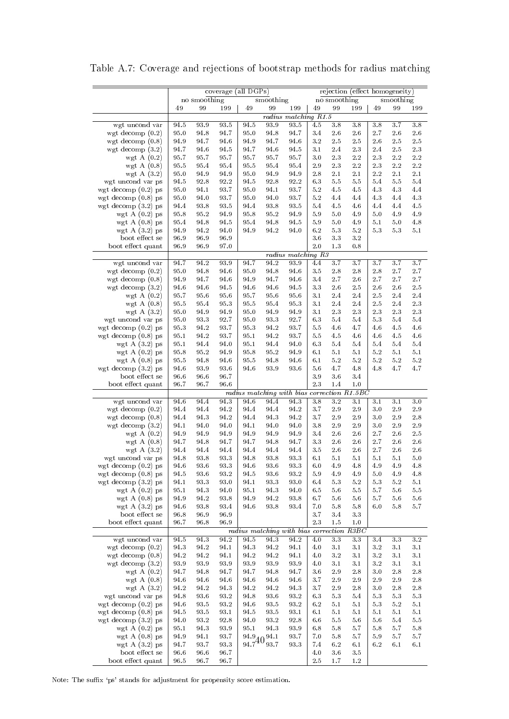|                                          |              |              | $coverage$ (all $\overline{DGPS}$ ) |                            |              |                                           |               |               | rejection (effect homogeneity) |              |            |                      |
|------------------------------------------|--------------|--------------|-------------------------------------|----------------------------|--------------|-------------------------------------------|---------------|---------------|--------------------------------|--------------|------------|----------------------|
|                                          |              | no smoothing |                                     |                            | smoothing    |                                           |               | no smoothing  |                                |              | smoothing  |                      |
|                                          | 49           | 99           | 199                                 | 49                         | 99           | 199                                       | 49            | 99            | 199                            | 49           | 99         | 199                  |
|                                          |              |              |                                     |                            |              | radius matching R1.5                      |               |               |                                |              |            |                      |
| wgt uncond var                           | 94.5         | 93.9         | 93.5                                | 94.5                       | 93.9         | 93.5                                      | 4.5           | 3.8           | 3.8                            | 3.8          | 3.7        | 3.8                  |
| wgt decomp $(0.2)$                       | 95.0         | 94.8         | 94.7                                | 95.0                       | 94.8         | 94.7                                      | 3.4           | $2\mbox{ .}6$ | 2.6                            | $2.7\,$      | 2.6        | 2.6                  |
| wgt decomp $(0.8)$                       | 94.9         | 94.7         | 94.6                                | 94.9                       | 94.7         | 94.6                                      | 3.2           | 2.5           | 2.5                            | 2.6          | 2.5        | 2.5                  |
| wgt decomp $(3.2)$                       | 94.7         | 94.6         | 94.5                                | 94.7                       | 94.6         | 94.5                                      | 3.1           | 2.4           | 2.3                            | 2.4          | 2.5        | 2.3                  |
| wgt A $(0.2)$                            | 95.7         | 95.7         | 95.7                                | 95.7                       | 95.7         | 95.7                                      | 3.0           | 2.3           | $2.2\,$                        | 2.3          | $2.2\,$    | $2\,.2$              |
| wgt A $(0.8)$                            | 95.5         | 95.4         | 95.4                                | 95.5                       | 95.4         | 95.4                                      | 2.9           | 2.3           | $2.2\,$                        | 2.3          | 2.2        | $2\,.2$              |
| wgt A $(3.2)$                            | 95.0         | 94.9         | 94.9                                | 95.0                       | 94.9         | 94.9                                      | 2.8           | 2.1           | 2.1                            | 2.2          | 2.1        | 2.1                  |
| wgt uncond var ps                        | 94.5         | 92.8         | 92.2                                | 94.5                       | 92.8         | 92.2                                      | 6.3           | 5.5           | 5.5                            | 5.4          | 5.5        | 5.4                  |
| wgt decomp $(0.2)$ ps                    | 95.0         | 94.1         | 93.7                                | 95.0                       | 94.1         | 93.7                                      | 5.2           | 4.5           | 4.5                            | 4.3          | 4.3        | 4.4                  |
| wgt decomp $(0.8)$ ps                    | 95.0         | 94.0         | 93.7                                | 95.0                       | 94.0         | 93.7                                      | 5.2           | 4.4           | 4.4                            | 4.3          | 4.4        | 4.3                  |
| wgt decomp $(3.2)$ ps                    | 94.4         | 93.8<br>95.2 | 93.5                                | 94.4                       | 93.8         | 93.5                                      | 5.4           | 4.5           | 4.6                            | 4.4<br>$5.0$ | 4.4        | 4.5                  |
| wgt $A(0.2)$ ps<br>wgt $A(0.8)$ ps       | 95.8<br>95.4 | 94.8         | 94.9<br>94.5                        | 95.8<br>95.4               | 95.2<br>94.8 | 94.9<br>94.5                              | 5.9<br>5.9    | 5.0<br>5.0    | 4.9<br>4.9                     | 5.1          | 4.9<br>5.0 | 4.9<br>4.8           |
| wgt A $(3.2)$ ps                         | 94.9         | 94.2         | 94.0                                | 94.9                       | 94.2         | 94.0                                      | 6.2           | 5.3           | 5.2                            | 5.3          | 5.3        | 5.1                  |
| boot effect se                           | 96.9         | 96.9         | 96.9                                |                            |              |                                           | 3.6           | 3.3           | 3.2                            |              |            |                      |
| boot effect quant                        | 96.9         | 96.9         | 97.0                                |                            |              |                                           | 2.0           | 1.3           | 0.8                            |              |            |                      |
|                                          |              |              |                                     |                            |              | radius matching R3                        |               |               |                                |              |            |                      |
| wgt uncond var                           | 94.7         | 94.2         | 93.9                                | 94.7                       | 94.2         | 93.9                                      | 4.4           | 3.7           | 3.7                            | 3.7          | 3.7        | 3.7                  |
| wgt decomp $(0.2)$                       | 95.0         | 94.8         | 94.6                                | 95.0                       | 94.8         | 94.6                                      | 3.5           | 2.8           | 2.8                            | 2.8          | 2.7        | 2.7                  |
| wgt decomp $(0.8)$                       | 94.9         | 94.7         | 94.6                                | 94.9                       | 94.7         | 94.6                                      | 3.4           | 2.7           | 2.6                            | 2.7          | 2.7        | 2.7                  |
| wgt decomp $(3.2)$                       | 94.6         | 94.6         | 94.5                                | 94.6                       | 94.6         | 94.5                                      | 3.3           | 2.6           | 2.5                            | 2.6          | 2.6        | 2.5                  |
| wgt A $(0.2)$                            | 95.7         | 95.6         | $95.6\,$                            | 95.7                       | 95.6         | 95.6                                      | 3.1           | 2.4           | 2.4                            | 2.5          | 2.4        | 2.4                  |
| wgt A $(0.8)$                            | 95.5         | 95.4         | 95.3                                | 95.5                       | 95.4         | 95.3                                      | 3.1           | 2.4           | 2.4                            | 2.5          | 2.4        | 2.3                  |
| wgt A $(3.2)$                            | 95.0         | 94.9         | 94.9                                | 95.0                       | 94.9         | 94.9                                      | 3.1           | 2.3           | 2.3                            | 2.3          | 2.3        | 2.3                  |
| wgt uncond var ps                        | 95.0         | 93.3         | 92.7                                | 95.0                       | 93.3         | 92.7                                      | 6.3           | 5.4           | 5.4                            | 5.3          | 5.4        | 5.4                  |
| wgt decomp $(0.2)$ ps                    | 95.3         | 94.2         | 93.7                                | 95.3                       | 94.2         | 93.7                                      | 5.5           | 4.6           | 4.7                            | 4.6          | 4.5        | 4.6                  |
| wgt decomp $(0.8)$ ps                    | 95.1         | 94.2         | 93.7                                | 95.1                       | 94.2         | 93.7                                      | 5.5           | 4.5           | 4.6                            | 4.6          | 4.5        | 4.6                  |
| wgt $A(3.2)$ ps                          | 95.1         | 94.4         | 94.0                                | 95.1                       | 94.4         | 94.0                                      | 6.3           | 5.4           | 5.4                            | 5.4          | 5.4        | 5.4                  |
| wgt $A(0.2)$ ps                          | 95.8         | 95.2         | 94.9                                | 95.8                       | 95.2         | 94.9                                      | 6.1           | 5.1           | 5.1                            | $5.2\,$      | 5.1        | 5.1                  |
| wgt $A(0.8)$ ps                          | 95.5         | 94.8         | 94.6                                | 95.5                       | 94.8         | 94.6                                      | 6.1           | 5.2           | 5.2                            | $5\,.2$      | 5.2        | 5.2                  |
| wgt decomp $(3.2)$ ps                    | 94.6         | 93.9         | 93.6                                | 94.6                       | 93.9         | 93.6                                      | 5.6           | 4.7           | 4.8                            | 4.8          | 4.7        | 4.7                  |
| boot effect se                           | 96.6         | 96.6         | 96.7                                |                            |              |                                           | 3.9           | 3.6           | 3.4                            |              |            |                      |
| boot effect quant                        | 96.7         | 96.7         | 96.6                                |                            |              |                                           | 2.3           | 1.4           | 1.0                            |              |            |                      |
|                                          |              |              |                                     |                            |              | radius matching with bias                 |               |               | $correction$ $R1.5BC$          |              |            |                      |
| wgt uncond var                           | 94.6         | 94.4         | 94.3                                | 94.6                       | 94.4         | 94.3                                      | 3.8           | 3.2           | 3.1                            | 3.1          | 3.1        | 3.0                  |
| wgt decomp $(0.2)$                       | 94.4         | 94.4         | 94.2                                | 94.4                       | 94.4         | 94.2                                      | 3.7           | 2.9           | 2.9                            | 3.0          | 2.9        | 2.9                  |
| wgt decomp $(0.8)$                       | 94.4         | 94.3         | 94.2                                | 94.4                       | 94.3         | 94.2                                      | 3.7           | 2.9           | 2.9                            | 3.0          | 2.9        | $2\,$ $8\,$          |
| wgt decomp $(3.2)$                       | 94.1         | 94.0         | 94.0                                | 94.1                       | 94.0         | 94.0                                      | 3.8           | 2.9           | 2.9                            | 3.0          | 2.9        | 2.9                  |
| wgt A $(0.2)$                            | 94.9         | 94.9         | 94.9                                | 94.9                       | 94.9         | 94.9                                      | 3.4           | 2.6           | 2.6                            | 2.7          | 2.6        | 2.5                  |
| wgt A $(0.8)$                            | 94.7         | 94.8         | 94.7                                | 94.7                       | 94.8         | 94.7                                      | 3.3           | 2.6           | 2.6                            | 2.7          | 2.6        | 2.6                  |
| wgt A $(3.2)$                            | 94.4         | 94.4         | 94.4                                | 94.4                       | 94.4         | 94.4                                      | 3.5           | 2.6           | 2.6                            | 2.7          | 2.6        | 2.6                  |
| wgt uncond var ps                        | 94.8         | 93.8         | 93.3                                | 94.8                       | 93.8         | 93.3                                      | 6.1           | 5.1           | 5.1                            | 5.1          | 5.1        | 5.0                  |
| wgt decomp $\left(0.2\right)$ ps         | 94.6         | 93.6         | 93.3                                | 94.6                       | 93.6         | 93.3                                      | 6.0           | 4.9           | 4.8                            | 4.9          | 4.9        | 4.8                  |
| wgt decomp $(0.8)$ ps                    | 94.5         | 93.6         | 93.2                                | 94.5                       | 93.6         | 93.2                                      | 5.9           | 4.9           | 4.9                            | 5.0          | 4.9        | 4.8                  |
| wgt decomp $(3.2)$ ps                    | 94.1         | $93.3\,$     | 93.0                                | 94.1                       | 93.3         | 93.0                                      | 6.4           | 5.3           | 5.2                            | 5.3          | 5.2        | 5.1                  |
| wgt $A(0.2)$ ps                          | 95.1         | 94.3         | 94.0                                | 95.1                       | 94.3         | 94.0                                      | 6.5           | 5.6           | 5.5                            | 5.7          | 5.6        | 5.5                  |
| wgt A $(0.8)$ ps                         | 94.9         | 94.2         | 93.8                                | 94.9                       | 94.2         | 93.8                                      | 6.7           | 5.6           | 5.6                            | $5.7\,$      | 5.6        | $5.6\,$              |
| wgt $A(3.2)$ ps                          | 94.6         | 93.8         | 93.4                                | 94.6                       | 93.8         | 93.4                                      | 7.0           | 5.8           | 5.8                            | 6.0          | 5.8        | $5.7\,$              |
| boot effect se                           | 96.8         | 96.9         | 96.9                                |                            |              |                                           | 3.7           | 3.4           | 3.3                            |              |            |                      |
| boot effect quant                        | 96.7         | 96.8         | 96.9                                |                            |              |                                           | $2\!\cdot\!3$ | 1.5           | 1.0                            |              |            |                      |
|                                          |              |              |                                     |                            |              | radius matching with bias correction R3BC |               |               |                                |              |            |                      |
| wgt uncond var<br>wgt decomp $(0.2)$     | 94.5         | 94.3         | 94.2                                | 94.5                       | 94.3         | 94.2                                      | 4.0           | 3.3           | 3.3                            | 3.4          | 3.3        | 3.2                  |
|                                          | 94.3         | 94.2         | 94.1                                | 94.3                       | 94.2         | 94.1                                      | 4.0           | $3.1\,$       | 3.1                            | 3.2          | 3.1        | $3.1\,$              |
| wgt decomp $(0.8)$<br>wgt decomp $(3.2)$ | 94.2<br>93.9 | 94.2<br>93.9 | 94.1<br>93.9                        | 94.2<br>93.9               | 94.2<br>93.9 | 94.1<br>93.9                              | 4.0<br>4.0    | 3.2<br>3.1    | 3.1                            | 3.2<br>3.2   | 3.1<br>3.1 | 3.1<br>3.1           |
|                                          |              |              |                                     |                            |              |                                           |               |               | 3.1                            |              |            |                      |
| wgt A $(0.2)$<br>wgt A $(0.8)$           | 94.7<br>94.6 | 94.8<br>94.6 | 94.7<br>94.6                        | 94.7<br>94.6               | 94.8<br>94.6 | 94.7<br>94.6                              | 3.6<br>3.7    | 2.9<br>2.9    | 2.8<br>2.9                     | 3.0<br>2.9   | 2.8<br>2.9 | $2\,\,8$<br>$2\,\,8$ |
|                                          | 94.2         | 94.2         | 94.3                                | 94.2                       | 94.2         | 94.3                                      | 3.7           | 2.9           | 2.8                            | 3.0          | 2.8        | 2.8                  |
| wgt A $(3.2)$<br>wgt uncond var ps       | 94.8         | 93.6         | 93.2                                | 94.8                       | 93.6         | 93.2                                      | 6.3           | 5.3           | 5.4                            | 5.3          | 5.3        | 5.3                  |
| wgt decomp $(0.2)$ ps                    | 94.6         | 93.5         | 93.2                                | 94.6                       | 93.5         | 93.2                                      | 6.2           | 5.1           | 5.1                            | 5.3          | 5.2        | $5.1\,$              |
| wgt decomp $(0.8)$ ps                    | 94.5         | 93.5         | 93.1                                | 94.5                       | 93.5         | 93.1                                      | 6.1           | 5.1           | 5.1                            | 5.1          | 5.1        | $5.1\,$              |
| wgt decomp $(3.2)$ ps                    | 94.0         | 93.2         | 92.8                                | 94.0                       | 93.2         | 92.8                                      | 6.6           | 5.5           | 5.6                            | 5.6          | 5.4        | 5.5                  |
| wgt $A(0.2)$ ps                          | 95.1         | 94.3         | 93.9                                | 95.1                       | 94.3         | 93.9                                      | 6.8           | 5.8           | 5.7                            | 5.8          | 5.7        | 5.8                  |
| wgt $A(0.8)$ ps                          | 94.9         | 94.1         | 93.7                                |                            | 94.1         | 93.7                                      | 7.0           | 5.8           | 5.7                            | $5\,.9$      | 5.7        | 5.7                  |
| wgt A $(3.2)$ ps                         | 94.7         | 93.7         | 93.3                                | $\substack{94.9\\94.7}$ 40 | 93.7         | 93.3                                      | 7.4           | 6.2           | 6.1                            | 6.2          | 6.1        | $6\,.1$              |
| boot effect se                           | 96.6         | 96.6         | 96.7                                |                            |              |                                           | 4.0           | $3.6\,$       | 3.5                            |              |            |                      |
|                                          |              |              |                                     |                            |              |                                           |               |               |                                |              |            |                      |

<span id="page-42-0"></span>Table A.7: Coverage and rejections of bootstrap methods for radius matching

Note: The suffix 'ps' stands for adjustment for propensity score estimation.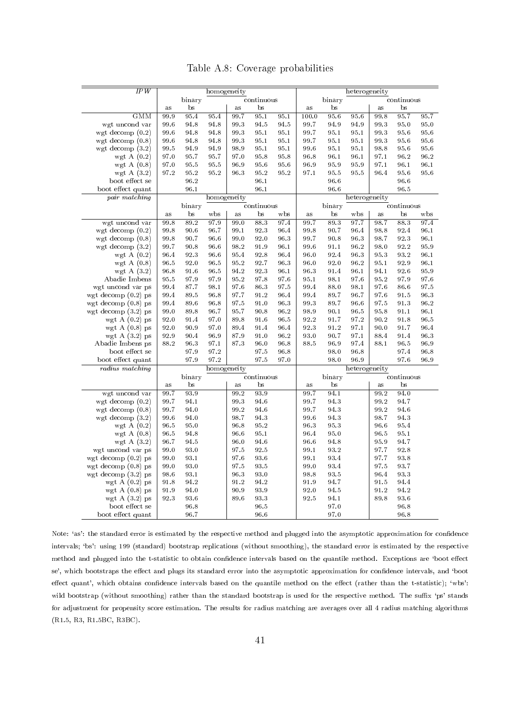|  |  | Table A.8: Coverage probabilities |
|--|--|-----------------------------------|
|--|--|-----------------------------------|

<span id="page-43-0"></span>

| IPW                                |                  |              |              | homogeneity              |                  | heterogeneity |                      |              |               |              |                  |                  |  |  |
|------------------------------------|------------------|--------------|--------------|--------------------------|------------------|---------------|----------------------|--------------|---------------|--------------|------------------|------------------|--|--|
|                                    |                  | binary       |              |                          | continuous       |               | binary<br>continuous |              |               |              |                  |                  |  |  |
|                                    | as               | bs           |              | $\mathbf{a}\,\mathbf{s}$ | bs               |               | $\rm as$             | bs           |               | as           | bs               |                  |  |  |
| <b>GMM</b>                         | 99.9             | 95.4         | 95.4         | 99.7                     | 95.1             | 95.1          | 100.0                | 95.6         | 95.6          | 99.8         | 95.7             | 95.7             |  |  |
| wgt uncond var                     | 99.6             | 94.8         | 94.8         | 993                      | 94.5             | 94.5          | 99.7                 | 94.9         | 94.9          | 99.3         | 95.0             | 95.0             |  |  |
| wgt decomp $(0.2)$                 | $99.6\,$         | 94.8         | 94.8         | 99.3                     | 95.1             | 95.1          | 99.7                 | 95.1         | 95.1          | 99.3         | 95.6             | 95.6             |  |  |
| wgt decomp $(0.8)$                 | 99.6             | 94.8         | 94.8         | 99.3                     | 95.1             | 95.1          | 99.7                 | 95.1         | 95.1          | 99.3         | 95.6             | 95.6             |  |  |
| wgt decomp $(3.2)$                 | 99.5             | 94.9         | 94.9         | 98.9                     | 95.1             | 95.1          | 99.6                 | 95.1         | 95.1          | 98.8         | 95.6             | 95.6             |  |  |
| wgt A $(0.2)$                      | 97.0             | 95.7         | 95.7         | 97.0                     | 95.8             | 95.8          | 96.8                 | 96.1         | 96.1          | 97.1         | 96.2             | 96.2             |  |  |
| wgt A $(0.8)$                      | 97.0             | 95.5         | 95.5         | 96.9                     | 95.6             | 95.6          | 96.9                 | 95.9         | 95.9          | 97.1         | 96.1             | 96.1             |  |  |
| wgt A $(3.2)$                      | 97.2             | 95.2         | 95.2         | 96.3                     | 95.2             | 95.2          | 97.1                 | 95.5         | 95.5          | 96.4         | 95.6             | 95.6             |  |  |
| boot effect se                     |                  | 96.2         |              |                          | 96.1             |               |                      | 96.6         |               |              | 96.6             |                  |  |  |
| boot effect quant                  |                  | 96.1         |              |                          | 96.1             |               |                      | 96.6         |               |              | 96.5             |                  |  |  |
| pair matching                      |                  |              |              | homogeneity              |                  |               |                      |              | heterogeneity |              |                  |                  |  |  |
|                                    |                  | binary       |              |                          |                  |               |                      | binary       |               |              |                  |                  |  |  |
|                                    |                  | bs           | w bs         |                          | continuous<br>bs | wbs           |                      | bs           |               |              | continuous<br>bs | w bs             |  |  |
| wgt uncond var                     | $\rm as$<br>99.8 | 89.2         | 97.9         | a s<br>99.0              | 883              | 97.4          | $\rm as$<br>99.7     | 89.3         | wbs<br>97.7   | as<br>98.7   | 88.3             | 97.4             |  |  |
|                                    |                  |              |              |                          |                  |               |                      |              |               |              |                  |                  |  |  |
| wgt decomp $(0.2)$                 | 99.8             | 90.6<br>90.7 | 96.7         | 99.1                     | 923              | 96.4          | 99.8                 | 90.7         | 96.4          | 98.8         | 92.4             | 96.1<br>$96.1\,$ |  |  |
| wgt decomp $(0.8)$                 | 99.8             | 90.8         | 96.6         | 99.0<br>98.2             | 92.0             | 96.3          | 99.7<br>99.6         | 90.8         | 96.3          | 98.7         | 92.3<br>92.2     | 95.9             |  |  |
| wgt decomp $(3.2)$                 | 99.7             |              | 96.6         | 95.4                     | 91.9<br>92.8     | 96.1          | 96.0                 | 91.1<br>92.4 | 96.2<br>96.3  | 98.0<br>95.3 | 93.2             | 96.1             |  |  |
| wgt A $(0.2)$                      | 96.4<br>96.5     | 92.3         | 96.6<br>96.5 | 95.2                     | 92.7             | 96.4<br>96.3  | 96.0                 |              | 96.2          | 95.1         | 92.9             | 96.1             |  |  |
| wgt A $(0.8)$                      |                  | 92.0         |              |                          |                  |               |                      | 92.0         |               |              |                  |                  |  |  |
| wgt A $(3.2)$<br>Abadie Imbens     | 96.8<br>95.5     | 91.6<br>97.9 | 96.5<br>97.9 | 94.2<br>95.2             | 923<br>97.8      | 96.1<br>97.6  | 96.3<br>95.1         | 91.4<br>98.1 | 96.1<br>97.6  | 94.1<br>95.2 | 92.6<br>97.9     | 95.9<br>97.6     |  |  |
|                                    | 99.4             | 87.7         | 98.1         | 97.6                     | 86.3             | 97.5          | 99.4                 | 88.0         | 98.1          | 97.6         | 86.6             | 97.5             |  |  |
| wgt uncond var ps                  |                  | 89.5         |              | 97.7                     | 91.2             |               | 99.4                 | 89.7         | 96.7          | 97.6         |                  | 96.3             |  |  |
| wgt decomp $(0.2)$ ps              | 99.4             |              | 96.8         |                          |                  | 96.4          |                      |              |               |              | 91.5             |                  |  |  |
| wgt decomp $(0.8)$ ps              | 99.4             | 89.6         | 96.8         | 97.5<br>95.7             | 91.0<br>90.8     | 96.3<br>96.2  | 99.3<br>98.9         | 89.7<br>90.1 | 96.6          | 97.5         | 91.3<br>91.1     | 96.2<br>96.1     |  |  |
| wgt decomp $(3.2)$ ps              | 99.0<br>92.0     | 89.8<br>91.4 | 96.7<br>97.0 | 89.8                     | 91.6             | 96.5          | 92.2                 | 91.7         | 96.5<br>97.2  | 95.8<br>90.2 | 91.8             | 96.5             |  |  |
| wgt A $(0.2)$ ps                   | 92.0             | 90.9         | 97.0         | 89.4                     | 91.4             | 96.4          | 92.3                 | 91.2         | 97.1          | 90.0         | 91.7             | 96.4             |  |  |
| wgt A $(0.8)$ ps                   | 92.9             | 90.4         | 96.9         |                          | 91.0             | 96.2          | 93.0                 | 90.7         | 97.1          |              | 91.4             | 96.3             |  |  |
| wgt A $(3.2)$ ps                   | 88.2             | 96.3         | 97.1         | 87.9<br>87.3             | 96.0             | 96.8          | 88.5                 | 96.9         | 97.4          | 88.4<br>88.1 | 96.5             | 96.9             |  |  |
| Abadie Imbens ps<br>boot effect se |                  | 97.9         | 97.2         |                          | 97.5             |               |                      |              | 96.8          |              |                  |                  |  |  |
|                                    |                  |              | 97.2         |                          |                  | 96.8          |                      | 98.0<br>98.0 | 96.9          |              | 97.4<br>97.6     | 96.8             |  |  |
| boot effect quant                  |                  | 97.9         |              |                          | 97.5             | 97.0          |                      |              |               |              |                  | 96.9             |  |  |
| radius matching                    |                  |              |              | homogeneity              | continuous       |               |                      |              | heterogeneity | continuous   |                  |                  |  |  |
|                                    |                  | binary<br>bs |              |                          | bs               |               |                      | binary<br>bs |               |              | bs               |                  |  |  |
| wgt uncond var                     | as               | 93.9         |              | a s<br>99.2              | 93.9             |               | as                   | 94.1         |               | as<br>99.2   | 94.0             |                  |  |  |
| wgt decomp $(0.2)$                 | 99.7<br>99.7     | 94.1         |              | 99.3                     | 94.6             |               | 99.7<br>99.7         | 94.3         |               | 99.2         | 94.7             |                  |  |  |
|                                    | 99.7             | 94.0         |              | 99.2                     | 94.6             |               | 99.7                 | 94.3         |               | 99.2         | 94.6             |                  |  |  |
| wgt decomp $(0.8)$                 |                  |              |              |                          |                  |               |                      |              |               |              |                  |                  |  |  |
| wgt decomp $(3.2)$                 | 99.6             | 94.0         |              | 98.7                     | 94.3             |               | 99.6                 | 94.3         |               | 98.7         | 94.3             |                  |  |  |
| wgt A $(0.2)$                      | 96.5             | 95.0         |              | 96.8                     | 95.2             |               | 96.3                 | 95.3         |               | 96.6         | 95.4             |                  |  |  |
| wgt A $(0.8)$                      | 96.5             | 94.8         |              | 96.6                     | 95.1             |               | 96.4                 | 95.0         |               | 96.5         | 95.1<br>94.7     |                  |  |  |
| wgt A $(3.2)$                      | 96.7             | 94.5         |              | 96.0                     | 94.6             |               | 96.6                 | 94.8         |               | 95.9         |                  |                  |  |  |
| wgt uncond var ps                  | 99.0             | 93.0         |              | 97.5                     | 92.5             |               | 99.1                 | 93.2         |               | 97.7         | 92.8             |                  |  |  |
| wgt decomp $(0.2)$ ps              | 99.0             | 93.1         |              | 97.6                     | 93.6             |               | 99.1                 | 93.4         |               | 97.7         | 93.8             |                  |  |  |
| wgt decomp $(0.8)$ ps              | 99.0             | 93.0         |              | 97.5                     | 93.5             |               | 99.0                 | 93.4         |               | 97.5         | 93.7             |                  |  |  |
| wgt decomp (3.2) ps                | 98.6             | 93.1         |              | 96.3                     | 93.0             |               | 98.8                 | 93.5         |               | 96.4         | 933              |                  |  |  |
| wgt A $(0.2)$ ps                   | 91.8             | 94.2         |              | 91.2                     | 94.2             |               | 91.9                 | 94.7         |               | 91.5         | 94.4             |                  |  |  |
| wgt $A(0.8)$ ps                    | 91.9             | 94.0         |              | 90.9                     | 93.9             |               | 92.0                 | 94.5         |               | 91.2         | 94.2             |                  |  |  |
| wgt A $(3.2)$ ps                   | 92.3             | 93.6         |              | 89.6                     | 93.3             |               | 92.5                 | 94.1         |               | 89.8         | 93.6             |                  |  |  |
| boot effect se                     |                  | 96.8         |              |                          | 96.5             |               |                      | 97.0         |               |              | $96.8\,$         |                  |  |  |
| boot effect quant                  |                  | 96.7         |              |                          | 96.6             |               |                      | 97.0         |               |              | 96.8             |                  |  |  |

Note: 'as': the standard error is estimated by the respective method and plugged into the asymptotic approximation for confidence intervals; `bs': using 199 (standard) bootstrap replications (without smoothing), the standard error is estimated by the respective method and plugged into the t-statistic to obtain confidence intervals based on the quantile method. Exceptions are 'boot effect se', which bootstraps the effect and plugs its standard error into the asymptotic approximation for confidence intervals, and 'boot effect quant', which obtains confidence intervals based on the quantile method on the effect (rather than the t-statistic); 'wbs': wild bootstrap (without smoothing) rather than the standard bootstrap is used for the respective method. The suffix 'ps' stands for adjustment for propensity score estimation. The results for radius matching are averages over all 4 radius matching algorithms (R1.5, R3, R1.5BC, R3BC).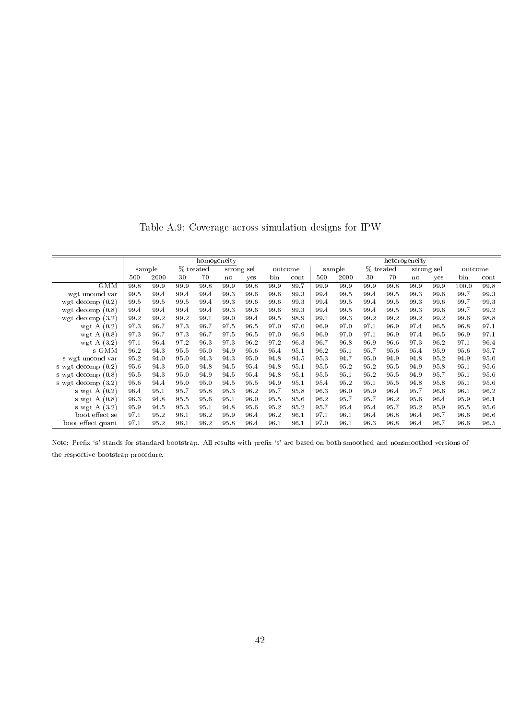Table A.9: Coverage across simulation designs for IPW

<span id="page-44-0"></span>

|                      |                     |      |      | homogeneity |      |      |         | heterogeneity |        |      |           |      |            |         |       |      |
|----------------------|---------------------|------|------|-------------|------|------|---------|---------------|--------|------|-----------|------|------------|---------|-------|------|
|                      | % treated<br>sample |      |      | strong sel  |      |      | outcome |               | sample |      | % treated |      | strong sel | outcome |       |      |
|                      | 500                 | 2000 | 30   | 70          | no   | yes  | bin     | cont          | 500    | 2000 | 30        | 70   | no         | yes     | bin   | cont |
| <b>GMM</b>           | 99.8                | 99.9 | 99.9 | 99.8        | 99.9 | 99.8 | 99.9    | 99.7          | 99.9   | 99.9 | 99.9      | 99.8 | 99.9       | 99.9    | 100.0 | 99.8 |
| wgt uncond var       | 99.5                | 99.4 | 99.4 | 99.4        | 99.3 | 99.6 | 99.6    | 99.3          | 99.4   | 99.5 | 99.4      | 99.5 | 99.3       | 99.6    | 99.7  | 99.3 |
| wgt decomp $(0.2)$   | 99.5                | 99.5 | 99.5 | 99.4        | 99.3 | 99.6 | 99.6    | 99.3          | 99.4   | 99.5 | 99.4      | 99.5 | 99.3       | 99.6    | 99.7  | 99.3 |
| wgt decomp $(0.8)$   | 99.4                | 99.4 | 99.4 | 99.4        | 99.3 | 99.6 | 99.6    | 99.3          | 99.4   | 99.5 | 99.4      | 99.5 | 99.3       | 99.6    | 99.7  | 99.2 |
| wgt decomp $(3.2)$   | 99.2                | 99.2 | 99.2 | 99.1        | 99.0 | 99.4 | 99.5    | 98.9          | 99.1   | 99.3 | 99.2      | 99.2 | 99.2       | 99.2    | 99.6  | 98.8 |
| wgt A $(0.2)$        | 973                 | 96.7 | 97.3 | 96.7        | 97.5 | 96.5 | 97.0    | 97.0          | 96.9   | 97.0 | 97.1      | 96.9 | 97.4       | 96.5    | 96.8  | 97.1 |
| wgt A $(0.8)$        | 97.3                | 96.7 | 973  | 96.7        | 97.5 | 96.5 | 97.0    | 96.9          | 96.9   | 97.0 | 97.1      | 96.9 | 97.4       | 96.5    | 96.9  | 97.1 |
| wgt A $(3.2)$        | 97.1                | 96.4 | 97.2 | 96.3        | 973  | 96.2 | 97.2    | 96.3          | 96.7   | 96.8 | 96.9      | 96.6 | 97.3       | 96.2    | 97.1  | 96.4 |
| s GMM                | 96.2                | 94.3 | 95.5 | 95.0        | 94.9 | 95.6 | 95.4    | 95.1          | 96.2   | 95.1 | 95.7      | 95.6 | 95.4       | 95.9    | 95.6  | 95.7 |
| s wgt uncond var     | 95.2                | 94.0 | 95.0 | 94.3        | 94.3 | 95.0 | 94.8    | 94.5          | 95.3   | 94.7 | 95.0      | 94.9 | 94.8       | 95.2    | 94.9  | 95.0 |
| s wgt decomp $(0.2)$ | 95.6                | 94.3 | 95.0 | 94.8        | 94.5 | 95.4 | 94.8    | 95.1          | 95.5   | 95.2 | 95.2      | 95.5 | 94.9       | 95.8    | 95.1  | 95.6 |
| s wgt decomp $(0.8)$ | 95.5                | 94.3 | 95.0 | 94.9        | 94.5 | 95.4 | 94.8    | 95.1          | 95.5   | 95.1 | 95.2      | 95.5 | 94.9       | 95.7    | 95.1  | 95.6 |
| s wgt decomp (3.2)   | 95.6                | 94.4 | 95.0 | 95.0        | 94.5 | 95.5 | 94.9    | 95.1          | 95.4   | 95.2 | 95.1      | 95.5 | 94.8       | 95.8    | 95.1  | 95.6 |
| s wgt A $(0.2)$      | 96.4                | 95.1 | 95.7 | 95.8        | 95.3 | 96.2 | 95.7    | 95.8          | 96.3   | 96.0 | 95.9      | 96.4 | 95.7       | 96.6    | 96.1  | 96.2 |
| s wgt A $(0.8)$      | 96.3                | 94.8 | 95.5 | 95.6        | 95.1 | 96.0 | 95.5    | 95.6          | 96.2   | 95.7 | 95.7      | 96.2 | 95.6       | 96.4    | 95.9  | 96.1 |
| s wgt A $(3.2)$      | 95.9                | 94.5 | 95.3 | 95.1        | 94.8 | 95.6 | 95.2    | 95.2          | 95.7   | 95.4 | 95.4      | 95.7 | 95.2       | 95.9    | 95.5  | 95.6 |
| boot effect se       | 97.1                | 95.2 | 96.1 | 96.2        | 95.9 | 96.4 | 96.2    | 96.1          | 97.1   | 96.1 | 96.4      | 96.8 | 96.4       | 96.7    | 96.6  | 96.6 |
| boot effect quant    | 97.1                | 95.2 | 96.1 | 96.2        | 95.8 | 96.4 | 96.1    | 96.1          | 97.0   | 96.1 | 96.3      | 96.8 | 96.4       | 96.7    | 96.6  | 96.5 |

Note: Prefix 's' stands for standard bootstrap. All results with prefix 's' are based on both smoothed and nonsmoothed versions of the respective bootstrap procedure.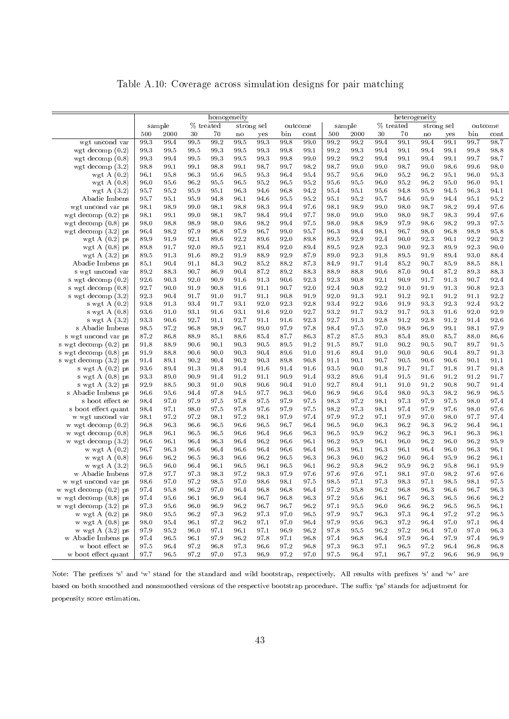Table A.10: Coverage across simulation designs for pair matching

|                                          | homogeneity  |              |              |              |              |              |              |              |              | heterogeneity |              |              |               |              |              |              |  |
|------------------------------------------|--------------|--------------|--------------|--------------|--------------|--------------|--------------|--------------|--------------|---------------|--------------|--------------|---------------|--------------|--------------|--------------|--|
|                                          |              | sample       |              | % treated    |              | strong sel   |              | outcome      |              | sample        |              | % treated    |               | strong sel   |              | outcome      |  |
|                                          | 500          | 2000         | 30           | 70           | no           | yes          | bin          | cont         | 500          | 2000          | 30           | 70           | $\mathbf n$ o | yes          | bin          | cont         |  |
| wgt uncond var                           | 99.3         | 99.4         | 99.5         | 99.2         | 99.5         | 99.3         | 99.8         | 99.0         | 99.2         | 99.2          | 99.4         | 99.1         | 99.4          | 99.1         | 99.7         | 98.7         |  |
| wgt decomp $(0.2)$                       | 99.3         | 99.5         | 99.5         | 99.3         | 99.5         | 99.3         | 99.8         | 99.1         | 99.2         | 99.3          | 99.4         | 99.1         | 99.4          | 99.1         | 99.8         | 98.8         |  |
| wgt decomp $(0.8)$                       | 99.3         | 99.4         | 99.5         | 99.3         | 99.5         | 99.3         | 99.8         | 99.0         | 99.2         | 99.2          | 99.4         | 99.1         | 99.4          | 99.1         | 99.7         | 98.7         |  |
| wgt decomp $(3.2)$                       | 98.8         | 99.1         | 99.1         | 98.8         | 99.1         | 98.7         | 99.7         | 98.2         | 98.7         | 99.0          | 99.0         | 98.7         | 99.0          | 98.6         | 99.6         | 98.0         |  |
| wgt A $(0.2)$                            | 96.1         | 95.8         | 96.3         | 95.6         | 96.5         | 95.3         | 96.4         | 95.4         | 95.7         | 95.6          | 96.0         | 95.2         | 96.2          | 95.1         | 96.0         | 95.3         |  |
| wgt A $(0.8)$                            | 96.0         | 95.6         | 96.2         | 95.5         | 96.5         | 95.2         | 96.5         | 95.2         | 95.6         | 95.5          | 96.0         | 95.2         | 96.2          | 95.0         | 96.0         | 95.1         |  |
| wgt A $(3.2)$                            | 95.7         | 95.2         | 95.9         | 95.1         | 96.3         | 94.6         | 96.8         | 94.2         | 95.4         | 95.1          | 95.6         | 94.8         | 95.9          | 94.5         | 96.3         | 94.1         |  |
| Abadie Imbens                            | 95.7         | 95.1         | 95.9         | 94.8         | 96.1         | 94.6         | 95.5         | 95.2         | 95.1         | 95.2          | 95.7         | 94.6         | 95.9          | 94.4         | 95.1         | 95.2         |  |
| wgt uncond var ps                        | 98.1         | 98.9         | 99.0         | 98.1         | 98.8         | 98.3         | 99.4         | 97.6         | 98.1         | 98.9          | 99.0         | 98.0         | 98.7          | 98.2         | 99.4         | 97.6         |  |
| wgt decomp $(0.2)$ ps                    | 98.1         | 99.1         | 99.0         | 98.1         | 98.7         | 98.4         | 99.4         | 97.7         | 98.0         | 99.0          | 99.0         | 98.0         | 98.7          | 98.3         | 99.4         | 97.6         |  |
| wgt decomp $(0.8)$ ps                    | 98.0         | 98.8         | 98.9         | 98.0         | 98.6         | 98.2         | 99.4         | 97.5         | 98.0         | 98.8          | 98.9         | 97.9         | 98.6          | 98.2         | 99.3         | 97.5         |  |
| wgt decomp $(3.2)$ ps                    | 96.4         | 98.2         | 97.9         | 96.8         | 97.9         | 96.7         | 99.0         | 95.7         | 96.3         | 98.4          | 98.1         | 96.7         | 98.0          | 96.8         | 98.9         | 95.8         |  |
| wgt A $(0.2)$ ps                         | 89.9         | 91.9         | 92.1         | 89.6         | 92.2         | 89.6         | 92.0         | 89.8         | 89.5         | 92.9          | 92.4         | 90.0         | 92.3          | 90.1         | 92.2         | 90.2         |  |
| wgt A $(0.8)$ ps                         | 89.8         | 91.7         | 92.0         | 89.5         | 92.1         | 89.4         | 92.0         | 89.4         | 89.5         | 92.8          | 92.3         | 90.0         | 92.3          | 89.9         | 923          | 90.0         |  |
| wgt A $(3.2)$ ps                         | 89.5         | 913          | 91.6         | 89.2         | 91.9         | 88.9         | 92.9         | 87.9         | 89.0         | 92.3          | 91.8         | 89.5         | 91.9          | 89.4         | 93.0         | 88.4         |  |
| Abadie Imbens ps                         | 85.1         | 90.4         | 91.1         | 84.3         | 90.2         | 85.2         | 88.2         | 87.3         | 84.9         | 91.7          | 91.4         | 85.2         | 90.7          | 85.9         | 88.5         | 88.1         |  |
| s wgt uncond var                         | 89.2         | 883          | 90.7         | 86.9         | 90.4         | 87.2         | 89.2         | 88.3         | 88.9         | 88.8          | 90.6         | 87.0         | 90.4          | 87.2         | 89.3         | 88.3         |  |
| s wgt decomp $(0.2)$                     | 92.6         | 90.3         | 92.0         | 90.9         | 91.6         | 913          | 90.6         | 92.3         | 923          | 90.8          | 92.1         | 90.9         | 91.7          | 913          | 90.7         | 92.4         |  |
| s wgt decomp $(0.8)$                     | 92.7         | 90.0         | 91.9         | 90.8         | 91.6         | 91.1         | 90.7         | 92.0         | 92.4         | 90.8          | 92.2         | 91.0         | 91.9          | 91.3         | 90.8         | 923          |  |
| s wgt decomp (3.2)                       | 92.3         | 90.4         | 91.7         | 91.0         | 91.7         | 91.1         | 90.8         | 91.9         | 92.0         | 913           | 92.1         | 91.2         | 92.1          | 91.2         | 91.1         | 92.2         |  |
| s wgt $A(0.2)$                           | 93.8         | 913          | 93.4         | 91.7         | 93.1         | 92.0         | 92.3         | 92.8         | 93.4         | 92.2          | 93.6         | 91.9         | 93.3          | 92.3         | 92.4         | 93.2         |  |
| s wgt $A(0.8)$                           | 93.6         | 91.0         | 93.1         | 91.6         | 93.1         | 91.6         | 92.0         | 92.7         | 93.2         | 91.7          | 93.2         | 91.7         | 93.3          | 91.6         | 92.0         | 92.9         |  |
| s wgt $A(3.2)$                           | 93.3         | 90.6         | 92.7         | 91.1         | 92.7         | 91.1         | 91.6         | 92.3         | 92.7         | 913           | 92.8         | 91.2         | 92.8          | 91.2         | 91.4         | 92.6         |  |
| s Abadie Imbens                          | 98.5         | 97.2         | 96.8         | 98.9         | 96.7         | 99.0         | 97.9         | 97.8         | 98.4         | 97.5          | 97.0         | 98.9         | 96.9          | 99.1         | 98.1         | 97.9         |  |
| s wgt uncond var ps                      | 87.2         | 86.8         | 88.9         | 85.1         | 88.6         | 85.4         | 87.7         | 86.3         | 87.2         | 87.5          | 893          | 85.4         | 89.0          | 85.7         | 88.0         | 86.6         |  |
| s wgt decomp (0.2) ps                    | 91.8         | 88.9         | 90.6         | 90.1         | 90.3         | 90.5         | 89.5         | 91.2         | 91.5         | 89.7          | 91.0         | 90.2         | 90.5          | 90.7         | 89.7         | 91.5         |  |
| s wgt decomp (0.8) ps                    | 91.9         | 88.8         | 90.6         | 90.0         | 90.3         | 90.4         | 89.6         | 91.0         | 91.6         | 89.4          | 91.0         | 90.0         | 90.6          | 90.4         | 89.7         | 91.3         |  |
| s wgt decomp (3.2) ps                    | 91.4         | 89.1         | 90.2         | 90.4         | 90.2         | 90.3         | 89.8         | 90.8         | 91.1         | 90.1          | 90.7         | 90.5         | 90.6          | 90.6         | 90.1         | 91.1         |  |
| s wgt $A(0.2)$ ps                        | 93.6         | 89.4         | 91.3         | 91.8         | 91.4         | 91.6         | 91.4         | 91.6         | 93.5         | 90.0          | 91.8         | 91.7         | 91.7          | 91.8         | 91.7         | 91.8         |  |
| s wgt $A(0.8)$ ps                        | 93.3         | 89.0         | 90.9         | 91.4         | 91.2         | 91.1         | 90.9         | 91.4         | 93.2         | 89.6          | 91.4         | 91.5         | 91.6          | 91.2         | 91.2         | 91.7         |  |
| s wgt $A(3.2)$ ps                        | 92.9         | 88.5         | 90.3         | 91.0         | 90.8         | 90.6         | 90.4         | 91.0         | 92.7         | 89.4          | 91.1         | 91.0         | 91.2          | 90.8         | 90.7         | 91.4         |  |
| s Abadie Imbens ps                       | 96.6         | 95.6         | 94.4         | 97.8         | 94.5         | 97.7         | 96.3         | 96.0         | 96.9         | 96.6          | 95.4         | 98.0         | 95.3          | 98.2         | 96.9         | 96.5         |  |
| s boot effect se                         | 98.4         | 97.0         | 97.9         | 97.5         | 97.8         | 97.5         | 97.9         | 97.5         | 98.3         | 97.2          | 98.1         | 97.3         | 97.9          | 97.5         | 98.0         | 97.4         |  |
| s boot effect quant                      | 98.4         | 97.1         | 98.0         | 97.5         | 97.8         | 97.6         | 97.9         | 97.5         | 98.2         | 97.3          | 98.1         | 97.4         | 97.9          | 97.6         | 98.0         | 97.6         |  |
| w wgt uncond var<br>w wgt decomp $(0.2)$ | 98.1<br>96.8 | 97.2<br>96.3 | 97.2<br>96.6 | 98.1<br>96.5 | 97.2<br>96.6 | 98.1<br>96.5 | 97.9<br>96.7 | 97.4<br>96.4 | 97.9<br>96.5 | 97.2<br>96.0  | 97.1<br>96.3 | 97.9<br>96.2 | 97.0<br>96.3  | 98.0<br>96.2 | 97.7<br>96.4 | 97.4<br>96.1 |  |
| w wgt decomp $(0.8)$                     | 96.8         | 96.1         | 96.5         | 96.5         | 96.6         | 96.4         | 96.6         | 96.3         | 96.5         | 95.9          | 96.2         | 96.2         | 96.3          | 96.1         | 96.3         | 96.1         |  |
| w wgt decomp $(3.2)$                     | 96.6         | 96.1         | 96.4         | 96.3         | 96.4         | 96.2         | 96.6         | 96.1         | 96.2         | 95.9          | 96.1         | 96.0         | 96.2          | 96.0         | 96.2         | 95.9         |  |
| w wgt A (0.2)                            | 96.7         | 96.3         | 96.6         | 96.4         | 96.6         | 96.4         | 96.6         | 96.4         | 96.3         | 96.1          | 96.3         | 96.1         | 96.4          | 96.0         | 96.3         | 96.1         |  |
| w wgt $A(0.8)$                           | 96.6         | 96.2         | 96.5         | 96.3         | 96.6         | 96.2         | 96.5         | 96.3         | 96.3         | 96.0          | 96.2         | 96.0         | 96.4          | 95.9         | 96.2         | 96.1         |  |
| w wgt $A(3.2)$                           | 96.5         | 96.0         | 96.4         | 96.1         | 96.5         | 96.1         | 96.5         | 96.1         | 96.2         | 95.8          | 96.2         | 95.9         | 96.2          | 95.8         | 96.1         | 95.9         |  |
| w Abadie Imbens                          | 97.8         | 97.7         | 97.3         | 98.3         | 97.2         | 98.3         | 97.9         | 97.6         | 97.6         | 97.6          | 97.1         | 98.1         | 97.0          | 98.2         | 97.6         | 97.6         |  |
| w wgt uncond var ps                      | 98.6         | 97.0         | 97.2         | 98.5         | 97.0         | 98.6         | 98.1         | 97.5         | 98.5         | 97.1          | 973          | 98.3         | 97.1          | $98.5\,$     | 98.1         | 97.5         |  |
| w wgt decomp $(0.2)$ ps                  | 97.4         | 95.8         | 96.2         | 97.0         | 96.4         | 96.8         | 96.8         | 96.4         | 97.2         | 95.8          | 96.2         | 96.8         | 96.3          | 96.6         | 96.7         | 96.3         |  |
| w wgt decomp $(0.8)$ ps                  | 97.4         | 95.6         | 96.1         | 96.9         | 96.4         | 96.7         | 96.8         | 96.3         | 97.2         | 95.6          | 96.1         | 96.7         | 96.3          | 96.5         | 96.6         | $96.2\,$     |  |
| w wgt decomp $(3.2)$ ps                  | 97.3         | 95.6         | 96.0         | 96.9         | 96.2         | 96.7         | 96.7         | 96.2         | 97.1         | 95.5          | 96.0         | 96.6         | 96.2          | 96.5         | 96.5         | 96.1         |  |
| w wgt $A(0.2)$ ps                        | 98.0         | 95.5         | 96.2         | 97.3         | 96.2         | 97.3         | 97.0         | 96.5         | 97.9         | 95.7          | 96.3         | 973          | 96.4          | 97.2         | 97.2         | 96.5         |  |
| w wgt $A(0.8)$ ps                        | 98.0         | 95.4         | 96.1         | 97.2         | 96.2         | 97.1         | 97.0         | 96.4         | 97.9         | 95.6          | 96.3         | 97.2         | 96.4          | 97.0         | 97.1         | 96.4         |  |
| w wgt $A(3.2)$ ps                        | 97.9         | 95.2         | 96.0         | 97.1         | 96.1         | 97.1         | 96.9         | 96.2         | 97.8         | 95.5          | 96.2         | 97.2         | 96.4          | 97.0         | 97.0         | 96.3         |  |
| w Abadie Imbens ps                       | 97.4         | 96.5         | 96.1         | 97.9         | 96.2         | 97.8         | 97.1         | 96.8         | 97.4         | 96.8          | 96.4         | 97.9         | 96.4          | 97.9         | 97.4         | 96.9         |  |
| w boot effect se                         | 97.5         | 96.4         | $97.2\,$     | 96.8         | 97.3         | 96.6         | 97.2         | 96.8         | 973          | 96.3          | 97.1         | 96.5         | 97.2          | 96.4         | 96.8         | 96.8         |  |
| w boot effect quant                      | 97.7         | 96.5         | 97.2         | 97.0         | 97.3         | 96.9         | 97.2         | 97.0         | 97.5         | 96.4          | 97.1         | 96.7         | 97.2          | 96.6         | 96.9         | 96.9         |  |

Note: The prefixes 's' and 'w' stand for the standard and wild bootstrap, respectively. All results with prefixes 's' and 'w' are based on both smoothed and nonsmoothed versions of the respective bootstrap procedure. The suffix 'ps' stands for adjustment for propensity score estimation.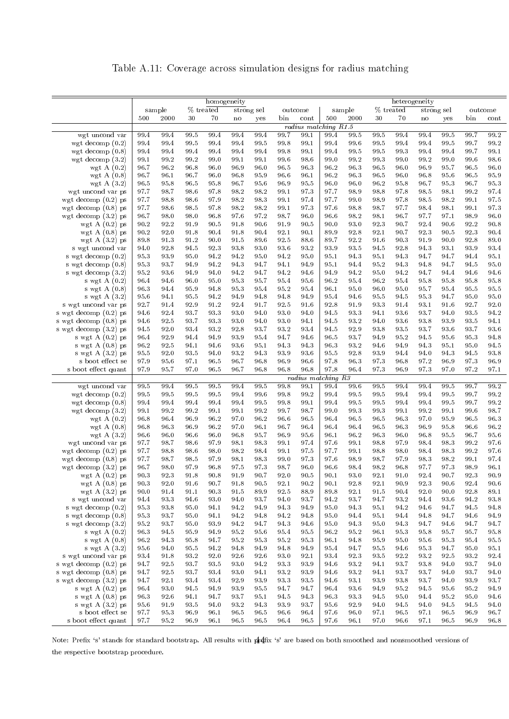Table A.11: Coverage across simulation designs for radius matching

<span id="page-46-0"></span>

|                                              | homogeneity  |              |              |              |              |              |              |                      | heterogeneity |              |              |              |              |              |              |              |
|----------------------------------------------|--------------|--------------|--------------|--------------|--------------|--------------|--------------|----------------------|---------------|--------------|--------------|--------------|--------------|--------------|--------------|--------------|
|                                              |              | sample       |              | % treated    |              | strong sel   |              | outcome              |               | sample       |              | % treated    |              | strong sel   |              | outcome      |
|                                              | 500          | 2000         | 30           | 70           | no           | yes          | bin          | cont                 | 500           | 2000         | 30           | 70           | no           | yes          | bin          | cont         |
|                                              |              |              |              |              |              |              |              | radius matching R1.5 |               |              |              |              |              |              |              |              |
| wgt uncond var                               | 99.4         | 99.4         | 99.5         | 99.4         | 99.4         | 99.4         | 99.7         | 99.1                 | 99.4          | 99.5         | 99.5         | 99.4         | 99.4         | 99.5         | 99.7         | 99.2         |
| wgt decomp $(0.2)$                           | 99.4         | 99.4         | 99.5         | 99.4         | 99.4         | 99.5         | 99.8         | 99.1                 | 99.4          | 99.6         | 99.5         | 99.4         | 99.4         | 99.5         | 99.7         | 99.2         |
| wgt decomp $(0.8)$                           | 99.4         | 99.4         | 99.4         | 99.4         | 99.4         | 99.4         | 99.8         | 99.1                 | 99.4          | 99.5         | 99.5         | 99.3         | 99.4         | 99.4         | 99.7         | 99.1         |
| wgt decomp $(3.2)$                           | 99.1         | 99.2         | 99.2         | 99.0         | 99.1         | 99.1         | 99.6         | 98.6                 | 99.0          | 99.2         | 99.3         | 99.0         | 99.2         | 99.0         | 99.6         | 98.6         |
| wgt A $(0.2)$                                | 96.7         | 96.2         | 96.8         | 96.0         | 96.9<br>96.8 | 96.0<br>95.9 | 96.5<br>96.6 | 96.3                 | 96.2          | 96.3         | 96.5         | 96.0<br>96.0 | 96.9         | 95.7         | 96.5         | 96.0<br>95.9 |
| wgt A $(0.8)$<br>wgt A $(3.2)$               | 96.7<br>96.5 | 96.1<br>95.8 | 96.7<br>96.5 | 96.0<br>95.8 | 96.7         | 95.6         | 96.9         | 96.1<br>95.5         | 96.2<br>96.0  | 96.3<br>96.0 | 96.5<br>96.2 | 95.8         | 96.8<br>96.7 | 95.6<br>95.3 | 96.5<br>96.7 | 95.3         |
| wgt uncond var ps                            | 97.7         | 98.7         | 98.6         | 97.8         | 98.2         | 98.2         | 99.1         | 973                  | 97.7          | 98.9         | 98.8         | 97.8         | 98.5         | 98.1         | 99.2         | 97.4         |
| wgt decomp $(0.2)$ ps                        | 97.7         | 98.8         | 98.6         | 97.9         | 98.2         | 98.3         | 99.1         | 97.4                 | 97.7          | 99.0         | 98.9         | 97.8         | 98.5         | 98.2         | 99.1         | 97.5         |
| wgt decomp $(0.8)$ ps                        | 97.7         | 98.6         | 98.5         | 97.8         | 98.2         | 98.2         | 99.1         | 973                  | 97.6          | 98.8         | 98.7         | 97.7         | 98.4         | 98.1         | 99.1         | 97.3         |
| wgt decomp $(3.2)$ ps                        | 96.7         | 98.0         | 98.0         | 96.8         | 97.6         | 97.2         | 98.7         | 96.0                 | 96.6          | 98.2         | 98.1         | 96.7         | 97.7         | 97.1         | 98.9         | 96.0         |
| wgt A $(0.2)$ ps                             | 90.2         | 92.2         | 91.9         | 90.5         | 91.8         | 90.6         | 91.9         | 90.5                 | 90.0          | 93.0         | 92.3         | 90.7         | 92.4         | 90.6         | 92.2         | 90.8         |
| wgt A $(0.8)$ ps                             | 90.2         | 92.0         | 91.8         | 90.4         | 91.8         | 90.4         | 92.1         | 90.1                 | 89.9          | 92.8         | 92.1         | 90.7         | 92.3         | 90.5         | 92.3         | 90.4         |
| wgt A $(3.2)$ ps                             | 89.8         | 913          | 91.2         | 90.0         | 91.5         | 89.6         | 92.5         | 88.6                 | 89.7          | 92.2         | 91.6         | 90.3         | 91.9         | 90.0         | 92.8         | 89.0         |
| s wgt uncond var                             | 94.0         | 92.8         | 94.5         | 92.3         | 93.8         | 93.0         | 93.6         | 93.2                 | 93.9          | 93.5         | 94.5         | 92.8         | 94.3         | 93.1         | 93.9         | 93.4         |
| s wgt decomp (0.2)                           | 95.3         | 93.9         | 95.0         | 94.2         | 94.2         | 95.0         | 94.2         | 95.0                 | 95.1          | 94.3         | 95.1         | 94.3         | 94.7         | 94.7         | 94.4         | 95.1         |
| s wgt decomp (0.8)                           | 95.3         | 93.7         | 94.9         | 94.2         | 94.3         | 94.7         | 94.1         | 94.9                 | 95.1          | 94.4         | 95.2         | 94.3         | 94.8         | 94.7         | 94.5         | 95.0         |
| s wgt decomp $(3.2)$                         | 95.2         | 93.6         | 94.9         | 94.0         | 94.2         | 94.7         | 94.2         | 94.6                 | 94.9          | 94.2         | 95.0         | 94.2         | 94.7         | 94.4         | 94.6         | 94.6         |
| s wgt A $(0.2)$                              | 96.4         | 94.6         | 96.0         | 95.0         | 95.3         | 95.7         | 95.4         | 95.6                 | 96.2          | 95.4         | 96.2         | 95.4         | 95.8         | 95.8         | 95.8         | 95.8         |
| s wgt A (0.8)                                | 96.3         | 94.4         | 95.9         | 94.8         | 95.3         | 95.4         | 95.2         | 95.4                 | 96.1          | 95.0         | 96.0         | 95.0         | 95.7         | 95.4         | 95.5         | $95.5\,$     |
| s wgt A $(3.2)$                              | 95.6         | 94.1         | 95.5         | 94.2         | 94.9         | 94.8         | 94.8<br>92.5 | 94.9                 | 95.4<br>92.8  | 94.6         | 95.5         | 94.5         | 95.3<br>93.1 | 94.7         | 95.0         | 95.0<br>92.0 |
| s wgt uncond var ps<br>s wgt decomp (0.2) ps | 92.7<br>94.6 | 91.4<br>92.4 | 92.9<br>93.7 | 91.2<br>93.3 | 92.4<br>93.0 | 91.7<br>94.0 | 93.0         | 91.6<br>94.0         | 94.5          | 91.9<br>93.3 | 93.3<br>94.1 | 91.4<br>93.6 | 93.7         | 91.6<br>94.0 | 92.7<br>93.5 | 94.2         |
| s wgt decomp (0.8) ps                        | 94.6         | 92.5         | 93.7         | 93.3         | 93.0         | 94.0         | 93.0         | 94.1                 | 94.5          | 93.2         | 94.0         | 93.6         | 93.8         | 93.9         | 93.5         | 94.1         |
| s wgt decomp (3.2) ps                        | 94.5         | 92.0         | 93.4         | 93.2         | 92.8         | 93.7         | 93.2         | 93.4                 | 94.5          | 92.9         | 93.8         | 93.5         | 93.7         | 93.6         | 93.7         | 93.6         |
| s wgt A $(0.2)$ ps                           | 96.4         | 92.9         | 94.4         | 94.9         | 93.9         | 95.4         | 94.7         | 94.6                 | 96.5          | 93.7         | 94.9         | 95.2         | 94.5         | 95.6         | 95.3         | 94.8         |
| s wgt $A(0.8)$ ps                            | 96.2         | 92.5         | 94.1         | 94.6         | 93.6         | 95.1         | 94.3         | 94.3                 | 96.3          | 93.2         | 94.6         | 94.9         | 94.3         | 95.1         | 95.0         | 94.5         |
| s wgt $A(3.2)$ ps                            | 95.5         | 92.0         | 93.5         | 94.0         | 93.2         | 94.3         | 93.9         | 93.6                 | 95.5          | 92.8         | 93.9         | 94.4         | 94.0         | 94.3         | 94.5         | 93.8         |
| s boot effect se                             | 97.9         | 95.6         | 97.1         | 96.5         | 96.7         | 96.8         | 96.9         | 96.6                 | 97.8          | 96.3         | 97.3         | 96.8         | 97.2         | 96.9         | 97.3         | 96.9         |
| s boot effect quant                          | 97.9         | 95.7         | 97.0         | 96.5         | 96.7         | 96.8         | 96.8         | 96.8                 | 97.8          | 96.4         | 97.3         | 96.9         | 97.3         | 97.0         | 97.2         | 97.1         |
|                                              |              |              |              |              |              |              |              | radius matching R3   |               |              |              |              |              |              |              |              |
| wgt uncond var                               | 99.5         | 99.4         | 99.5         | 99.5         | 99.4         | 99.5         | 99.8         | 99.1                 | 99.4          | 99.6         | 99.5         | 99.4         | 99.4         | 99.5         | 99.7         | 99.2         |
| wgt decomp $(0.2)$                           | 99.5         | 99.5         | 99.5         | 99.5         | 99.4         | 99.6         | 99.8         | 99.2                 | 99.4          | 99.5         | 99.5         | 99.4         | 99.4         | 99.5         | 99.7         | 99.2         |
| wgt decomp $(0.8)$                           | 99.4         | 99.4         | 99.4         | 99.4         | 99.4         | 99.5         | 99.8         | 99.1                 | 99.4          | 99.5         | 99.5         | 99.4         | 99.4         | 99.5         | 99.7         | 99.2         |
| wgt decomp $(3.2)$                           | 99.1         | 99.2         | 99.2         | 99.1         | 99.1         | 99.2         | 99.7         | 98.7                 | 99.0          | 99.3         | 99.3         | 99.1         | 99.2         | 99.1         | 99.6         | 98.7         |
| wgt A $(0.2)$                                | 96.8         | 96.4         | 96.9         | 96.2         | 97.0         | 96.2         | 96.6         | 96.5                 | 96.4          | 96.5         | 96.5         | 96.3         | 97.0         | 95.9         | 96.5         | 96.3         |
| wgt A $(0.8)$                                | 96.8<br>96.6 | 96.3<br>96.0 | 96.9<br>96.6 | 96.2<br>96.0 | 97.0<br>96.8 | 96.1<br>95.7 | 96.7<br>96.9 | 96.4<br>95.6         | 96.4<br>96.1  | 96.4<br>96.2 | 96.5<br>96.3 | 96.3<br>96.0 | 96.9<br>96.8 | 95.8<br>95.5 | 96.6<br>96.7 | 96.2<br>95.6 |
| wgt A $(3.2)$<br>wgt uncond var ps           | 97.7         | 98.7         | 98.6         | 97.9         | 98.1         | 98.3         | 99.1         | 97.4                 | 97.6          | 99.1         | 98.8         | 97.9         | 98.4         | 98.3         | 99.2         | 97.6         |
| wgt decomp $(0.2)$ ps                        | 97.7         | 98.8         | 98.6         | 98.0         | 98.2         | 98.4         | 99.1         | 97.5                 | 97.7          | 99.1         | 98.8         | 98.0         | 98.4         | 98.3         | 99.2         | 97.6         |
| wgt decomp $(0.8)$ ps                        | 97.7         | 98.7         | 98.5         | 97.9         | 98.1         | 98.3         | 99.0         | 97.3                 | 97.6          | 98.9         | 98.7         | 97.9         | 98.3         | 98.2         | 99.1         | 97.4         |
| wgt decomp $(3.2)$ ps                        | 96.7         | 98.0         | 97.9         | 96.8         | 97.5         | 973          | 98.7         | 96.0                 | 96.6          | 98.4         | 98.2         | 96.8         | 97.7         | 97.3         | 98.9         | 96.1         |
| wgt A $(0.2)$ ps                             | 90.3         | 92.3         | 91.8         | 90.8         | 919          | 90.7         | 92.0         | 90.5                 | 90.1          | 93.0         | 92.1         | 91.0         | 92.4         | 90.7         | 92.3         | $90.9\,$     |
| wgt A $(0.8)$ ps                             | 90.3         | 92.0         | 91.6         | 90.7         | 91.8         | 90.5         | 92.1         | 90.2                 | 90.1          | 92.8         | 92.1         | 90.9         | 92.3         | 90.6         | 92.4         | 90.6         |
| wgt A $(3.2)$ ps                             | 90.0         | 91.4         | 91.1         | 90.3         | 91.5         | 89.9         | 92.5         | 88.9                 | 89.8          | 92.1         | 91.5         | 90.4         | 92.0         | 90.0         | 92.8         | 89.1         |
| s wgt uncond var                             | 94.4         | 93.3         | 94.6         | 93.0         | 94.0         | 93.7         | 94.0         | 93.7                 | 94.2          | 93.7         | 94.7         | 93.2         | 94.4         | 93.6         | 94.2         | 93.8         |
| s wgt decomp $(0.2)$                         | 95.3         | 93.8         | 95.0         | 94.1         | 94.2         | 94.9         | 94.3         | 94.9                 | 95.0          | 94.3         | 95.1         | 94.2         | 94.6         | 94.7         | 94.5         | 94.8         |
| s wgt decomp $(0.8)$                         | 95.3         | 93.7         | 95.0         | 94.1         | 94.2         | 94.8         | 94.2         | 94.8                 | 95.0          | 94.4         | 95.1         | 94.4         | 94.8         | 94.7         | 94.6         | 94.9         |
| s wgt decomp $(3.2)$                         | 95.2         | 93.7         | 95.0         | 93.9         | 94.2         | 94.7         | 94.3         | 94.6                 | 95.0          | 94.3         | 95.0         | 94.3         | 94.7         | 94.6         | 94.7         | 94.7         |
| s wgt $A(0.2)$                               | 96.3         | 94.5         | 95.9         | 94.9         | 95.2         | 95.6         | 95.4         | 95.5                 | 96.2          | 95.2         | 96.1         | 95.3         | 95.8         | 95.7         | 95.7         | 95.8         |
| s wgt A $(0.8)$                              | 96.2         | 94.3         | 95.8         | 94.7         | 95.2         | 95.3         | 95.2         | 95.3                 | 96.1          | 94.8         | 95.9         | 95.0         | 95.6         | 95.3         | 95.4         | 95.5         |
| s wgt A $(3.2)$                              | 95.6         | 94.0         | 95.5         | 94.2         | 94.8         | 94.9         | 94.8         | 94.9                 | 95.4          | 94.7<br>92.3 | 95.5         | 94.6         | 95.3         | 94.7         | 95.0<br>93.2 | 95.1<br>92.4 |
| s wgt uncond var ps<br>s wgt decomp (0.2) ps | 93.4<br>94.7 | 91.8<br>92.5 | 93.2<br>93.7 | 92.0<br>93.5 | 92.6<br>93.0 | 92.6<br>94.2 | 93.0<br>93.3 | 92.1<br>93.9         | 93.4<br>94.6  | 93.2         | 93.5<br>94.1 | 92.2<br>93.7 | 93.2<br>93.8 | 92.5<br>94.0 | 93.7         | 94.0         |
| s wgt decomp $(0.8)$ ps                      | 94.7         | 92.5         | 93.7         | 93.4         | 93.0         | 94.1         | 93.2         | 93.9                 | 94.6          | 93.2         | 94.1         | 93.7         | 93.7         | 94.0         | 93.7         | 94.0         |
| s wgt decomp $(3.2)$ ps                      | 94.7         | 92.1         | 93.4         | 93.4         | 92.9         | 93.9         | 93.3         | 93.5                 | 94.6          | 93.1         | 93.9         | 93.8         | 93.7         | 94.0         | 93.9         | 93.7         |
| s wgt A $(0.2)$ ps                           | 96.4         | 93.0         | 94.5         | 94.9         | 93.9         | 95.5         | 94.7         | 94.7                 | 96.4          | 93.6         | 94.9         | 95.2         | 94.5         | 95.6         | 95.2         | 94.9         |
| s wgt $A(0.8)$ ps                            | 96.3         | 92.6         | 94.1         | 94.7         | 93.7         | 95.1         | 94.5         | 94.3                 | 96.3          | 93.3         | 94.5         | 95.0         | 94.4         | 95.2         | 95.0         | 94.6         |
| s wgt A $(3.2)$ ps                           | 95.6         | 91.9         | 93.5         | 94.0         | 93.2         | 943          | 93.9         | 93.7                 | 95.6          | 92.9         | 94.0         | 94.5         | 94.0         | 94.5         | 94.5         | 94.0         |
| s boot effect se                             | 97.7         | 95.3         | 96.9         | 96.1         | 96.5         | 96.5         | 96.6         | 96.4                 | 97.6          | 96.0         | 97.1         | 96.5         | 97.1         | 96.5         | 96.9         | 96.7         |
| s boot effect quant                          | 97.7         | 95.2         | 96.9         | 96.1         | 96.5         | 96.5         | 96.4         | 96.5                 | 97.6          | 96.1         | 97.0         | 96.6         | 97.1         | 96.5         | 96.9         | 96.8         |

Note: Prefix 's' stands for standard bootstrap. All results with prefix 's' are based on both smoothed and nonsmoothed versions of the respective bootstrap procedure.